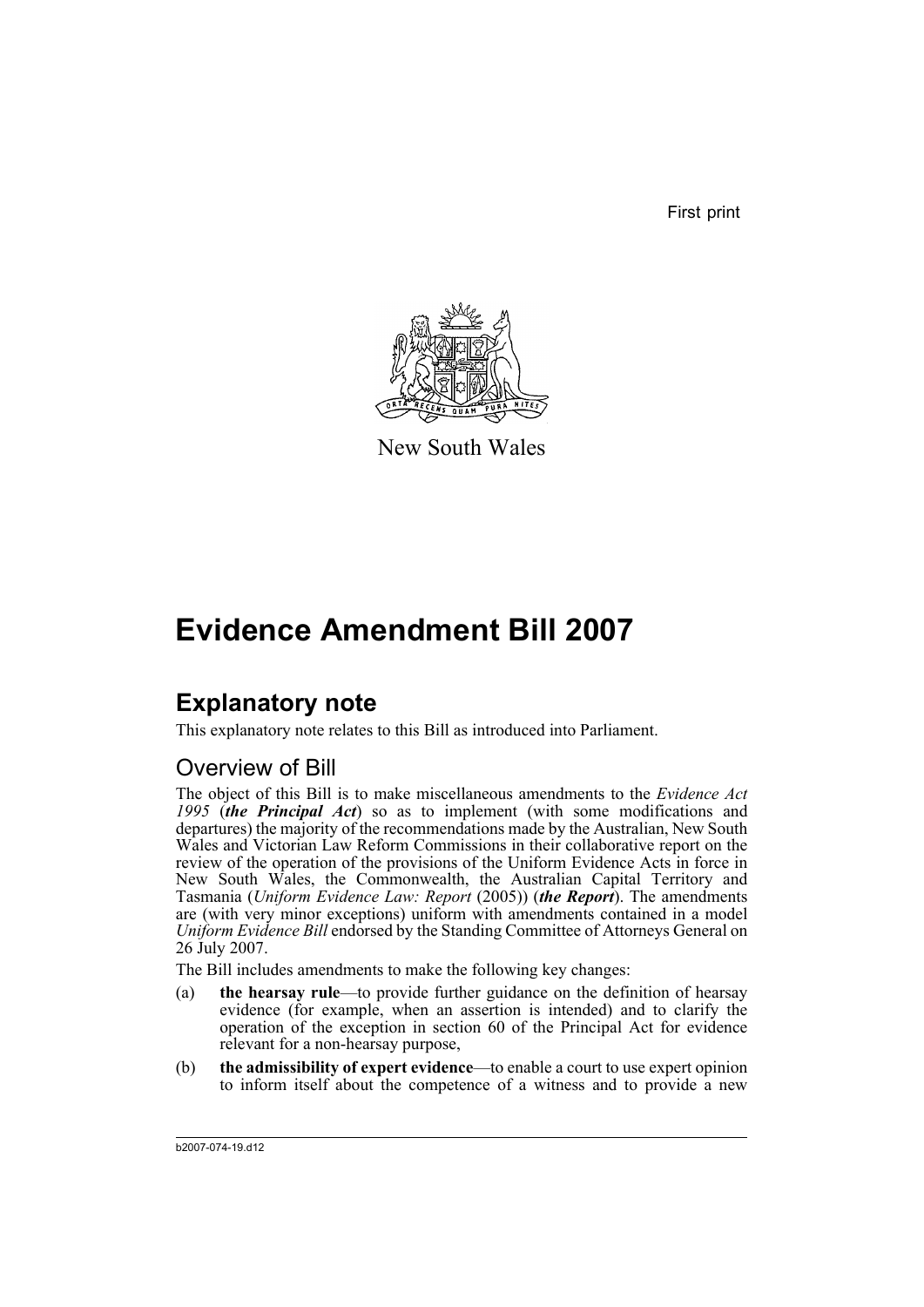First print



New South Wales

# **Evidence Amendment Bill 2007**

# **Explanatory note**

This explanatory note relates to this Bill as introduced into Parliament.

# Overview of Bill

The object of this Bill is to make miscellaneous amendments to the *Evidence Act 1995* (*the Principal Act*) so as to implement (with some modifications and departures) the majority of the recommendations made by the Australian, New South Wales and Victorian Law Reform Commissions in their collaborative report on the review of the operation of the provisions of the Uniform Evidence Acts in force in New South Wales, the Commonwealth, the Australian Capital Territory and Tasmania (*Uniform Evidence Law: Report* (2005)) (*the Report*). The amendments are (with very minor exceptions) uniform with amendments contained in a model *Uniform Evidence Bill* endorsed by the Standing Committee of Attorneys General on 26 July 2007.

The Bill includes amendments to make the following key changes:

- (a) **the hearsay rule**—to provide further guidance on the definition of hearsay evidence (for example, when an assertion is intended) and to clarify the operation of the exception in section 60 of the Principal Act for evidence relevant for a non-hearsay purpose,
- (b) **the admissibility of expert evidence**—to enable a court to use expert opinion to inform itself about the competence of a witness and to provide a new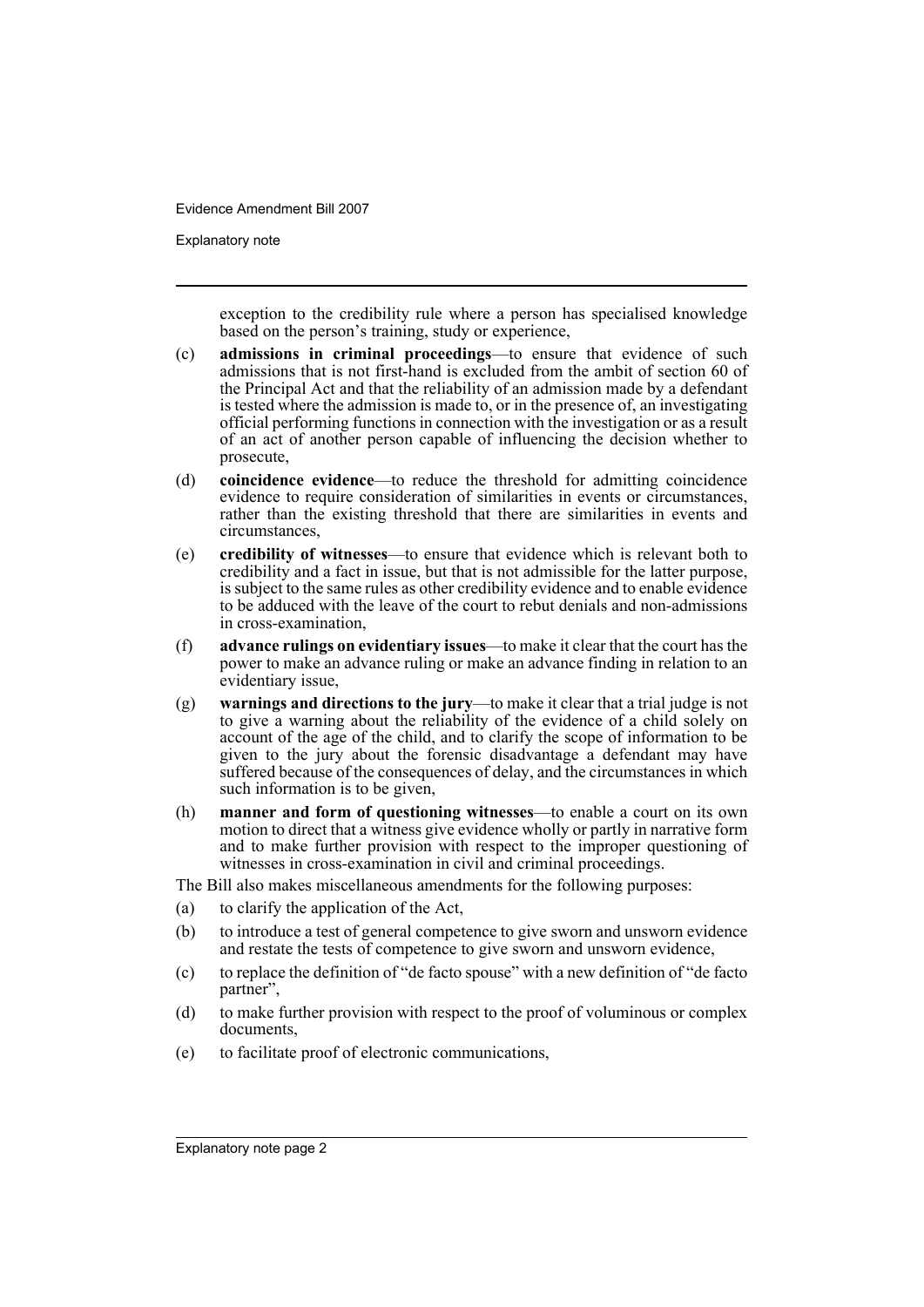Explanatory note

exception to the credibility rule where a person has specialised knowledge based on the person's training, study or experience,

- (c) **admissions in criminal proceedings**—to ensure that evidence of such admissions that is not first-hand is excluded from the ambit of section 60 of the Principal Act and that the reliability of an admission made by a defendant is tested where the admission is made to, or in the presence of, an investigating official performing functions in connection with the investigation or as a result of an act of another person capable of influencing the decision whether to prosecute,
- (d) **coincidence evidence**—to reduce the threshold for admitting coincidence evidence to require consideration of similarities in events or circumstances, rather than the existing threshold that there are similarities in events and circumstances,
- (e) **credibility of witnesses**—to ensure that evidence which is relevant both to credibility and a fact in issue, but that is not admissible for the latter purpose, is subject to the same rules as other credibility evidence and to enable evidence to be adduced with the leave of the court to rebut denials and non-admissions in cross-examination,
- (f) **advance rulings on evidentiary issues**—to make it clear that the court has the power to make an advance ruling or make an advance finding in relation to an evidentiary issue,
- (g) **warnings and directions to the jury**—to make it clear that a trial judge is not to give a warning about the reliability of the evidence of a child solely on account of the age of the child, and to clarify the scope of information to be given to the jury about the forensic disadvantage a defendant may have suffered because of the consequences of delay, and the circumstances in which such information is to be given,
- (h) **manner and form of questioning witnesses**—to enable a court on its own motion to direct that a witness give evidence wholly or partly in narrative form and to make further provision with respect to the improper questioning of witnesses in cross-examination in civil and criminal proceedings.

The Bill also makes miscellaneous amendments for the following purposes:

- (a) to clarify the application of the Act,
- (b) to introduce a test of general competence to give sworn and unsworn evidence and restate the tests of competence to give sworn and unsworn evidence,
- (c) to replace the definition of "de facto spouse" with a new definition of "de facto partner",
- (d) to make further provision with respect to the proof of voluminous or complex documents,
- (e) to facilitate proof of electronic communications,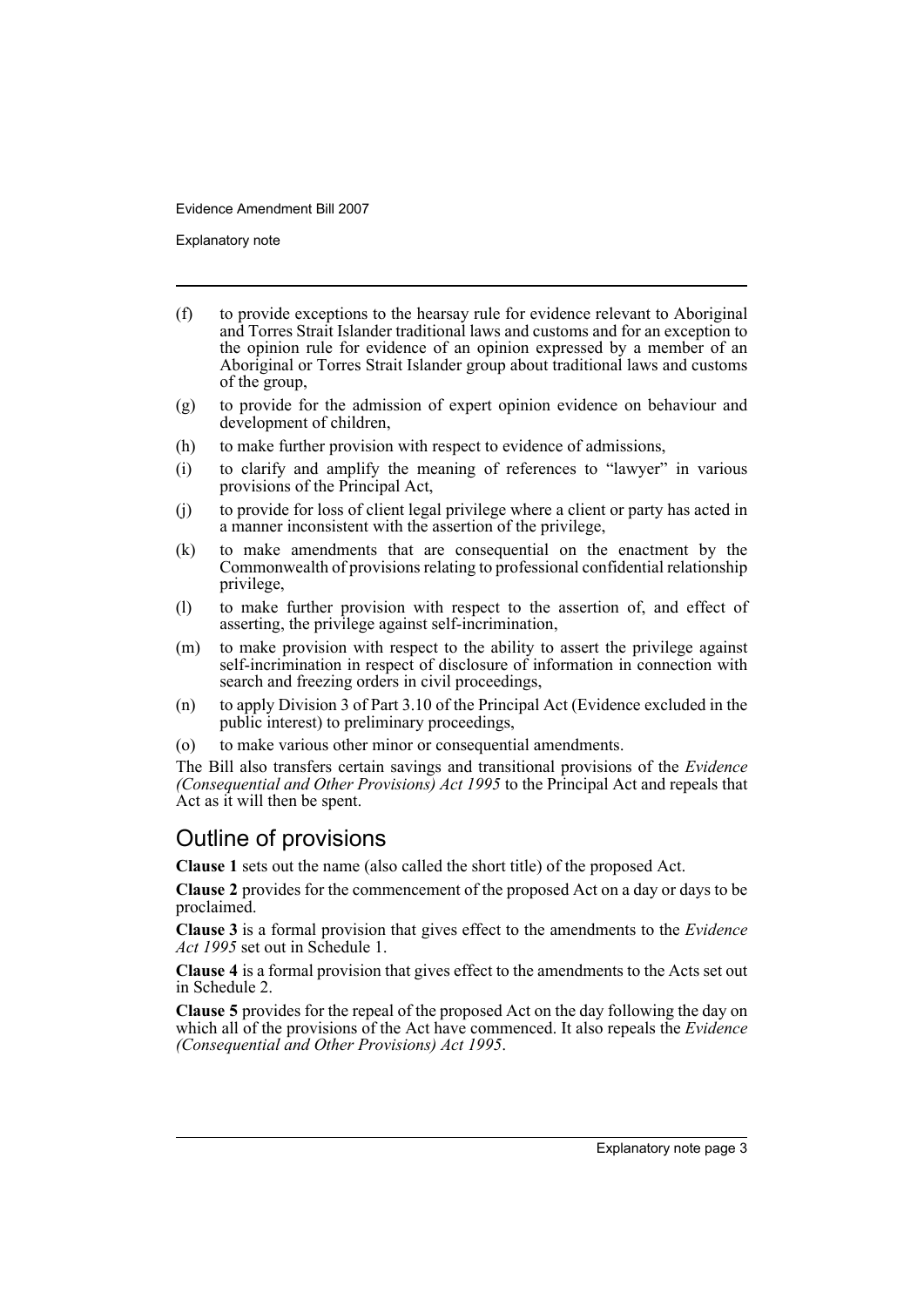Explanatory note

- (f) to provide exceptions to the hearsay rule for evidence relevant to Aboriginal and Torres Strait Islander traditional laws and customs and for an exception to the opinion rule for evidence of an opinion expressed by a member of an Aboriginal or Torres Strait Islander group about traditional laws and customs of the group,
- (g) to provide for the admission of expert opinion evidence on behaviour and development of children,
- (h) to make further provision with respect to evidence of admissions,
- (i) to clarify and amplify the meaning of references to "lawyer" in various provisions of the Principal Act,
- (j) to provide for loss of client legal privilege where a client or party has acted in a manner inconsistent with the assertion of the privilege,
- (k) to make amendments that are consequential on the enactment by the Commonwealth of provisions relating to professional confidential relationship privilege,
- (l) to make further provision with respect to the assertion of, and effect of asserting, the privilege against self-incrimination,
- (m) to make provision with respect to the ability to assert the privilege against self-incrimination in respect of disclosure of information in connection with search and freezing orders in civil proceedings,
- (n) to apply Division 3 of Part 3.10 of the Principal Act (Evidence excluded in the public interest) to preliminary proceedings,
- (o) to make various other minor or consequential amendments.

The Bill also transfers certain savings and transitional provisions of the *Evidence (Consequential and Other Provisions) Act 1995* to the Principal Act and repeals that Act as it will then be spent.

# Outline of provisions

**Clause 1** sets out the name (also called the short title) of the proposed Act.

**Clause 2** provides for the commencement of the proposed Act on a day or days to be proclaimed.

**Clause 3** is a formal provision that gives effect to the amendments to the *Evidence Act 1995* set out in Schedule 1.

**Clause 4** is a formal provision that gives effect to the amendments to the Acts set out in Schedule 2.

**Clause 5** provides for the repeal of the proposed Act on the day following the day on which all of the provisions of the Act have commenced. It also repeals the *Evidence (Consequential and Other Provisions) Act 1995*.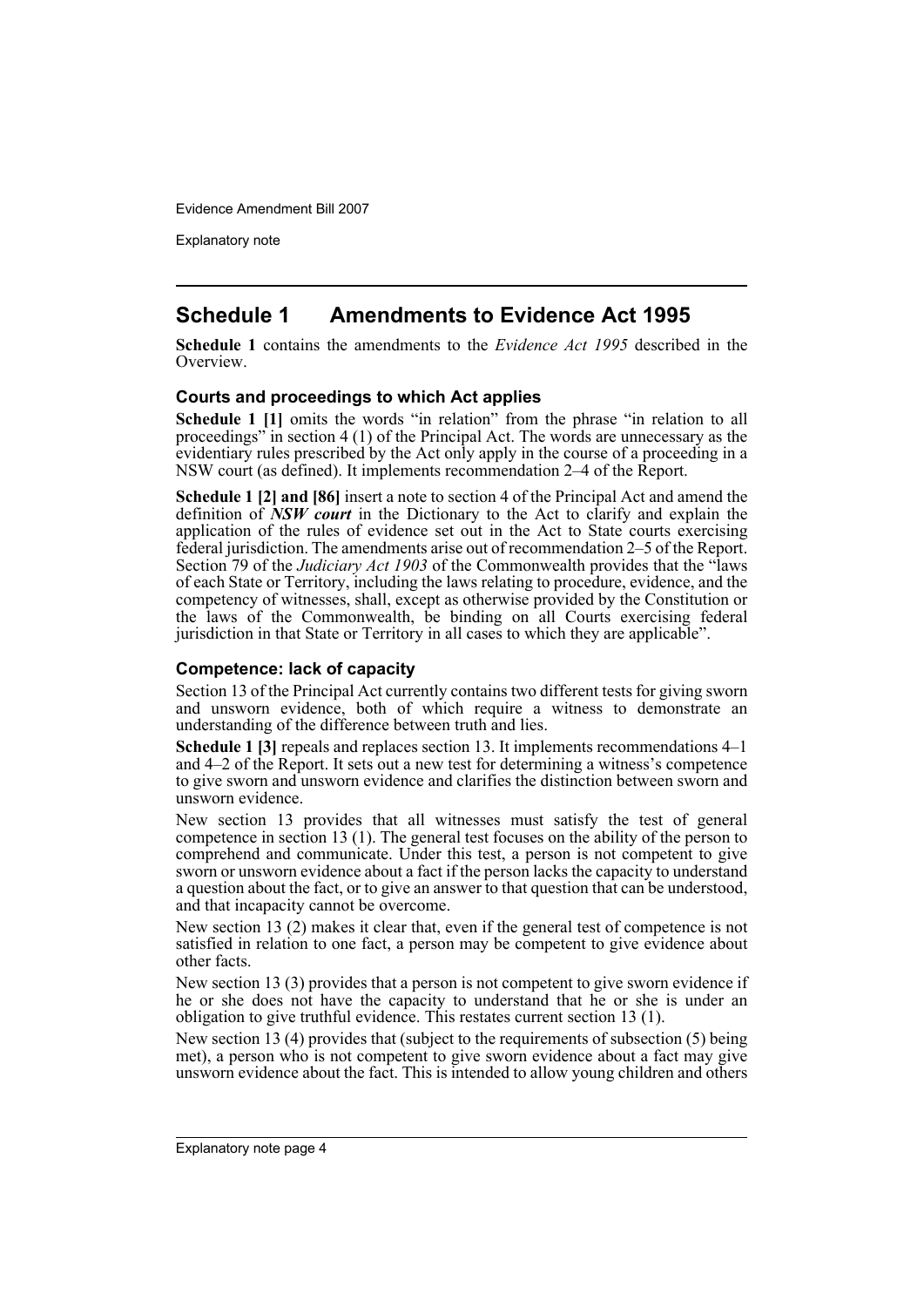Explanatory note

# **Schedule 1 Amendments to Evidence Act 1995**

**Schedule 1** contains the amendments to the *Evidence Act 1995* described in the Overview.

#### **Courts and proceedings to which Act applies**

**Schedule 1 [1]** omits the words "in relation" from the phrase "in relation to all proceedings" in section 4 (1) of the Principal Act. The words are unnecessary as the evidentiary rules prescribed by the Act only apply in the course of a proceeding in a NSW court (as defined). It implements recommendation 2–4 of the Report.

**Schedule 1 [2] and [86]** insert a note to section 4 of the Principal Act and amend the definition of *NSW court* in the Dictionary to the Act to clarify and explain the application of the rules of evidence set out in the Act to State courts exercising federal jurisdiction. The amendments arise out of recommendation 2–5 of the Report. Section 79 of the *Judiciary Act 1903* of the Commonwealth provides that the "laws of each State or Territory, including the laws relating to procedure, evidence, and the competency of witnesses, shall, except as otherwise provided by the Constitution or the laws of the Commonwealth, be binding on all Courts exercising federal jurisdiction in that State or Territory in all cases to which they are applicable".

#### **Competence: lack of capacity**

Section 13 of the Principal Act currently contains two different tests for giving sworn and unsworn evidence, both of which require a witness to demonstrate an understanding of the difference between truth and lies.

**Schedule 1 [3]** repeals and replaces section 13. It implements recommendations 4–1 and 4–2 of the Report. It sets out a new test for determining a witness's competence to give sworn and unsworn evidence and clarifies the distinction between sworn and unsworn evidence.

New section 13 provides that all witnesses must satisfy the test of general competence in section 13 (1). The general test focuses on the ability of the person to comprehend and communicate. Under this test, a person is not competent to give sworn or unsworn evidence about a fact if the person lacks the capacity to understand a question about the fact, or to give an answer to that question that can be understood, and that incapacity cannot be overcome.

New section 13 (2) makes it clear that, even if the general test of competence is not satisfied in relation to one fact, a person may be competent to give evidence about other facts.

New section 13 (3) provides that a person is not competent to give sworn evidence if he or she does not have the capacity to understand that he or she is under an obligation to give truthful evidence. This restates current section 13 (1).

New section 13 (4) provides that (subject to the requirements of subsection (5) being met), a person who is not competent to give sworn evidence about a fact may give unsworn evidence about the fact. This is intended to allow young children and others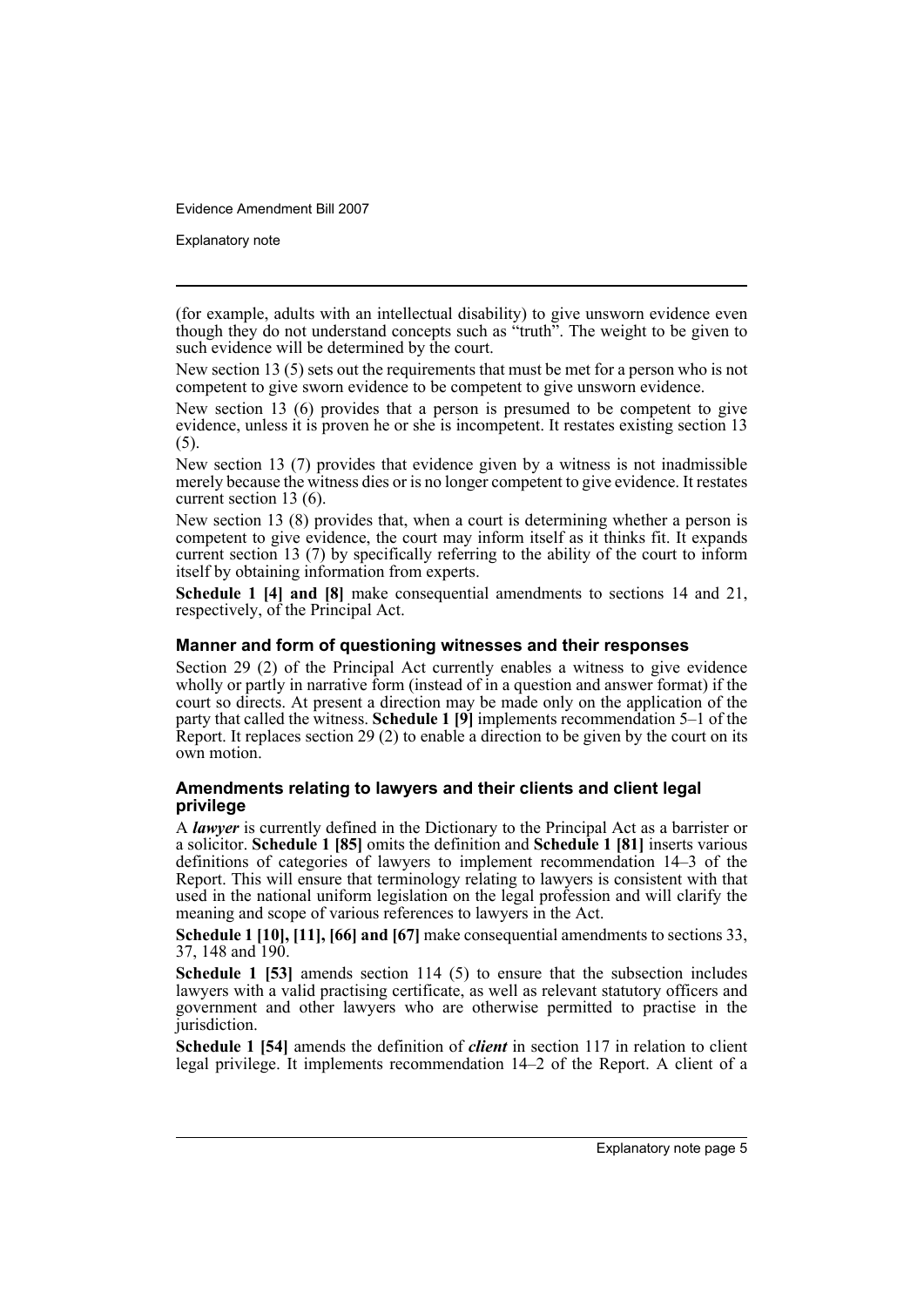Explanatory note

(for example, adults with an intellectual disability) to give unsworn evidence even though they do not understand concepts such as "truth". The weight to be given to such evidence will be determined by the court.

New section 13 (5) sets out the requirements that must be met for a person who is not competent to give sworn evidence to be competent to give unsworn evidence.

New section 13 (6) provides that a person is presumed to be competent to give evidence, unless it is proven he or she is incompetent. It restates existing section 13 (5).

New section 13 (7) provides that evidence given by a witness is not inadmissible merely because the witness dies or is no longer competent to give evidence. It restates current section 13 (6).

New section 13 (8) provides that, when a court is determining whether a person is competent to give evidence, the court may inform itself as it thinks fit. It expands current section 13 (7) by specifically referring to the ability of the court to inform itself by obtaining information from experts.

**Schedule 1 [4] and [8]** make consequential amendments to sections 14 and 21, respectively, of the Principal Act.

#### **Manner and form of questioning witnesses and their responses**

Section 29 (2) of the Principal Act currently enables a witness to give evidence wholly or partly in narrative form (instead of in a question and answer format) if the court so directs. At present a direction may be made only on the application of the party that called the witness. Schedule 1 [9] implements recommendation 5-1 of the Report. It replaces section 29 (2) to enable a direction to be given by the court on its own motion.

#### **Amendments relating to lawyers and their clients and client legal privilege**

A *lawyer* is currently defined in the Dictionary to the Principal Act as a barrister or a solicitor. **Schedule 1 [85]** omits the definition and **Schedule 1 [81]** inserts various definitions of categories of lawyers to implement recommendation 14–3 of the Report. This will ensure that terminology relating to lawyers is consistent with that used in the national uniform legislation on the legal profession and will clarify the meaning and scope of various references to lawyers in the Act.

**Schedule 1 [10], [11], [66] and [67]** make consequential amendments to sections 33, 37, 148 and 190.

**Schedule 1 [53]** amends section 114 (5) to ensure that the subsection includes lawyers with a valid practising certificate, as well as relevant statutory officers and government and other lawyers who are otherwise permitted to practise in the jurisdiction.

**Schedule 1 [54]** amends the definition of *client* in section 117 in relation to client legal privilege. It implements recommendation 14–2 of the Report. A client of a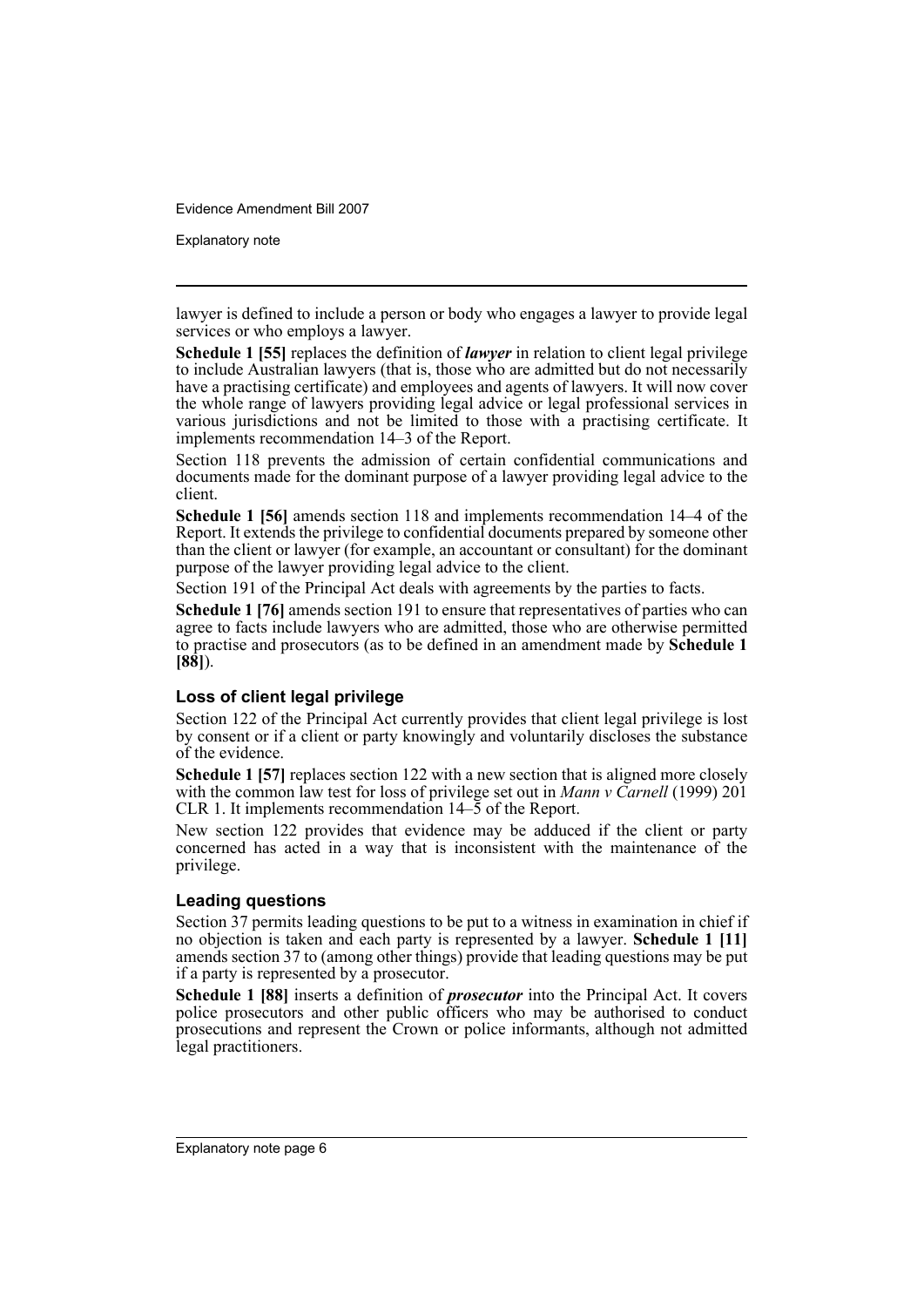Explanatory note

lawyer is defined to include a person or body who engages a lawyer to provide legal services or who employs a lawyer.

**Schedule 1 [55]** replaces the definition of *lawyer* in relation to client legal privilege to include Australian lawyers (that is, those who are admitted but do not necessarily have a practising certificate) and employees and agents of lawyers. It will now cover the whole range of lawyers providing legal advice or legal professional services in various jurisdictions and not be limited to those with a practising certificate. It implements recommendation 14–3 of the Report.

Section 118 prevents the admission of certain confidential communications and documents made for the dominant purpose of a lawyer providing legal advice to the client.

**Schedule 1 [56]** amends section 118 and implements recommendation 14–4 of the Report. It extends the privilege to confidential documents prepared by someone other than the client or lawyer (for example, an accountant or consultant) for the dominant purpose of the lawyer providing legal advice to the client.

Section 191 of the Principal Act deals with agreements by the parties to facts.

**Schedule 1 [76]** amends section 191 to ensure that representatives of parties who can agree to facts include lawyers who are admitted, those who are otherwise permitted to practise and prosecutors (as to be defined in an amendment made by **Schedule 1 [88]**).

### **Loss of client legal privilege**

Section 122 of the Principal Act currently provides that client legal privilege is lost by consent or if a client or party knowingly and voluntarily discloses the substance of the evidence.

**Schedule 1 [57]** replaces section 122 with a new section that is aligned more closely with the common law test for loss of privilege set out in *Mann v Carnell* (1999) 201 CLR 1. It implements recommendation 14–5 of the Report.

New section 122 provides that evidence may be adduced if the client or party concerned has acted in a way that is inconsistent with the maintenance of the privilege.

#### **Leading questions**

Section 37 permits leading questions to be put to a witness in examination in chief if no objection is taken and each party is represented by a lawyer. **Schedule 1 [11]** amends section 37 to (among other things) provide that leading questions may be put if a party is represented by a prosecutor.

**Schedule 1 [88]** inserts a definition of *prosecutor* into the Principal Act. It covers police prosecutors and other public officers who may be authorised to conduct prosecutions and represent the Crown or police informants, although not admitted legal practitioners.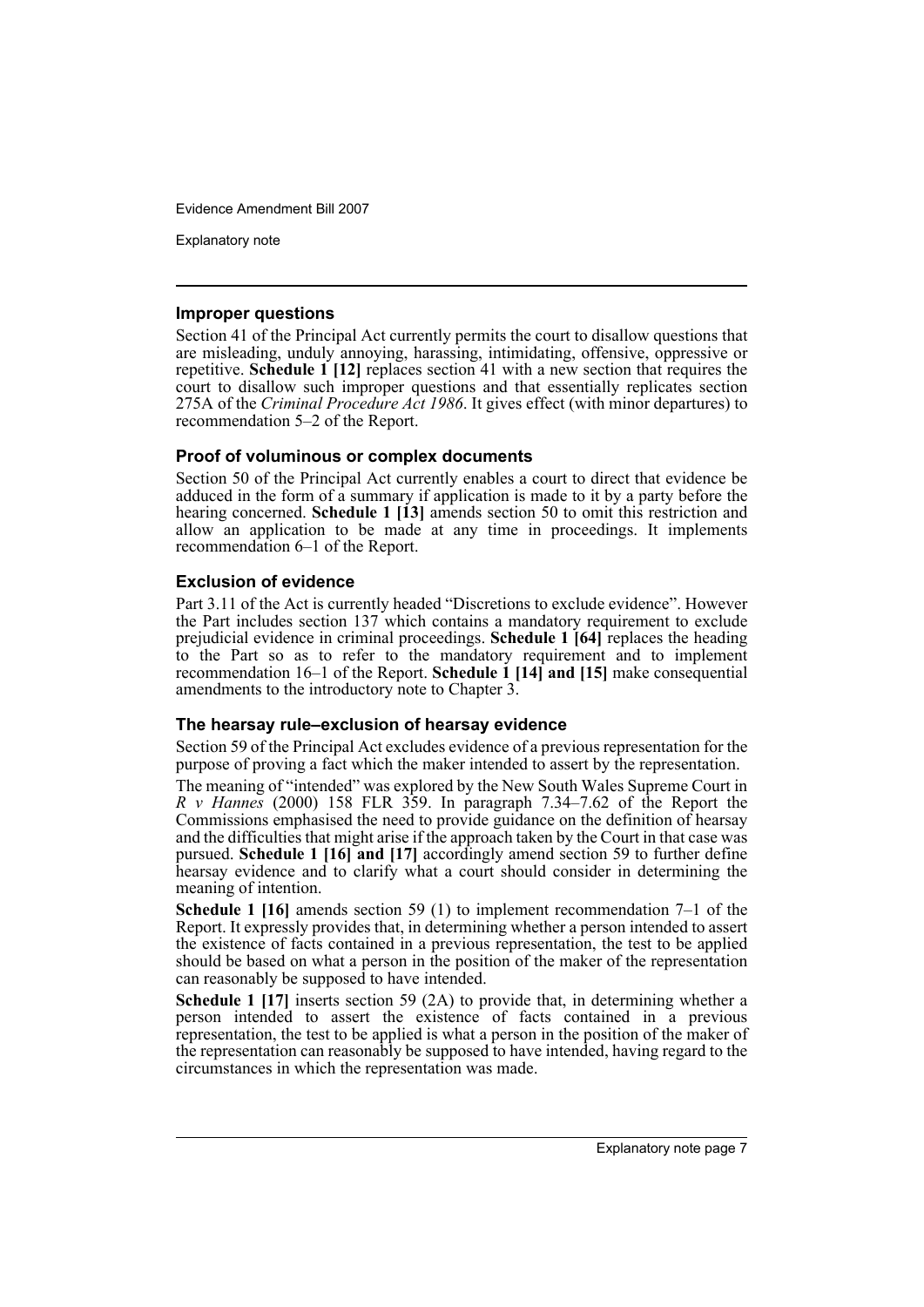Explanatory note

#### **Improper questions**

Section 41 of the Principal Act currently permits the court to disallow questions that are misleading, unduly annoying, harassing, intimidating, offensive, oppressive or repetitive. **Schedule 1 [12]** replaces section 41 with a new section that requires the court to disallow such improper questions and that essentially replicates section 275A of the *Criminal Procedure Act 1986*. It gives effect (with minor departures) to recommendation 5–2 of the Report.

#### **Proof of voluminous or complex documents**

Section 50 of the Principal Act currently enables a court to direct that evidence be adduced in the form of a summary if application is made to it by a party before the hearing concerned. **Schedule 1** [13] amends section 50 to omit this restriction and allow an application to be made at any time in proceedings. It implements recommendation 6–1 of the Report.

#### **Exclusion of evidence**

Part 3.11 of the Act is currently headed "Discretions to exclude evidence". However the Part includes section 137 which contains a mandatory requirement to exclude prejudicial evidence in criminal proceedings. **Schedule 1 [64]** replaces the heading to the Part so as to refer to the mandatory requirement and to implement recommendation 16–1 of the Report. **Schedule 1 [14] and [15]** make consequential amendments to the introductory note to Chapter 3.

#### **The hearsay rule–exclusion of hearsay evidence**

Section 59 of the Principal Act excludes evidence of a previous representation for the purpose of proving a fact which the maker intended to assert by the representation.

The meaning of "intended" was explored by the New South Wales Supreme Court in *R v Hannes* (2000) 158 FLR 359. In paragraph 7.34–7.62 of the Report the Commissions emphasised the need to provide guidance on the definition of hearsay and the difficulties that might arise if the approach taken by the Court in that case was pursued. **Schedule 1 [16] and [17]** accordingly amend section 59 to further define hearsay evidence and to clarify what a court should consider in determining the meaning of intention.

**Schedule 1 [16]** amends section 59 (1) to implement recommendation 7–1 of the Report. It expressly provides that, in determining whether a person intended to assert the existence of facts contained in a previous representation, the test to be applied should be based on what a person in the position of the maker of the representation can reasonably be supposed to have intended.

**Schedule 1 [17]** inserts section 59 (2A) to provide that, in determining whether a person intended to assert the existence of facts contained in a previous representation, the test to be applied is what a person in the position of the maker of the representation can reasonably be supposed to have intended, having regard to the circumstances in which the representation was made.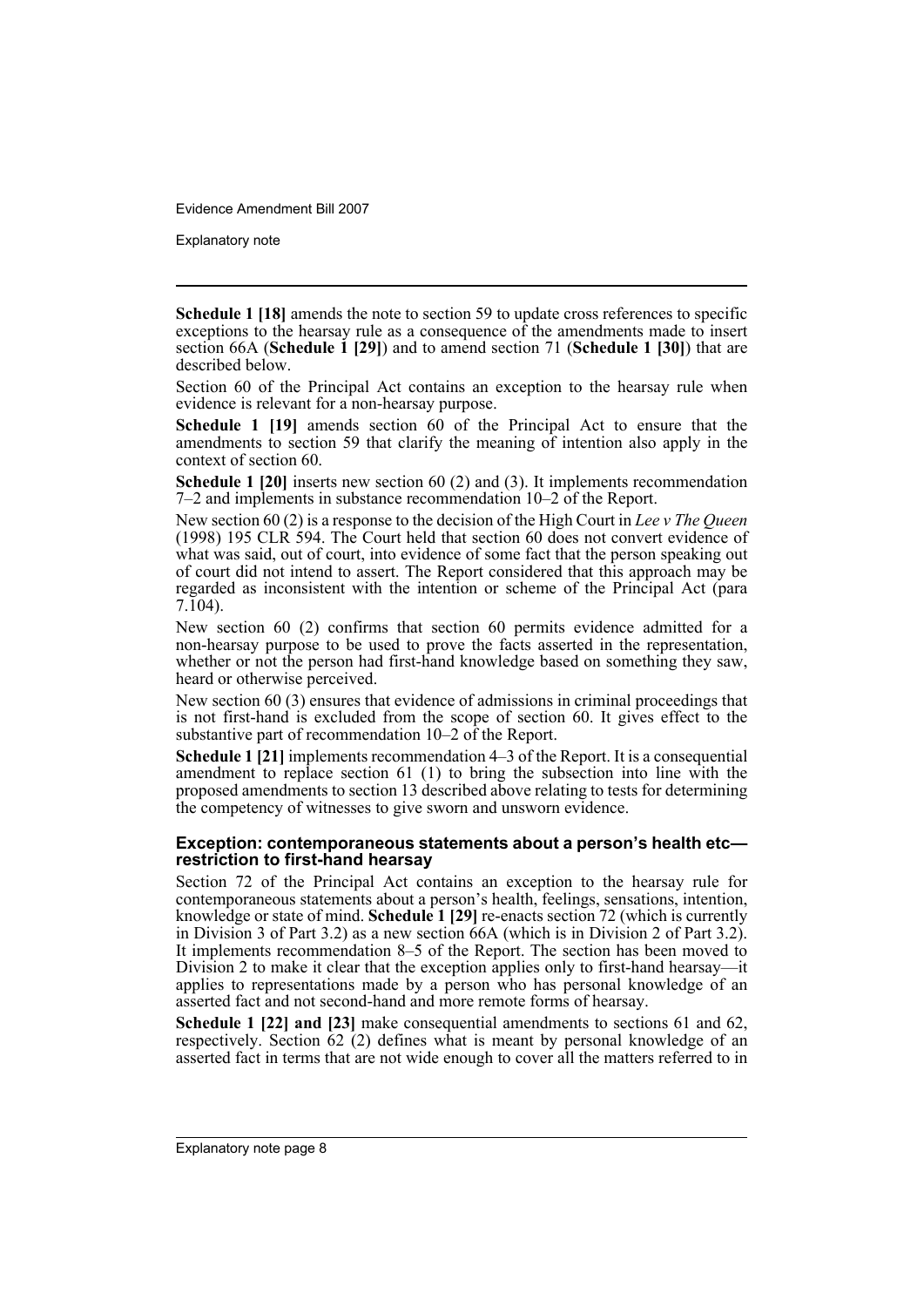Explanatory note

**Schedule 1 [18]** amends the note to section 59 to update cross references to specific exceptions to the hearsay rule as a consequence of the amendments made to insert section 66A (**Schedule 1 [29]**) and to amend section 71 (**Schedule 1 [30]**) that are described below.

Section 60 of the Principal Act contains an exception to the hearsay rule when evidence is relevant for a non-hearsay purpose.

**Schedule 1 [19]** amends section 60 of the Principal Act to ensure that the amendments to section 59 that clarify the meaning of intention also apply in the context of section 60.

**Schedule 1 [20]** inserts new section 60 (2) and (3). It implements recommendation 7–2 and implements in substance recommendation 10–2 of the Report.

New section 60 (2) is a response to the decision of the High Court in *Lee v The Queen* (1998) 195 CLR 594. The Court held that section 60 does not convert evidence of what was said, out of court, into evidence of some fact that the person speaking out of court did not intend to assert. The Report considered that this approach may be regarded as inconsistent with the intention or scheme of the Principal Act (para 7.104).

New section 60 (2) confirms that section 60 permits evidence admitted for a non-hearsay purpose to be used to prove the facts asserted in the representation, whether or not the person had first-hand knowledge based on something they saw, heard or otherwise perceived.

New section 60 (3) ensures that evidence of admissions in criminal proceedings that is not first-hand is excluded from the scope of section 60. It gives effect to the substantive part of recommendation 10–2 of the Report.

**Schedule 1 [21]** implements recommendation 4–3 of the Report. It is a consequential amendment to replace section 61 (1) to bring the subsection into line with the proposed amendments to section 13 described above relating to tests for determining the competency of witnesses to give sworn and unsworn evidence.

#### **Exception: contemporaneous statements about a person's health etc restriction to first-hand hearsay**

Section 72 of the Principal Act contains an exception to the hearsay rule for contemporaneous statements about a person's health, feelings, sensations, intention, knowledge or state of mind. **Schedule 1 [29]** re-enacts section 72 (which is currently in Division 3 of Part 3.2) as a new section 66A (which is in Division 2 of Part 3.2). It implements recommendation 8–5 of the Report. The section has been moved to Division 2 to make it clear that the exception applies only to first-hand hearsay—it applies to representations made by a person who has personal knowledge of an asserted fact and not second-hand and more remote forms of hearsay.

**Schedule 1 [22] and [23]** make consequential amendments to sections 61 and 62, respectively. Section 62 (2) defines what is meant by personal knowledge of an asserted fact in terms that are not wide enough to cover all the matters referred to in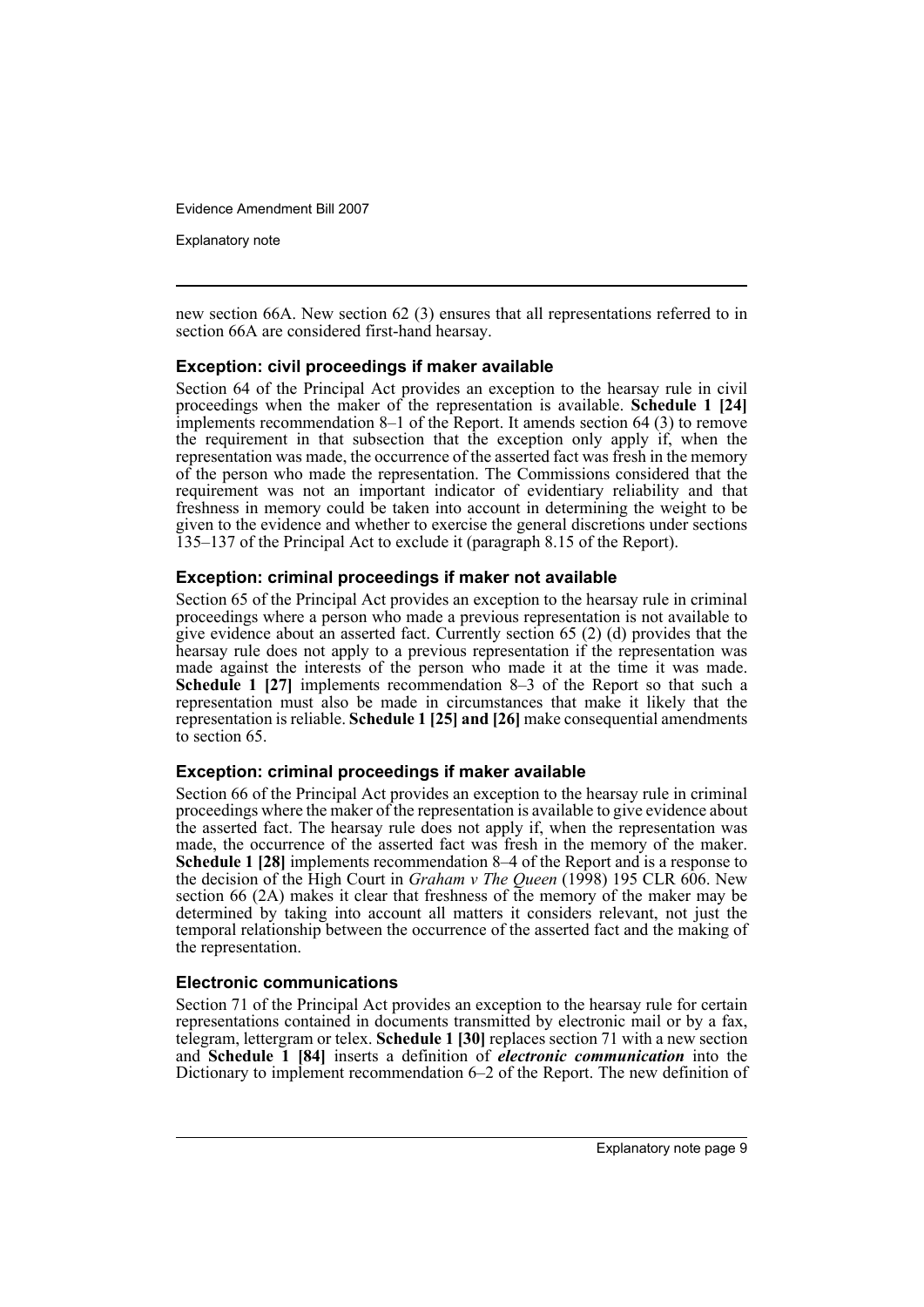Explanatory note

new section 66A. New section 62 (3) ensures that all representations referred to in section 66A are considered first-hand hearsay.

#### **Exception: civil proceedings if maker available**

Section 64 of the Principal Act provides an exception to the hearsay rule in civil proceedings when the maker of the representation is available. **Schedule 1 [24]** implements recommendation 8–1 of the Report. It amends section 64 (3) to remove the requirement in that subsection that the exception only apply if, when the representation was made, the occurrence of the asserted fact was fresh in the memory of the person who made the representation. The Commissions considered that the requirement was not an important indicator of evidentiary reliability and that freshness in memory could be taken into account in determining the weight to be given to the evidence and whether to exercise the general discretions under sections 135–137 of the Principal Act to exclude it (paragraph 8.15 of the Report).

### **Exception: criminal proceedings if maker not available**

Section 65 of the Principal Act provides an exception to the hearsay rule in criminal proceedings where a person who made a previous representation is not available to give evidence about an asserted fact. Currently section 65 (2) (d) provides that the hearsay rule does not apply to a previous representation if the representation was made against the interests of the person who made it at the time it was made. **Schedule 1 [27]** implements recommendation 8–3 of the Report so that such a representation must also be made in circumstances that make it likely that the representation is reliable. **Schedule 1 [25] and [26]** make consequential amendments to section 65.

#### **Exception: criminal proceedings if maker available**

Section 66 of the Principal Act provides an exception to the hearsay rule in criminal proceedings where the maker of the representation is available to give evidence about the asserted fact. The hearsay rule does not apply if, when the representation was made, the occurrence of the asserted fact was fresh in the memory of the maker. **Schedule 1 [28]** implements recommendation 8–4 of the Report and is a response to the decision of the High Court in *Graham v The Queen* (1998) 195 CLR 606. New section 66 (2A) makes it clear that freshness of the memory of the maker may be determined by taking into account all matters it considers relevant, not just the temporal relationship between the occurrence of the asserted fact and the making of the representation.

#### **Electronic communications**

Section 71 of the Principal Act provides an exception to the hearsay rule for certain representations contained in documents transmitted by electronic mail or by a fax, telegram, lettergram or telex. **Schedule 1 [30]** replaces section 71 with a new section and **Schedule 1 [84]** inserts a definition of *electronic communication* into the Dictionary to implement recommendation 6–2 of the Report. The new definition of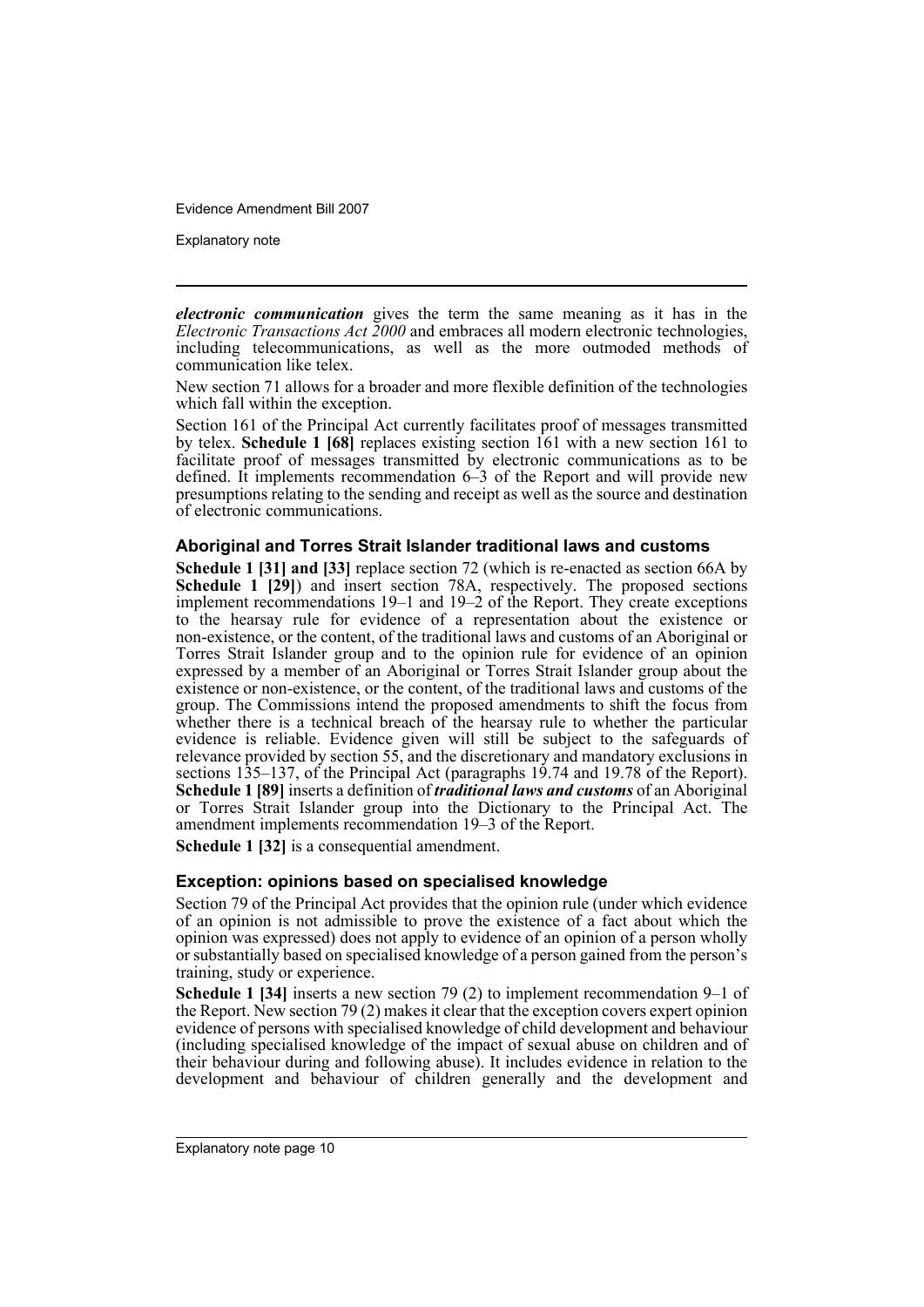Explanatory note

*electronic communication* gives the term the same meaning as it has in the *Electronic Transactions Act 2000* and embraces all modern electronic technologies, including telecommunications, as well as the more outmoded methods of communication like telex.

New section 71 allows for a broader and more flexible definition of the technologies which fall within the exception.

Section 161 of the Principal Act currently facilitates proof of messages transmitted by telex. **Schedule 1 [68]** replaces existing section 161 with a new section 161 to facilitate proof of messages transmitted by electronic communications as to be defined. It implements recommendation 6–3 of the Report and will provide new presumptions relating to the sending and receipt as well as the source and destination of electronic communications.

#### **Aboriginal and Torres Strait Islander traditional laws and customs**

**Schedule 1 [31] and [33]** replace section 72 (which is re-enacted as section 66A by **Schedule 1 [29]**) and insert section 78A, respectively. The proposed sections implement recommendations 19–1 and 19–2 of the Report. They create exceptions to the hearsay rule for evidence of a representation about the existence or non-existence, or the content, of the traditional laws and customs of an Aboriginal or Torres Strait Islander group and to the opinion rule for evidence of an opinion expressed by a member of an Aboriginal or Torres Strait Islander group about the existence or non-existence, or the content, of the traditional laws and customs of the group. The Commissions intend the proposed amendments to shift the focus from whether there is a technical breach of the hearsay rule to whether the particular evidence is reliable. Evidence given will still be subject to the safeguards of relevance provided by section 55, and the discretionary and mandatory exclusions in sections 135–137, of the Principal Act (paragraphs 19.74 and 19.78 of the Report). **Schedule 1 [89]** inserts a definition of *traditional laws and customs* of an Aboriginal or Torres Strait Islander group into the Dictionary to the Principal Act. The amendment implements recommendation 19–3 of the Report.

**Schedule 1 [32]** is a consequential amendment.

#### **Exception: opinions based on specialised knowledge**

Section 79 of the Principal Act provides that the opinion rule (under which evidence of an opinion is not admissible to prove the existence of a fact about which the opinion was expressed) does not apply to evidence of an opinion of a person wholly or substantially based on specialised knowledge of a person gained from the person's training, study or experience.

**Schedule 1 [34]** inserts a new section 79 (2) to implement recommendation 9–1 of the Report. New section 79 (2) makes it clear that the exception covers expert opinion evidence of persons with specialised knowledge of child development and behaviour (including specialised knowledge of the impact of sexual abuse on children and of their behaviour during and following abuse). It includes evidence in relation to the development and behaviour of children generally and the development and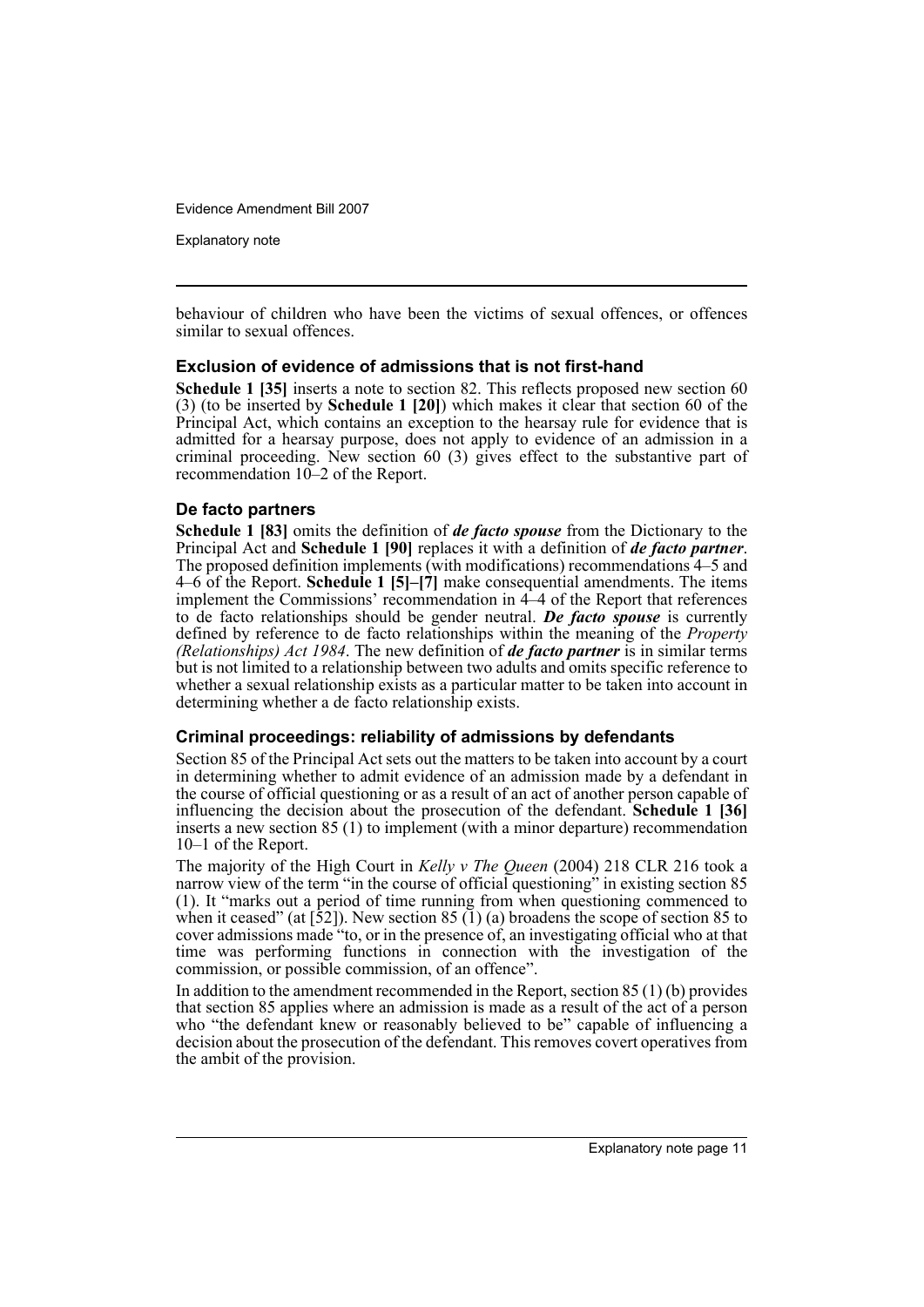Explanatory note

behaviour of children who have been the victims of sexual offences, or offences similar to sexual offences.

#### **Exclusion of evidence of admissions that is not first-hand**

**Schedule 1 [35]** inserts a note to section 82. This reflects proposed new section 60 (3) (to be inserted by **Schedule 1 [20]**) which makes it clear that section 60 of the Principal Act, which contains an exception to the hearsay rule for evidence that is admitted for a hearsay purpose, does not apply to evidence of an admission in a criminal proceeding. New section 60 (3) gives effect to the substantive part of recommendation 10–2 of the Report.

#### **De facto partners**

**Schedule 1 [83]** omits the definition of *de facto spouse* from the Dictionary to the Principal Act and **Schedule 1 [90]** replaces it with a definition of *de facto partner*. The proposed definition implements (with modifications) recommendations 4–5 and 4–6 of the Report. **Schedule 1 [5]–[7]** make consequential amendments. The items implement the Commissions' recommendation in 4–4 of the Report that references to de facto relationships should be gender neutral. **De facto spouse** is currently defined by reference to de facto relationships within the meaning of the *Property (Relationships) Act 1984*. The new definition of *de facto partner* is in similar terms but is not limited to a relationship between two adults and omits specific reference to whether a sexual relationship exists as a particular matter to be taken into account in determining whether a de facto relationship exists.

#### **Criminal proceedings: reliability of admissions by defendants**

Section 85 of the Principal Act sets out the matters to be taken into account by a court in determining whether to admit evidence of an admission made by a defendant in the course of official questioning or as a result of an act of another person capable of influencing the decision about the prosecution of the defendant. **Schedule 1 [36]** inserts a new section 85 (1) to implement (with a minor departure) recommendation 10–1 of the Report.

The majority of the High Court in *Kelly v The Queen* (2004) 218 CLR 216 took a narrow view of the term "in the course of official questioning" in existing section 85 (1). It "marks out a period of time running from when questioning commenced to when it ceased" (at  $\lceil 52 \rceil$ ). New section 85 (1) (a) broadens the scope of section 85 to cover admissions made "to, or in the presence of, an investigating official who at that time was performing functions in connection with the investigation of the commission, or possible commission, of an offence".

In addition to the amendment recommended in the Report, section 85 (1) (b) provides that section 85 applies where an admission is made as a result of the act of a person who "the defendant knew or reasonably believed to be" capable of influencing a decision about the prosecution of the defendant. This removes covert operatives from the ambit of the provision.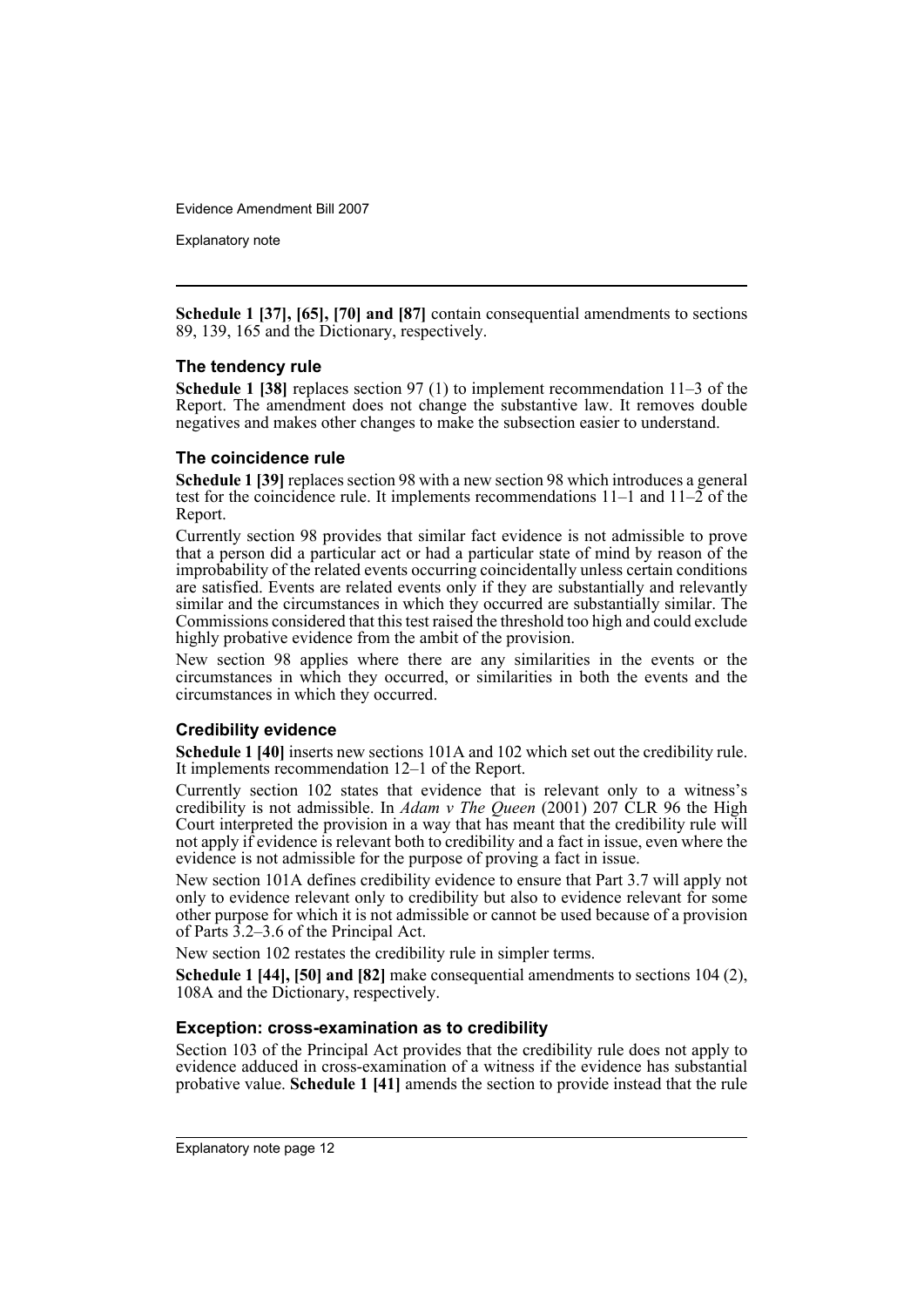Explanatory note

**Schedule 1 [37], [65], [70] and [87]** contain consequential amendments to sections 89, 139, 165 and the Dictionary, respectively.

#### **The tendency rule**

**Schedule 1 [38]** replaces section 97 (1) to implement recommendation 11–3 of the Report. The amendment does not change the substantive law. It removes double negatives and makes other changes to make the subsection easier to understand.

### **The coincidence rule**

**Schedule 1 [39]** replaces section 98 with a new section 98 which introduces a general test for the coincidence rule. It implements recommendations  $11-1$  and  $11-2$  of the Report.

Currently section 98 provides that similar fact evidence is not admissible to prove that a person did a particular act or had a particular state of mind by reason of the improbability of the related events occurring coincidentally unless certain conditions are satisfied. Events are related events only if they are substantially and relevantly similar and the circumstances in which they occurred are substantially similar. The Commissions considered that this test raised the threshold too high and could exclude highly probative evidence from the ambit of the provision.

New section 98 applies where there are any similarities in the events or the circumstances in which they occurred, or similarities in both the events and the circumstances in which they occurred.

### **Credibility evidence**

**Schedule 1 [40]** inserts new sections 101A and 102 which set out the credibility rule. It implements recommendation 12–1 of the Report.

Currently section 102 states that evidence that is relevant only to a witness's credibility is not admissible. In *Adam v The Queen* (2001) 207 CLR 96 the High Court interpreted the provision in a way that has meant that the credibility rule will not apply if evidence is relevant both to credibility and a fact in issue, even where the evidence is not admissible for the purpose of proving a fact in issue.

New section 101A defines credibility evidence to ensure that Part 3.7 will apply not only to evidence relevant only to credibility but also to evidence relevant for some other purpose for which it is not admissible or cannot be used because of a provision of Parts 3.2–3.6 of the Principal Act.

New section 102 restates the credibility rule in simpler terms.

**Schedule 1 [44], [50] and [82]** make consequential amendments to sections 104 (2), 108A and the Dictionary, respectively.

#### **Exception: cross-examination as to credibility**

Section 103 of the Principal Act provides that the credibility rule does not apply to evidence adduced in cross-examination of a witness if the evidence has substantial probative value. **Schedule 1 [41]** amends the section to provide instead that the rule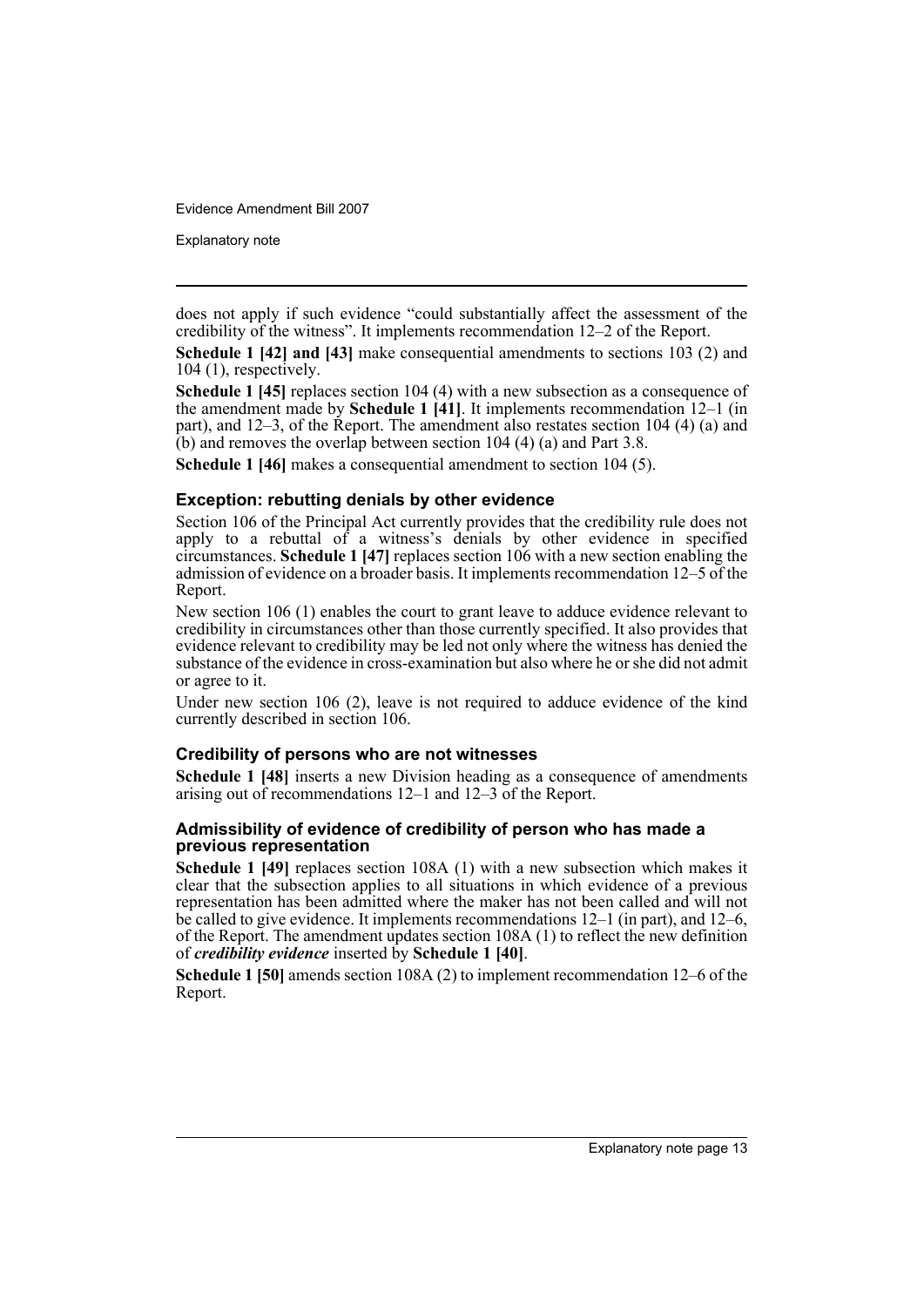Explanatory note

does not apply if such evidence "could substantially affect the assessment of the credibility of the witness". It implements recommendation 12–2 of the Report.

**Schedule 1 [42] and [43]** make consequential amendments to sections 103 (2) and 104 (1), respectively.

**Schedule 1 [45]** replaces section 104 (4) with a new subsection as a consequence of the amendment made by **Schedule 1 [41]**. It implements recommendation 12–1 (in part), and 12–3, of the Report. The amendment also restates section 104 (4) (a) and  $(b)$  and removes the overlap between section 104 (4) (a) and Part 3.8.

**Schedule 1 [46]** makes a consequential amendment to section 104 (5).

#### **Exception: rebutting denials by other evidence**

Section 106 of the Principal Act currently provides that the credibility rule does not apply to a rebuttal of a witness's denials by other evidence in specified circumstances. **Schedule 1 [47]** replaces section 106 with a new section enabling the admission of evidence on a broader basis. It implements recommendation 12–5 of the Report.

New section 106 (1) enables the court to grant leave to adduce evidence relevant to credibility in circumstances other than those currently specified. It also provides that evidence relevant to credibility may be led not only where the witness has denied the substance of the evidence in cross-examination but also where he or she did not admit or agree to it.

Under new section 106 (2), leave is not required to adduce evidence of the kind currently described in section 106.

#### **Credibility of persons who are not witnesses**

**Schedule 1 [48]** inserts a new Division heading as a consequence of amendments arising out of recommendations 12–1 and 12–3 of the Report.

#### **Admissibility of evidence of credibility of person who has made a previous representation**

**Schedule 1 [49]** replaces section 108A (1) with a new subsection which makes it clear that the subsection applies to all situations in which evidence of a previous representation has been admitted where the maker has not been called and will not be called to give evidence. It implements recommendations 12–1 (in part), and 12–6, of the Report. The amendment updates section 108A (1) to reflect the new definition of *credibility evidence* inserted by **Schedule 1 [40]**.

**Schedule 1 [50]** amends section 108A (2) to implement recommendation 12–6 of the Report.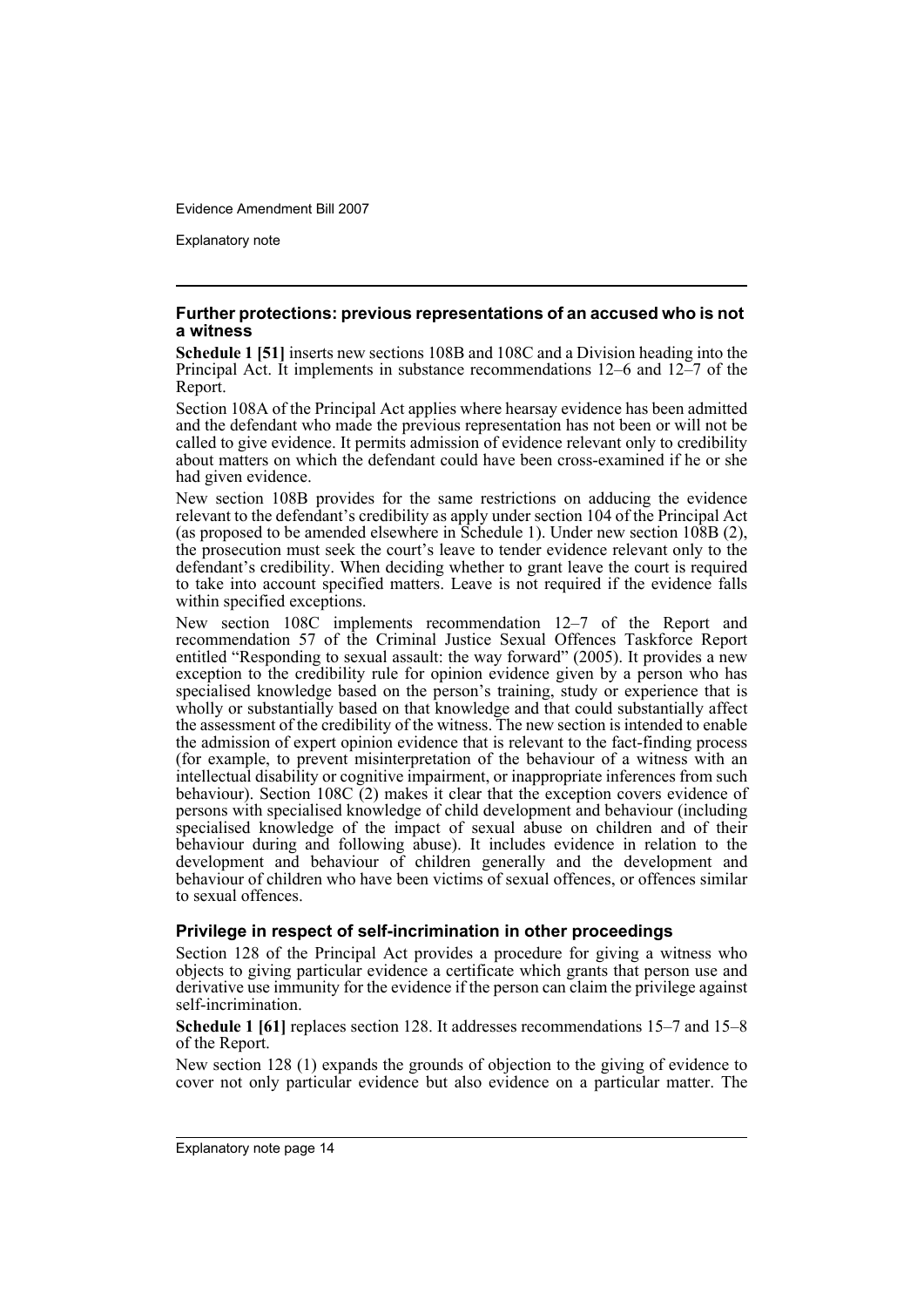Explanatory note

#### **Further protections: previous representations of an accused who is not a witness**

**Schedule 1 [51]** inserts new sections 108B and 108C and a Division heading into the Principal Act. It implements in substance recommendations 12–6 and 12–7 of the Report.

Section 108A of the Principal Act applies where hearsay evidence has been admitted and the defendant who made the previous representation has not been or will not be called to give evidence. It permits admission of evidence relevant only to credibility about matters on which the defendant could have been cross-examined if he or she had given evidence.

New section 108B provides for the same restrictions on adducing the evidence relevant to the defendant's credibility as apply under section 104 of the Principal Act (as proposed to be amended elsewhere in Schedule 1). Under new section 108B (2), the prosecution must seek the court's leave to tender evidence relevant only to the defendant's credibility. When deciding whether to grant leave the court is required to take into account specified matters. Leave is not required if the evidence falls within specified exceptions.

New section 108C implements recommendation 12–7 of the Report and recommendation 57 of the Criminal Justice Sexual Offences Taskforce Report entitled "Responding to sexual assault: the way forward" (2005). It provides a new exception to the credibility rule for opinion evidence given by a person who has specialised knowledge based on the person's training, study or experience that is wholly or substantially based on that knowledge and that could substantially affect the assessment of the credibility of the witness. The new section is intended to enable the admission of expert opinion evidence that is relevant to the fact-finding process (for example, to prevent misinterpretation of the behaviour of a witness with an intellectual disability or cognitive impairment, or inappropriate inferences from such behaviour). Section 108C  $(2)$  makes it clear that the exception covers evidence of persons with specialised knowledge of child development and behaviour (including specialised knowledge of the impact of sexual abuse on children and of their behaviour during and following abuse). It includes evidence in relation to the development and behaviour of children generally and the development and behaviour of children who have been victims of sexual offences, or offences similar to sexual offences.

#### **Privilege in respect of self-incrimination in other proceedings**

Section 128 of the Principal Act provides a procedure for giving a witness who objects to giving particular evidence a certificate which grants that person use and derivative use immunity for the evidence if the person can claim the privilege against self-incrimination.

**Schedule 1 [61]** replaces section 128. It addresses recommendations 15–7 and 15–8 of the Report.

New section 128 (1) expands the grounds of objection to the giving of evidence to cover not only particular evidence but also evidence on a particular matter. The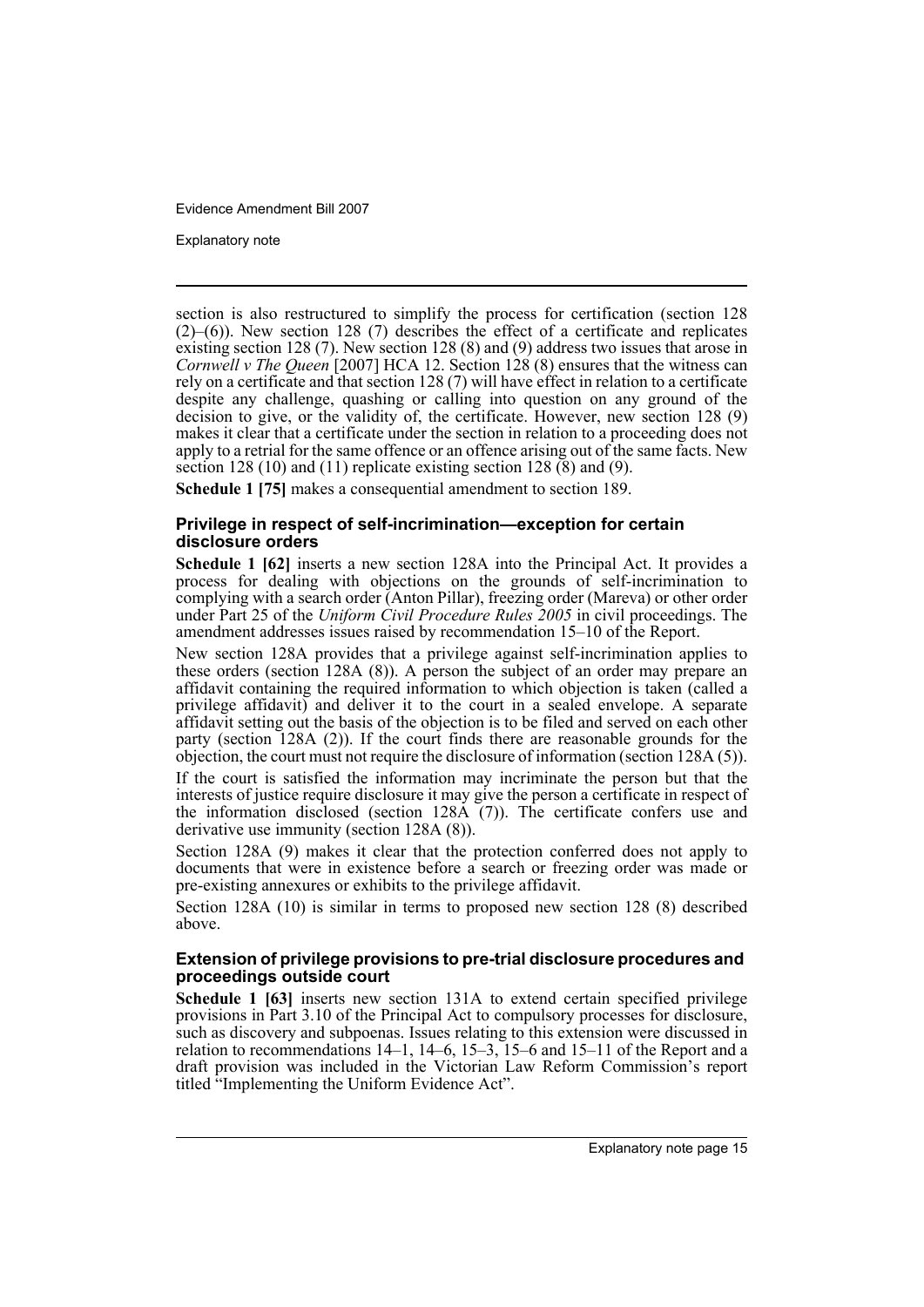Explanatory note

section is also restructured to simplify the process for certification (section 128  $(2)$ – $(6)$ ). New section 128 (7) describes the effect of a certificate and replicates existing section 128 (7). New section 128 (8) and (9) address two issues that arose in *Cornwell v The Queen* [2007] HCA 12. Section 128 (8) ensures that the witness can rely on a certificate and that section 128 (7) will have effect in relation to a certificate despite any challenge, quashing or calling into question on any ground of the decision to give, or the validity of, the certificate. However, new section 128 (9) makes it clear that a certificate under the section in relation to a proceeding does not apply to a retrial for the same offence or an offence arising out of the same facts. New section 128 (10) and (11) replicate existing section 128  $(8)$  and (9).

**Schedule 1 [75]** makes a consequential amendment to section 189.

#### **Privilege in respect of self-incrimination—exception for certain disclosure orders**

**Schedule 1 [62]** inserts a new section 128A into the Principal Act. It provides a process for dealing with objections on the grounds of self-incrimination to complying with a search order (Anton Pillar), freezing order (Mareva) or other order under Part 25 of the *Uniform Civil Procedure Rules 2005* in civil proceedings. The amendment addresses issues raised by recommendation 15–10 of the Report.

New section 128A provides that a privilege against self-incrimination applies to these orders (section 128A (8)). A person the subject of an order may prepare an affidavit containing the required information to which objection is taken (called a privilege affidavit) and deliver it to the court in a sealed envelope. A separate affidavit setting out the basis of the objection is to be filed and served on each other party (section 128A (2)). If the court finds there are reasonable grounds for the objection, the court must not require the disclosure of information (section 128A (5)).

If the court is satisfied the information may incriminate the person but that the interests of justice require disclosure it may give the person a certificate in respect of the information disclosed (section  $128\text{\AA}$  (7)). The certificate confers use and derivative use immunity (section 128A (8)).

Section 128A (9) makes it clear that the protection conferred does not apply to documents that were in existence before a search or freezing order was made or pre-existing annexures or exhibits to the privilege affidavit.

Section 128A (10) is similar in terms to proposed new section 128 (8) described above.

#### **Extension of privilege provisions to pre-trial disclosure procedures and proceedings outside court**

**Schedule 1 [63]** inserts new section 131A to extend certain specified privilege provisions in Part 3.10 of the Principal Act to compulsory processes for disclosure, such as discovery and subpoenas. Issues relating to this extension were discussed in relation to recommendations  $14-1$ ,  $14-6$ ,  $15-3$ ,  $15-6$  and  $15-11$  of the Report and a draft provision was included in the Victorian Law Reform Commission's report titled "Implementing the Uniform Evidence Act".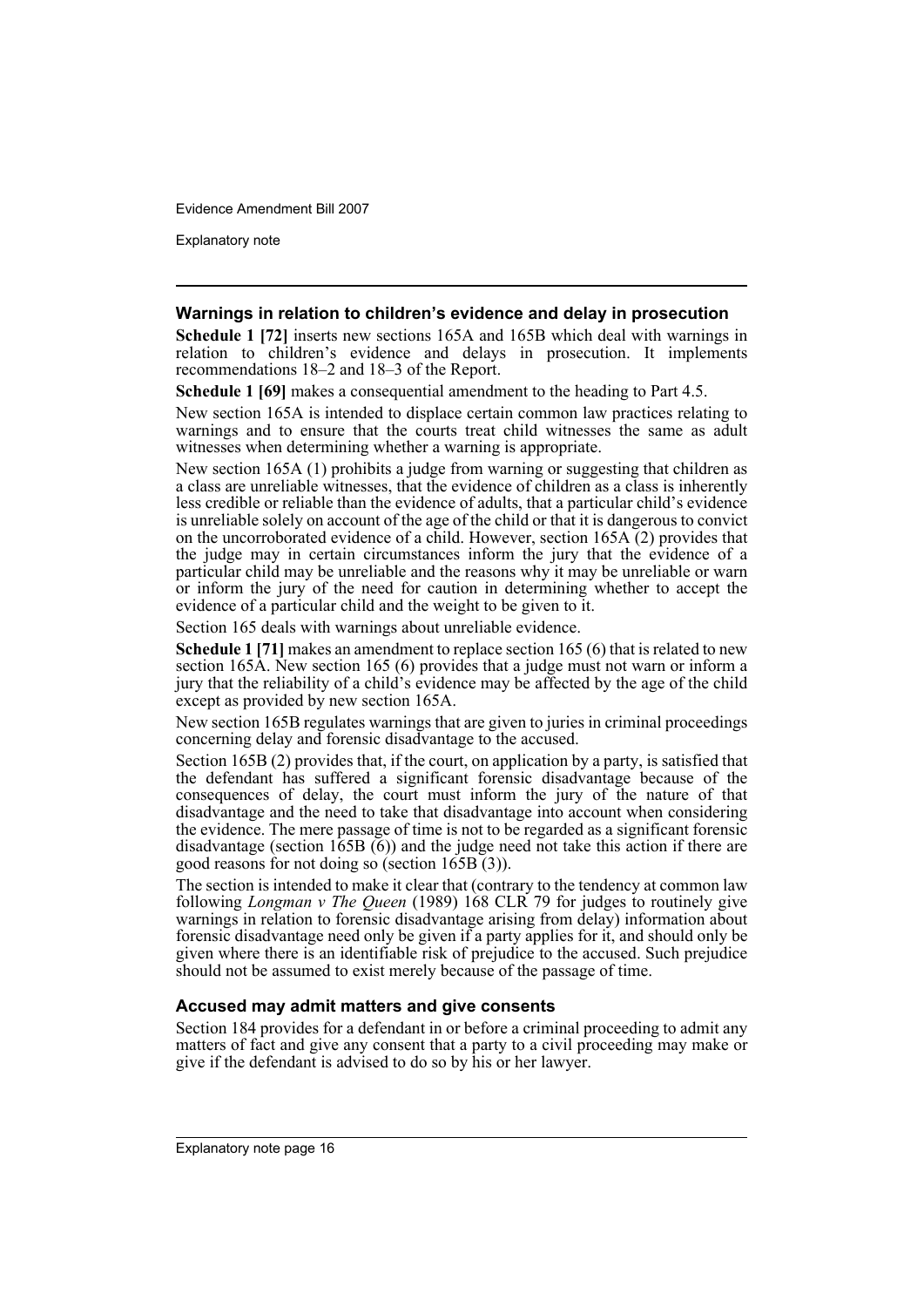Explanatory note

#### **Warnings in relation to children's evidence and delay in prosecution**

**Schedule 1 [72]** inserts new sections 165A and 165B which deal with warnings in relation to children's evidence and delays in prosecution. It implements recommendations 18–2 and 18–3 of the Report.

**Schedule 1 [69]** makes a consequential amendment to the heading to Part 4.5.

New section 165A is intended to displace certain common law practices relating to warnings and to ensure that the courts treat child witnesses the same as adult witnesses when determining whether a warning is appropriate.

New section 165A (1) prohibits a judge from warning or suggesting that children as a class are unreliable witnesses, that the evidence of children as a class is inherently less credible or reliable than the evidence of adults, that a particular child's evidence is unreliable solely on account of the age of the child or that it is dangerous to convict on the uncorroborated evidence of a child. However, section  $165\text{\AA}$  (2) provides that the judge may in certain circumstances inform the jury that the evidence of a particular child may be unreliable and the reasons why it may be unreliable or warn or inform the jury of the need for caution in determining whether to accept the evidence of a particular child and the weight to be given to it.

Section 165 deals with warnings about unreliable evidence.

**Schedule 1 [71]** makes an amendment to replace section 165 (6) that is related to new section 165A. New section 165 (6) provides that a judge must not warn or inform a jury that the reliability of a child's evidence may be affected by the age of the child except as provided by new section 165A.

New section 165B regulates warnings that are given to juries in criminal proceedings concerning delay and forensic disadvantage to the accused.

Section 165B (2) provides that, if the court, on application by a party, is satisfied that the defendant has suffered a significant forensic disadvantage because of the consequences of delay, the court must inform the jury of the nature of that disadvantage and the need to take that disadvantage into account when considering the evidence. The mere passage of time is not to be regarded as a significant forensic disadvantage (section  $165B(6)$ ) and the judge need not take this action if there are good reasons for not doing so (section 165B (3)).

The section is intended to make it clear that (contrary to the tendency at common law following *Longman v The Queen* (1989) 168 CLR 79 for judges to routinely give warnings in relation to forensic disadvantage arising from delay) information about forensic disadvantage need only be given if a party applies for it, and should only be given where there is an identifiable risk of prejudice to the accused. Such prejudice should not be assumed to exist merely because of the passage of time.

#### **Accused may admit matters and give consents**

Section 184 provides for a defendant in or before a criminal proceeding to admit any matters of fact and give any consent that a party to a civil proceeding may make or give if the defendant is advised to do so by his or her lawyer.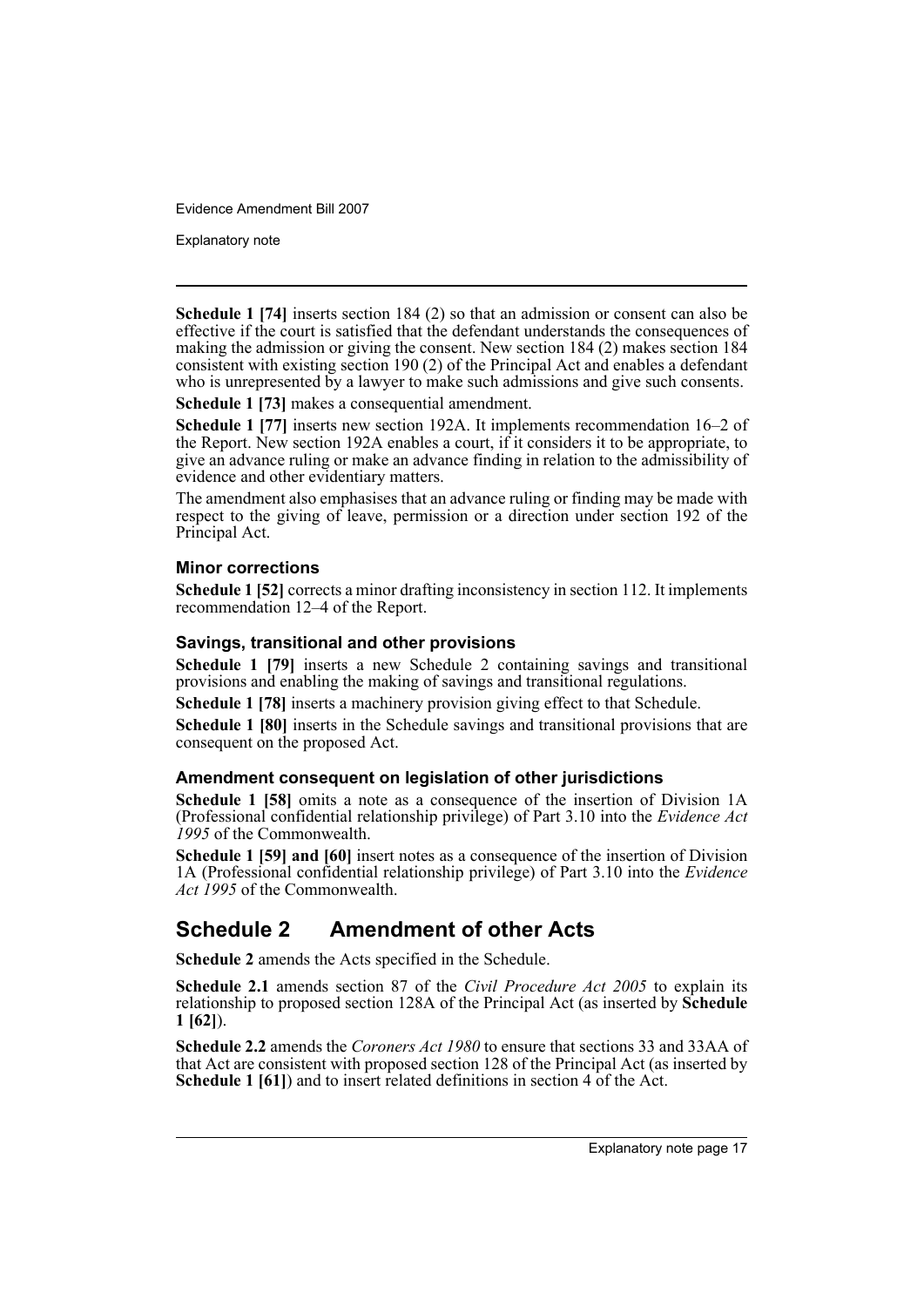Explanatory note

**Schedule 1 [74]** inserts section 184 (2) so that an admission or consent can also be effective if the court is satisfied that the defendant understands the consequences of making the admission or giving the consent. New section 184 (2) makes section 184 consistent with existing section 190 (2) of the Principal Act and enables a defendant who is unrepresented by a lawyer to make such admissions and give such consents.

**Schedule 1 [73]** makes a consequential amendment.

**Schedule 1 [77]** inserts new section 192A. It implements recommendation 16–2 of the Report. New section 192A enables a court, if it considers it to be appropriate, to give an advance ruling or make an advance finding in relation to the admissibility of evidence and other evidentiary matters.

The amendment also emphasises that an advance ruling or finding may be made with respect to the giving of leave, permission or a direction under section 192 of the Principal Act.

### **Minor corrections**

**Schedule 1 [52]** corrects a minor drafting inconsistency in section 112. It implements recommendation 12–4 of the Report.

### **Savings, transitional and other provisions**

**Schedule 1 [79]** inserts a new Schedule 2 containing savings and transitional provisions and enabling the making of savings and transitional regulations.

**Schedule 1 [78]** inserts a machinery provision giving effect to that Schedule.

**Schedule 1 [80]** inserts in the Schedule savings and transitional provisions that are consequent on the proposed Act.

#### **Amendment consequent on legislation of other jurisdictions**

**Schedule 1 [58]** omits a note as a consequence of the insertion of Division 1A (Professional confidential relationship privilege) of Part 3.10 into the *Evidence Act 1995* of the Commonwealth.

**Schedule 1 [59] and [60]** insert notes as a consequence of the insertion of Division 1A (Professional confidential relationship privilege) of Part 3.10 into the *Evidence Act 1995* of the Commonwealth.

# **Schedule 2 Amendment of other Acts**

**Schedule 2** amends the Acts specified in the Schedule.

**Schedule 2.1** amends section 87 of the *Civil Procedure Act 2005* to explain its relationship to proposed section 128A of the Principal Act (as inserted by **Schedule 1 [62]**).

**Schedule 2.2** amends the *Coroners Act 1980* to ensure that sections 33 and 33AA of that Act are consistent with proposed section 128 of the Principal Act (as inserted by **Schedule 1 [61]**) and to insert related definitions in section 4 of the Act.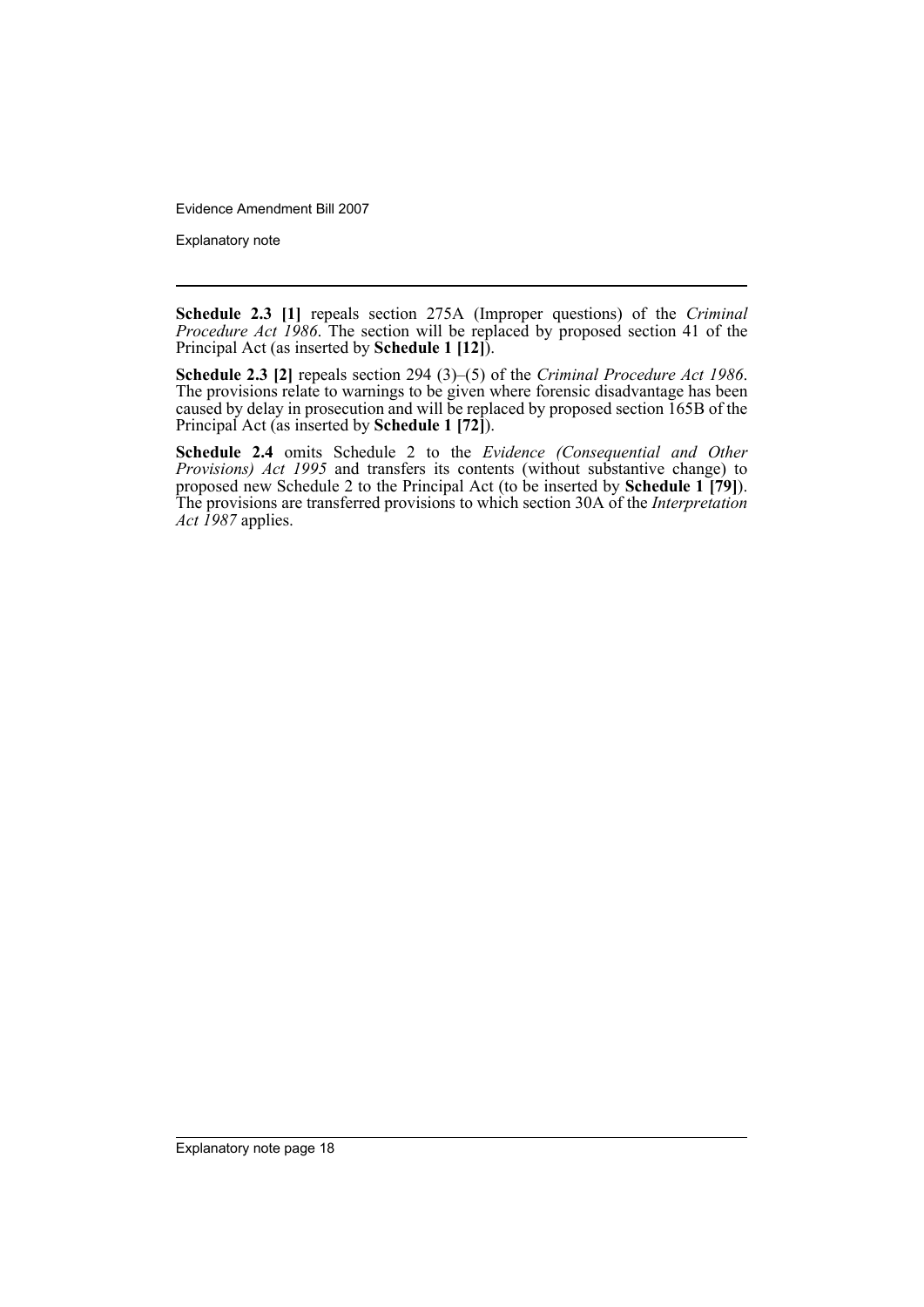Explanatory note

**Schedule 2.3 [1]** repeals section 275A (Improper questions) of the *Criminal Procedure Act 1986*. The section will be replaced by proposed section 41 of the Principal Act (as inserted by **Schedule 1 [12]**).

**Schedule 2.3 [2]** repeals section 294 (3)–(5) of the *Criminal Procedure Act 1986*. The provisions relate to warnings to be given where forensic disadvantage has been caused by delay in prosecution and will be replaced by proposed section 165B of the Principal Act (as inserted by **Schedule 1 [72]**).

**Schedule 2.4** omits Schedule 2 to the *Evidence (Consequential and Other Provisions) Act 1995* and transfers its contents (without substantive change) to proposed new Schedule 2 to the Principal Act (to be inserted by **Schedule 1 [79]**). The provisions are transferred provisions to which section 30A of the *Interpretation Act 1987* applies.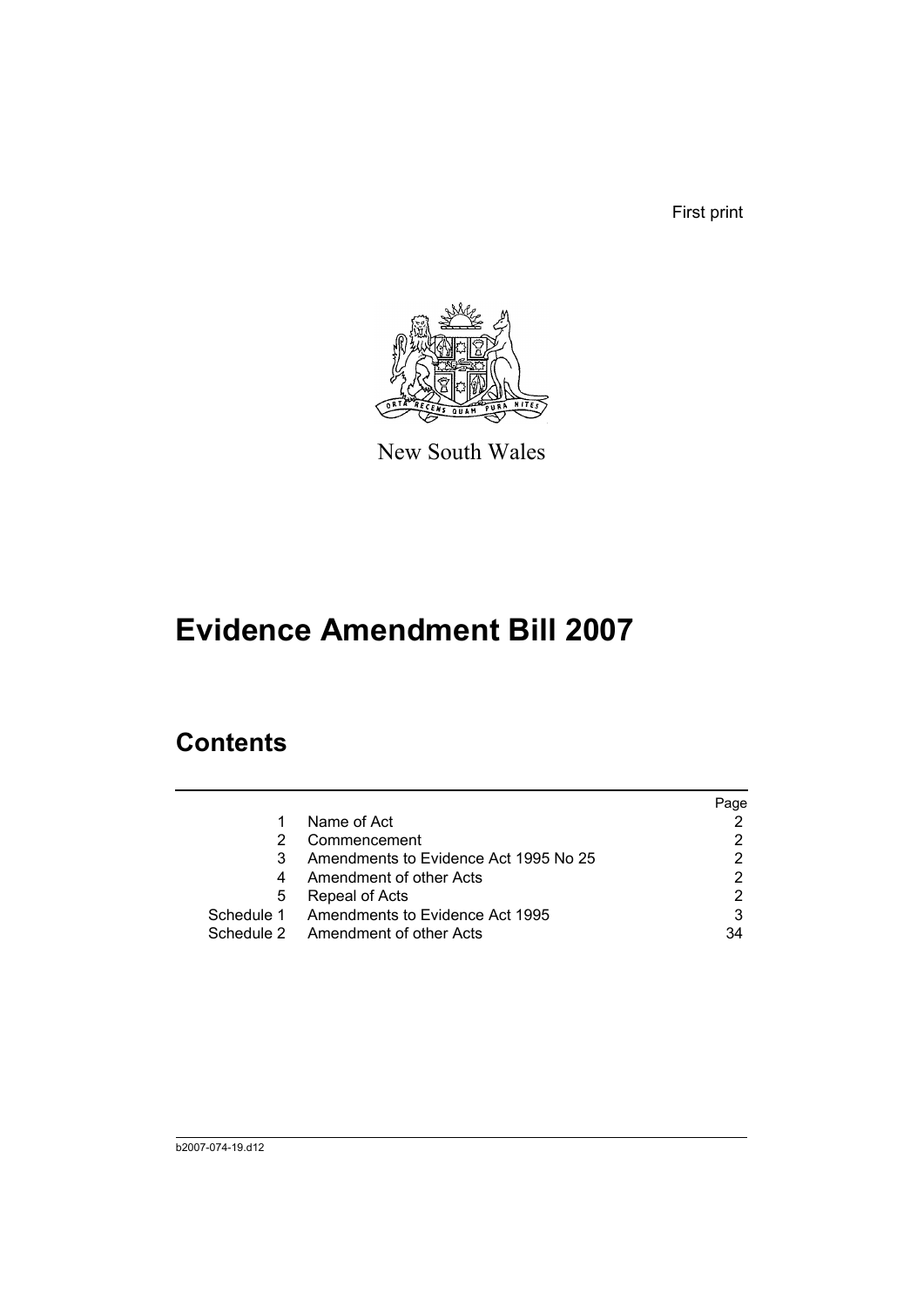First print



New South Wales

# **Evidence Amendment Bill 2007**

# **Contents**

|   |                                            | Page |
|---|--------------------------------------------|------|
| 1 | Name of Act                                |      |
| 2 | Commencement                               |      |
| 3 | Amendments to Evidence Act 1995 No 25      |      |
| 4 | Amendment of other Acts                    | 2    |
| 5 | Repeal of Acts                             |      |
|   | Schedule 1 Amendments to Evidence Act 1995 | 3    |
|   | Schedule 2 Amendment of other Acts         | 34   |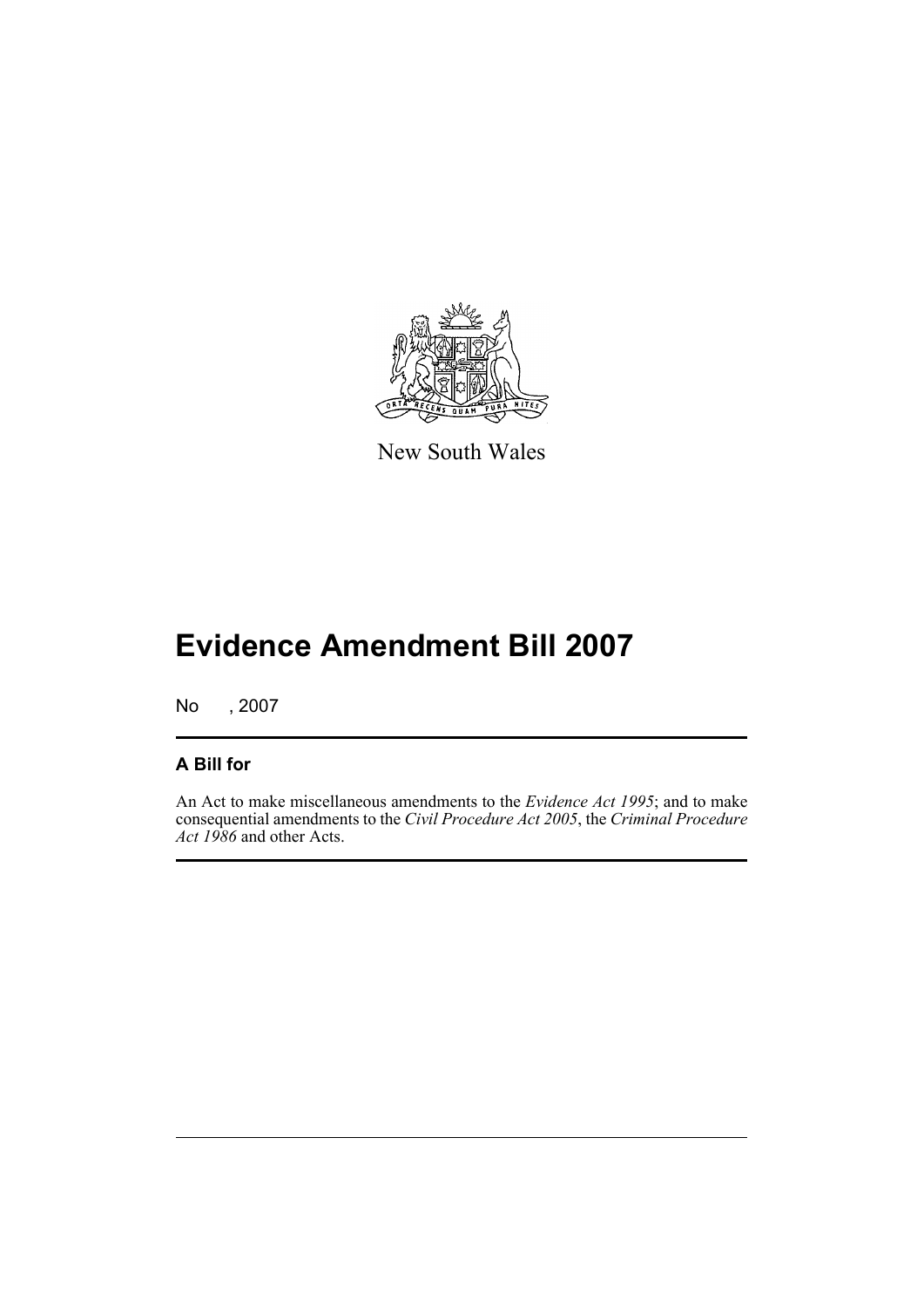

New South Wales

# **Evidence Amendment Bill 2007**

No , 2007

# **A Bill for**

An Act to make miscellaneous amendments to the *Evidence Act 1995*; and to make consequential amendments to the *Civil Procedure Act 2005*, the *Criminal Procedure Act 1986* and other Acts.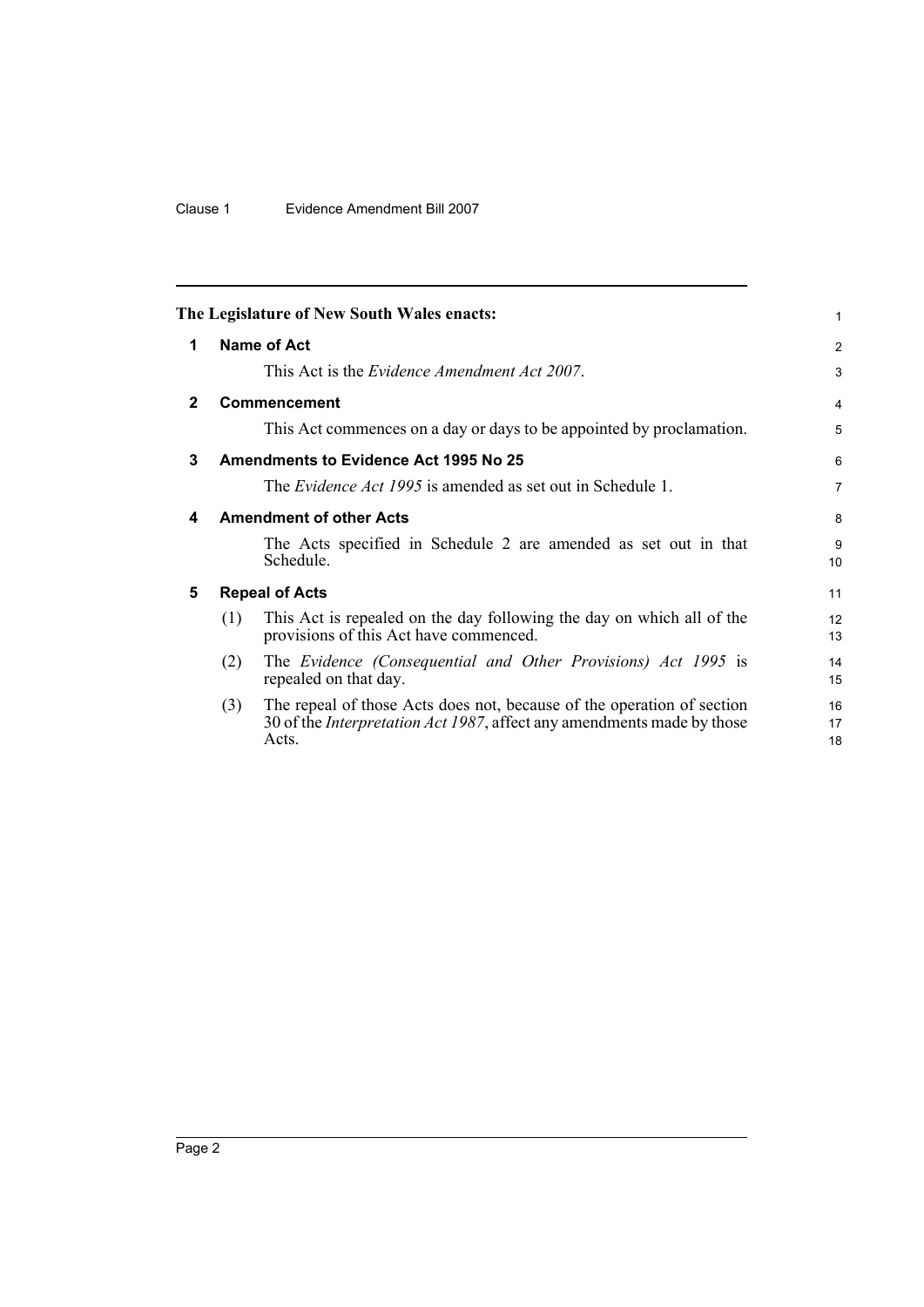<span id="page-21-4"></span><span id="page-21-3"></span><span id="page-21-2"></span><span id="page-21-1"></span><span id="page-21-0"></span>

|              | The Legislature of New South Wales enacts:                                                                                                                                                                                                                                                                                                                                                                                   | 1                                                         |
|--------------|------------------------------------------------------------------------------------------------------------------------------------------------------------------------------------------------------------------------------------------------------------------------------------------------------------------------------------------------------------------------------------------------------------------------------|-----------------------------------------------------------|
| 1            | Name of Act<br>This Act is the <i>Evidence Amendment Act 2007</i> .                                                                                                                                                                                                                                                                                                                                                          | 2<br>3                                                    |
| $\mathbf{2}$ | <b>Commencement</b><br>This Act commences on a day or days to be appointed by proclamation.                                                                                                                                                                                                                                                                                                                                  | $\overline{4}$<br>5                                       |
| 3            | Amendments to Evidence Act 1995 No 25<br>The <i>Evidence Act 1995</i> is amended as set out in Schedule 1.                                                                                                                                                                                                                                                                                                                   | 6<br>$\overline{7}$                                       |
| 4            | <b>Amendment of other Acts</b><br>The Acts specified in Schedule 2 are amended as set out in that<br>Schedule.                                                                                                                                                                                                                                                                                                               | 8<br>9<br>10                                              |
| 5            | <b>Repeal of Acts</b><br>This Act is repealed on the day following the day on which all of the<br>(1)<br>provisions of this Act have commenced.<br>The Evidence (Consequential and Other Provisions) Act 1995 is<br>(2)<br>repealed on that day.<br>The repeal of those Acts does not, because of the operation of section<br>(3)<br>30 of the <i>Interpretation Act 1987</i> , affect any amendments made by those<br>Acts. | 11<br>12 <sup>2</sup><br>13<br>14<br>15<br>16<br>17<br>18 |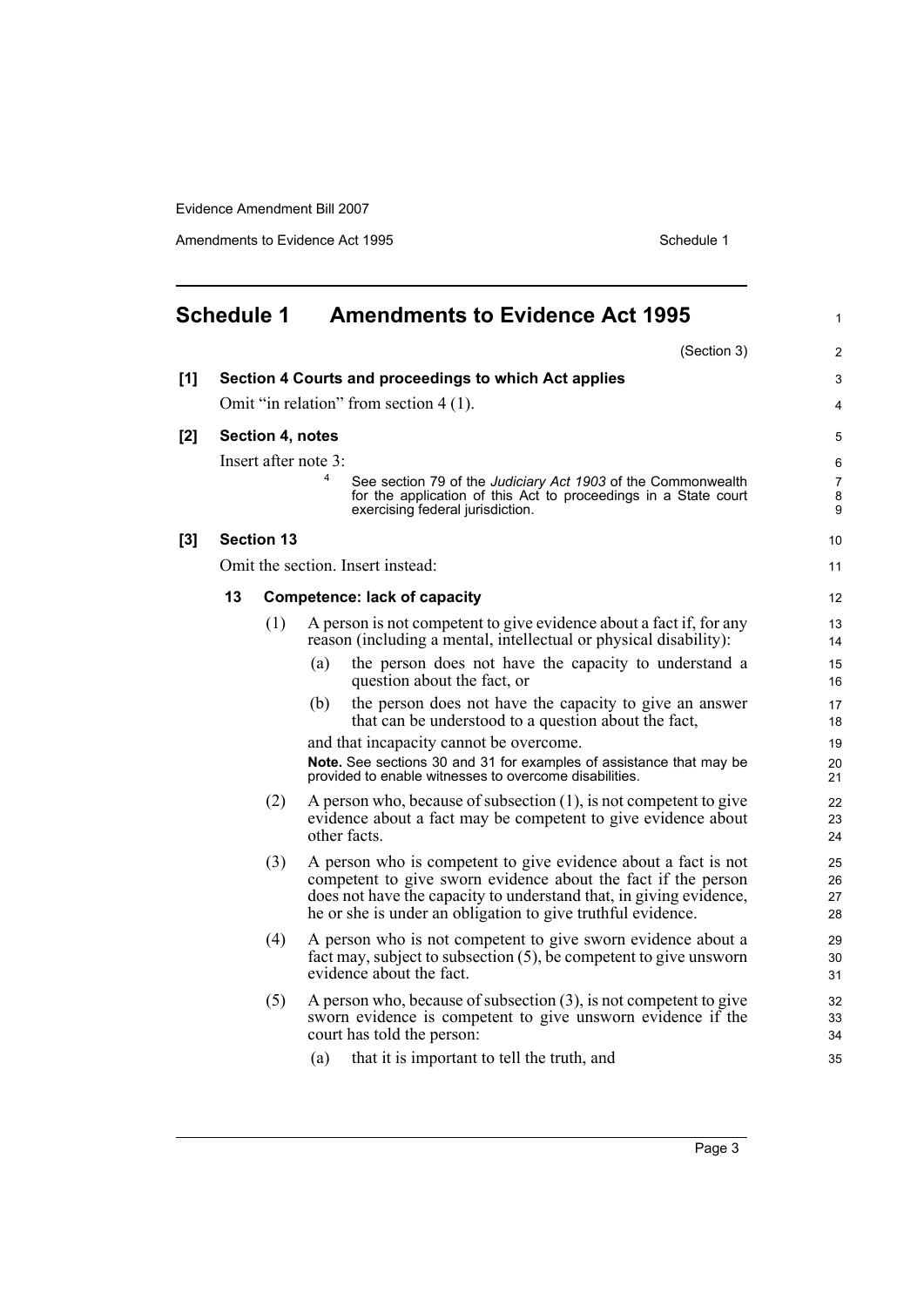Amendments to Evidence Act 1995 Schedule 1

<span id="page-22-0"></span>

| <b>Schedule 1</b> |    |                   | <b>Amendments to Evidence Act 1995</b>                                                                                                                                                                                                                                |                      |  |
|-------------------|----|-------------------|-----------------------------------------------------------------------------------------------------------------------------------------------------------------------------------------------------------------------------------------------------------------------|----------------------|--|
|                   |    |                   | (Section 3)                                                                                                                                                                                                                                                           | $\overline{2}$       |  |
| [1]               |    |                   | Section 4 Courts and proceedings to which Act applies                                                                                                                                                                                                                 | 3                    |  |
|                   |    |                   | Omit "in relation" from section 4 (1).                                                                                                                                                                                                                                | 4                    |  |
| [2]               |    | Section 4, notes  |                                                                                                                                                                                                                                                                       | 5                    |  |
|                   |    |                   | Insert after note 3:                                                                                                                                                                                                                                                  | 6                    |  |
|                   |    |                   | 4<br>See section 79 of the Judiciary Act 1903 of the Commonwealth<br>for the application of this Act to proceedings in a State court<br>exercising federal jurisdiction.                                                                                              | 7<br>8<br>9          |  |
| $[3]$             |    | <b>Section 13</b> |                                                                                                                                                                                                                                                                       | 10                   |  |
|                   |    |                   | Omit the section. Insert instead:                                                                                                                                                                                                                                     | 11                   |  |
|                   | 13 |                   | <b>Competence: lack of capacity</b>                                                                                                                                                                                                                                   | 12                   |  |
|                   |    | (1)               | A person is not competent to give evidence about a fact if, for any<br>reason (including a mental, intellectual or physical disability):                                                                                                                              | 13<br>14             |  |
|                   |    |                   | the person does not have the capacity to understand a<br>(a)<br>question about the fact, or                                                                                                                                                                           | 15<br>16             |  |
|                   |    |                   | the person does not have the capacity to give an answer<br>(b)<br>that can be understood to a question about the fact,                                                                                                                                                | 17<br>18             |  |
|                   |    |                   | and that incapacity cannot be overcome.                                                                                                                                                                                                                               | 19                   |  |
|                   |    |                   | Note. See sections 30 and 31 for examples of assistance that may be<br>provided to enable witnesses to overcome disabilities.                                                                                                                                         | 20<br>21             |  |
|                   |    | (2)               | A person who, because of subsection $(1)$ , is not competent to give<br>evidence about a fact may be competent to give evidence about<br>other facts.                                                                                                                 | 22<br>23<br>24       |  |
|                   |    | (3)               | A person who is competent to give evidence about a fact is not<br>competent to give sworn evidence about the fact if the person<br>does not have the capacity to understand that, in giving evidence,<br>the or she is under an obligation to give truthful evidence. | 25<br>26<br>27<br>28 |  |
|                   |    | (4)               | A person who is not competent to give sworn evidence about a<br>fact may, subject to subsection $(5)$ , be competent to give unsworn<br>evidence about the fact.                                                                                                      | 29<br>30<br>31       |  |
|                   |    | (5)               | A person who, because of subsection $(3)$ , is not competent to give<br>sworn evidence is competent to give unsworn evidence if the<br>court has told the person:                                                                                                     | 32<br>33<br>34       |  |
|                   |    |                   | (a)<br>that it is important to tell the truth, and                                                                                                                                                                                                                    | 35                   |  |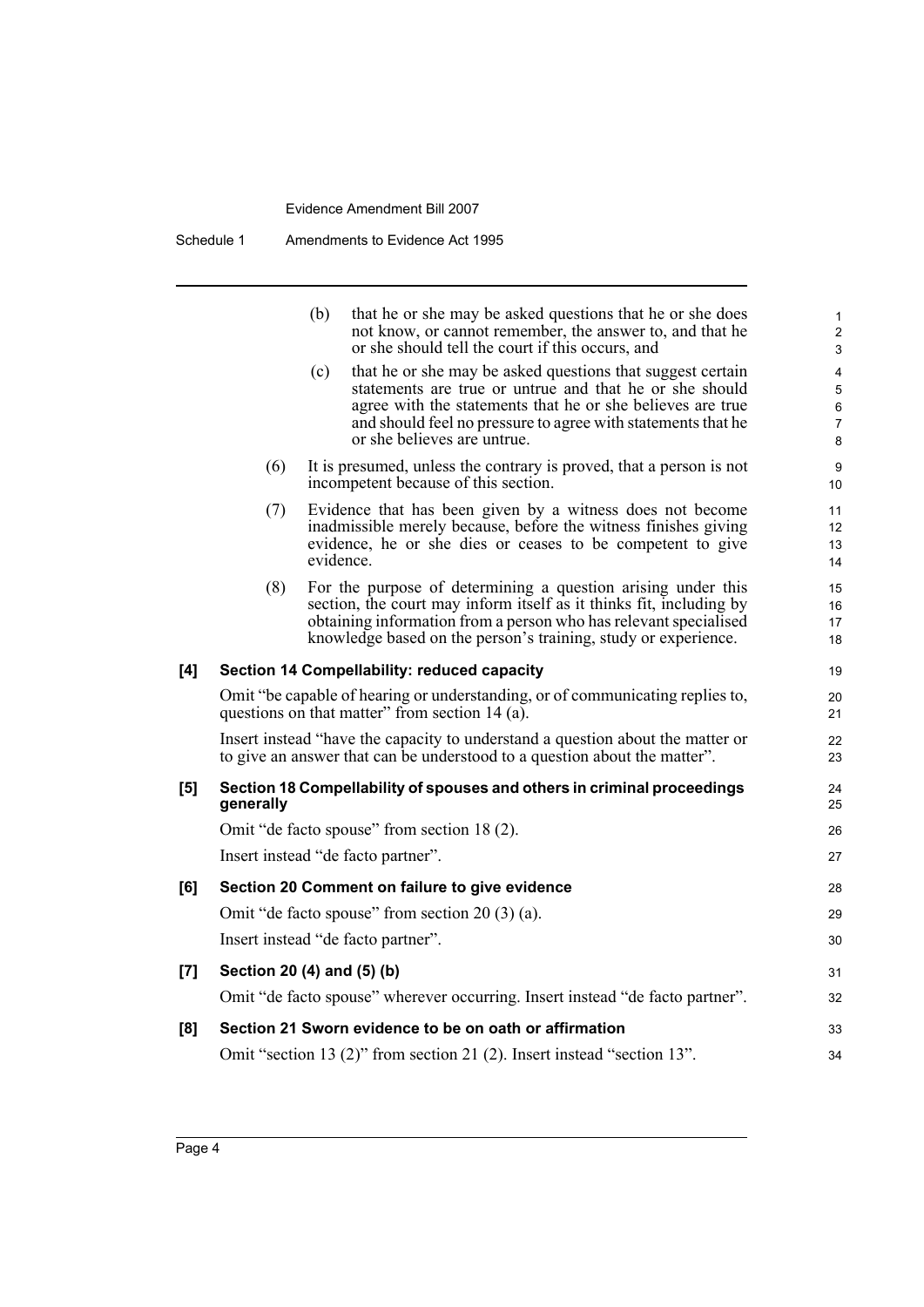|     |                            | (b) | that he or she may be asked questions that he or she does<br>not know, or cannot remember, the answer to, and that he<br>or she should tell the court if this occurs, and                                                                                                          | 1<br>$\overline{c}$<br>3 |
|-----|----------------------------|-----|------------------------------------------------------------------------------------------------------------------------------------------------------------------------------------------------------------------------------------------------------------------------------------|--------------------------|
|     |                            | (c) | that he or she may be asked questions that suggest certain<br>statements are true or untrue and that he or she should<br>agree with the statements that he or she believes are true<br>and should feel no pressure to agree with statements that he<br>or she believes are untrue. | 4<br>5<br>6<br>7<br>8    |
|     | (6)                        |     | It is presumed, unless the contrary is proved, that a person is not<br>incompetent because of this section.                                                                                                                                                                        | 9<br>10                  |
|     | (7)                        |     | Evidence that has been given by a witness does not become<br>inadmissible merely because, before the witness finishes giving<br>evidence, he or she dies or ceases to be competent to give<br>evidence.                                                                            | 11<br>12<br>13<br>14     |
|     | (8)                        |     | For the purpose of determining a question arising under this<br>section, the court may inform itself as it thinks fit, including by<br>obtaining information from a person who has relevant specialised<br>knowledge based on the person's training, study or experience.          | 15<br>16<br>17<br>18     |
| [4] |                            |     | Section 14 Compellability: reduced capacity                                                                                                                                                                                                                                        | 19                       |
|     |                            |     | Omit "be capable of hearing or understanding, or of communicating replies to,<br>questions on that matter" from section 14 (a).                                                                                                                                                    | 20<br>21                 |
|     |                            |     | Insert instead "have the capacity to understand a question about the matter or<br>to give an answer that can be understood to a question about the matter".                                                                                                                        | 22<br>23                 |
| [5] | generally                  |     | Section 18 Compellability of spouses and others in criminal proceedings                                                                                                                                                                                                            | 24<br>25                 |
|     |                            |     | Omit "de facto spouse" from section 18 (2).                                                                                                                                                                                                                                        | 26                       |
|     |                            |     | Insert instead "de facto partner".                                                                                                                                                                                                                                                 | 27                       |
| [6] |                            |     | Section 20 Comment on failure to give evidence                                                                                                                                                                                                                                     | 28                       |
|     |                            |     | Omit "de facto spouse" from section $20(3)(a)$ .                                                                                                                                                                                                                                   | 29                       |
|     |                            |     | Insert instead "de facto partner".                                                                                                                                                                                                                                                 | 30                       |
| [7] | Section 20 (4) and (5) (b) |     |                                                                                                                                                                                                                                                                                    | 31                       |
|     |                            |     | Omit "de facto spouse" wherever occurring. Insert instead "de facto partner".                                                                                                                                                                                                      | 32                       |
| [8] |                            |     | Section 21 Sworn evidence to be on oath or affirmation                                                                                                                                                                                                                             | 33                       |
|     |                            |     | Omit "section 13 (2)" from section 21 (2). Insert instead "section 13".                                                                                                                                                                                                            | 34                       |
|     |                            |     |                                                                                                                                                                                                                                                                                    |                          |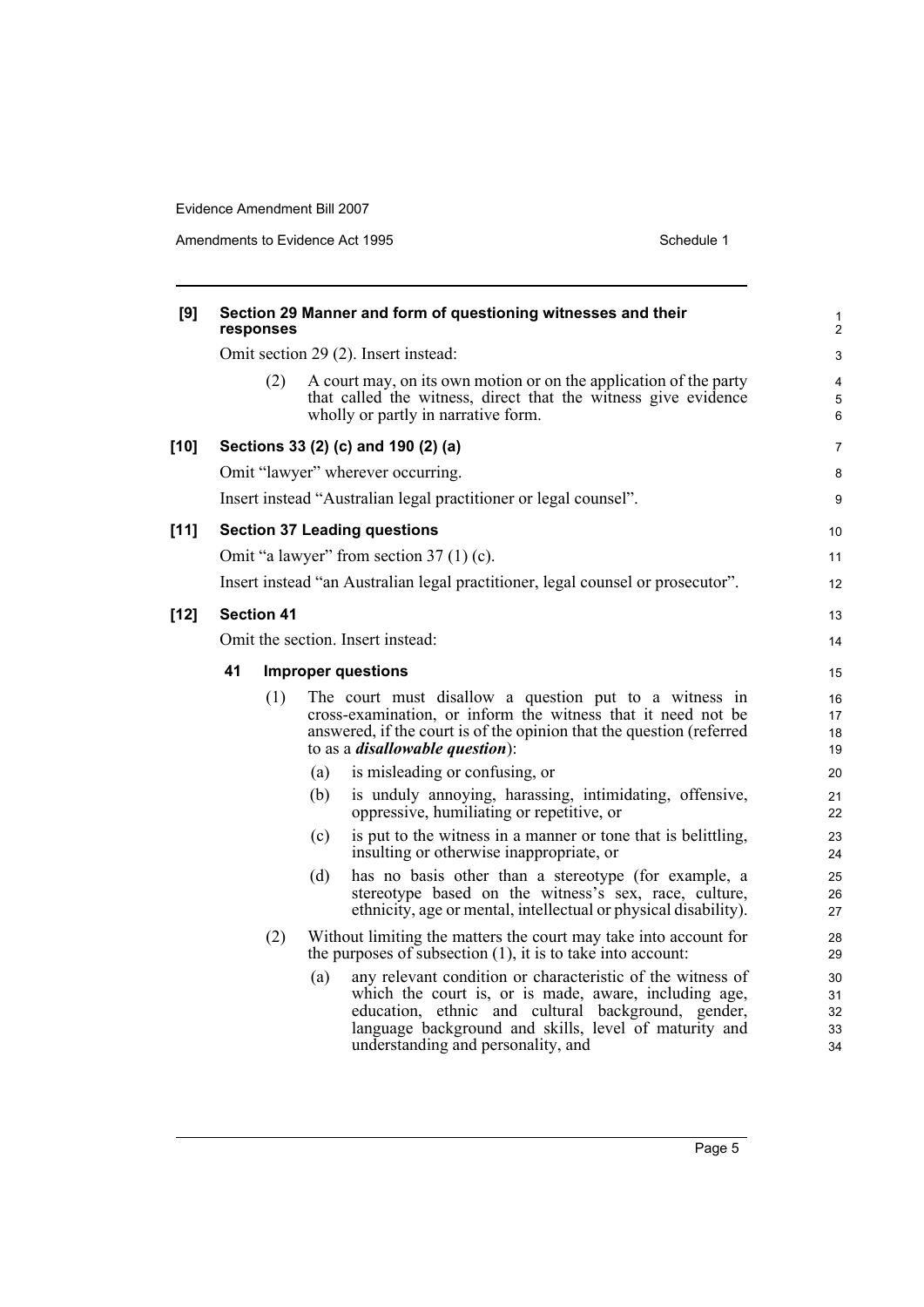Amendments to Evidence Act 1995 Schedule 1

| [9]    | Section 29 Manner and form of questioning witnesses and their<br>responses |                                                                                                                                                                                                                                                                                 |                            |  |  |  |  |  |
|--------|----------------------------------------------------------------------------|---------------------------------------------------------------------------------------------------------------------------------------------------------------------------------------------------------------------------------------------------------------------------------|----------------------------|--|--|--|--|--|
|        |                                                                            | Omit section 29 (2). Insert instead:                                                                                                                                                                                                                                            | 3                          |  |  |  |  |  |
|        | (2)                                                                        | A court may, on its own motion or on the application of the party<br>that called the witness, direct that the witness give evidence<br>wholly or partly in narrative form.                                                                                                      | 4<br>5<br>6                |  |  |  |  |  |
| $[10]$ |                                                                            | Sections 33 (2) (c) and 190 (2) (a)                                                                                                                                                                                                                                             | 7                          |  |  |  |  |  |
|        |                                                                            | Omit "lawyer" wherever occurring.                                                                                                                                                                                                                                               | 8                          |  |  |  |  |  |
|        |                                                                            | Insert instead "Australian legal practitioner or legal counsel".                                                                                                                                                                                                                | 9                          |  |  |  |  |  |
| $[11]$ |                                                                            | <b>Section 37 Leading questions</b>                                                                                                                                                                                                                                             | 10                         |  |  |  |  |  |
|        |                                                                            | Omit "a lawyer" from section $37(1)(c)$ .                                                                                                                                                                                                                                       | 11                         |  |  |  |  |  |
|        |                                                                            | Insert instead "an Australian legal practitioner, legal counsel or prosecutor".                                                                                                                                                                                                 | 12                         |  |  |  |  |  |
| $[12]$ | <b>Section 41</b>                                                          |                                                                                                                                                                                                                                                                                 | 13                         |  |  |  |  |  |
|        | Omit the section. Insert instead:                                          |                                                                                                                                                                                                                                                                                 |                            |  |  |  |  |  |
|        | 41                                                                         | <b>Improper questions</b>                                                                                                                                                                                                                                                       |                            |  |  |  |  |  |
|        | (1)                                                                        | The court must disallow a question put to a witness in<br>cross-examination, or inform the witness that it need not be<br>answered, if the court is of the opinion that the question (referred<br>to as a <i>disallowable question</i> ):                                       | 16<br>17<br>18<br>19       |  |  |  |  |  |
|        |                                                                            | is misleading or confusing, or<br>(a)                                                                                                                                                                                                                                           | 20                         |  |  |  |  |  |
|        |                                                                            | is unduly annoying, harassing, intimidating, offensive,<br>(b)<br>oppressive, humiliating or repetitive, or                                                                                                                                                                     | 21<br>22                   |  |  |  |  |  |
|        |                                                                            | is put to the witness in a manner or tone that is belittling,<br>(c)<br>insulting or otherwise inappropriate, or                                                                                                                                                                | 23<br>24                   |  |  |  |  |  |
|        |                                                                            | has no basis other than a stereotype (for example, a<br>(d)<br>stereotype based on the witness's sex, race, culture,<br>ethnicity, age or mental, intellectual or physical disability).                                                                                         | 25<br>26<br>27             |  |  |  |  |  |
|        | (2)                                                                        | Without limiting the matters the court may take into account for<br>the purposes of subsection $(1)$ , it is to take into account:                                                                                                                                              | 28<br>29                   |  |  |  |  |  |
|        |                                                                            | any relevant condition or characteristic of the witness of<br>(a)<br>which the court is, or is made, aware, including age,<br>education, ethnic and cultural background, gender,<br>language background and skills, level of maturity and<br>understanding and personality, and | 30<br>31<br>32<br>33<br>34 |  |  |  |  |  |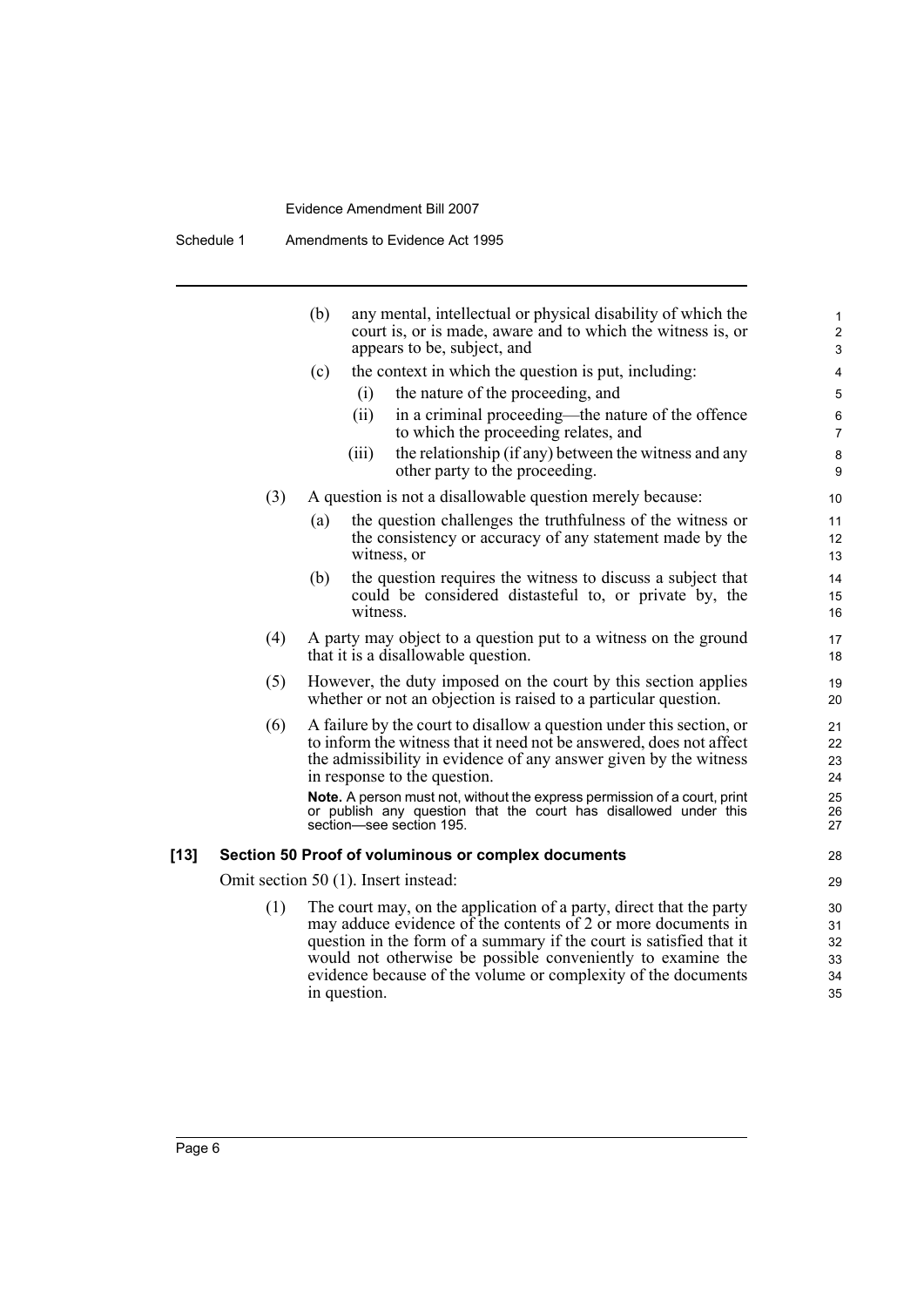|      |     | any mental, intellectual or physical disability of which the<br>(b)<br>court is, or is made, aware and to which the witness is, or<br>appears to be, subject, and                                                                                                                                                                                           | 1<br>$\mathbf{2}$<br>3           |
|------|-----|-------------------------------------------------------------------------------------------------------------------------------------------------------------------------------------------------------------------------------------------------------------------------------------------------------------------------------------------------------------|----------------------------------|
|      |     | the context in which the question is put, including:<br>(c)                                                                                                                                                                                                                                                                                                 | 4                                |
|      |     | the nature of the proceeding, and<br>(i)                                                                                                                                                                                                                                                                                                                    | 5                                |
|      |     | in a criminal proceeding—the nature of the offence<br>(ii)<br>to which the proceeding relates, and                                                                                                                                                                                                                                                          | $\,6$<br>$\overline{7}$          |
|      |     | the relationship (if any) between the witness and any<br>(iii)<br>other party to the proceeding.                                                                                                                                                                                                                                                            | $\bf 8$<br>9                     |
|      | (3) | A question is not a disallowable question merely because:                                                                                                                                                                                                                                                                                                   | 10                               |
|      |     | the question challenges the truthfulness of the witness or<br>(a)<br>the consistency or accuracy of any statement made by the<br>witness, or                                                                                                                                                                                                                | 11<br>12<br>13                   |
|      |     | the question requires the witness to discuss a subject that<br>(b)<br>could be considered distasteful to, or private by, the<br>witness.                                                                                                                                                                                                                    | 14<br>15<br>16                   |
|      | (4) | A party may object to a question put to a witness on the ground<br>that it is a disallowable question.                                                                                                                                                                                                                                                      | 17<br>18                         |
|      | (5) | However, the duty imposed on the court by this section applies<br>whether or not an objection is raised to a particular question.                                                                                                                                                                                                                           | 19<br>20                         |
|      | (6) | A failure by the court to disallow a question under this section, or<br>to inform the witness that it need not be answered, does not affect<br>the admissibility in evidence of any answer given by the witness<br>in response to the question.                                                                                                             | 21<br>22<br>23<br>24             |
|      |     | Note. A person must not, without the express permission of a court, print<br>or publish any question that the court has disallowed under this<br>section—see section 195.                                                                                                                                                                                   | 25<br>26<br>27                   |
| [13] |     | Section 50 Proof of voluminous or complex documents                                                                                                                                                                                                                                                                                                         | 28                               |
|      |     | Omit section 50 (1). Insert instead:                                                                                                                                                                                                                                                                                                                        | 29                               |
|      | (1) | The court may, on the application of a party, direct that the party<br>may adduce evidence of the contents of 2 or more documents in<br>question in the form of a summary if the court is satisfied that it<br>would not otherwise be possible conveniently to examine the<br>evidence because of the volume or complexity of the documents<br>in question. | 30<br>31<br>32<br>33<br>34<br>35 |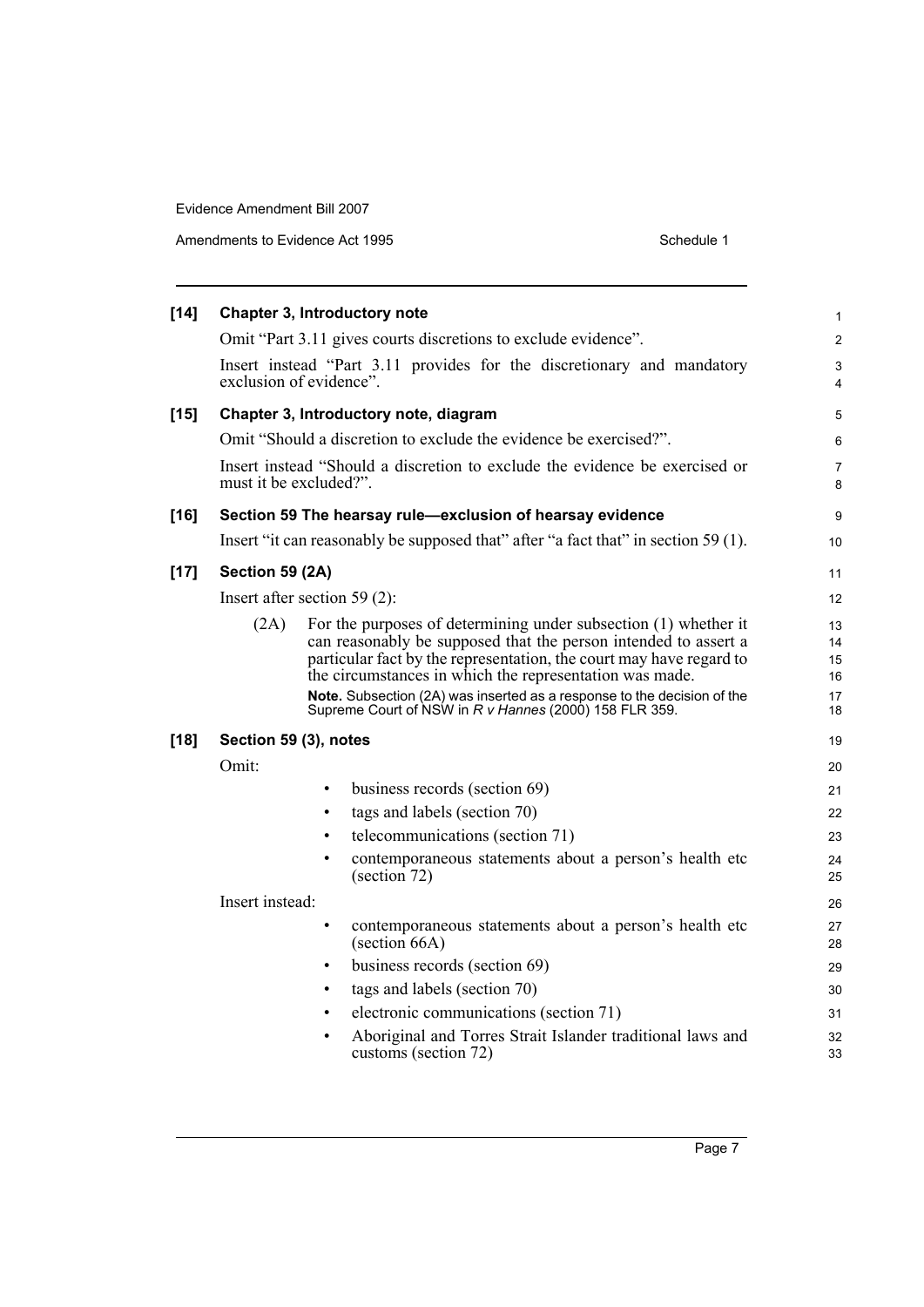Amendments to Evidence Act 1995

| Schedule 1 |  |
|------------|--|
|            |  |

| $[14]$ |                        | Chapter 3, Introductory note                                                                                                                                                                                                                                                                                                                                                                              | 1                                |
|--------|------------------------|-----------------------------------------------------------------------------------------------------------------------------------------------------------------------------------------------------------------------------------------------------------------------------------------------------------------------------------------------------------------------------------------------------------|----------------------------------|
|        |                        | Omit "Part 3.11 gives courts discretions to exclude evidence".                                                                                                                                                                                                                                                                                                                                            | $\overline{c}$                   |
|        |                        | Insert instead "Part 3.11 provides for the discretionary and mandatory<br>exclusion of evidence".                                                                                                                                                                                                                                                                                                         | 3<br>4                           |
| $[15]$ |                        | Chapter 3, Introductory note, diagram                                                                                                                                                                                                                                                                                                                                                                     | 5                                |
|        |                        | Omit "Should a discretion to exclude the evidence be exercised?".                                                                                                                                                                                                                                                                                                                                         | 6                                |
|        |                        | Insert instead "Should a discretion to exclude the evidence be exercised or                                                                                                                                                                                                                                                                                                                               |                                  |
|        | must it be excluded?". |                                                                                                                                                                                                                                                                                                                                                                                                           | 7<br>8                           |
| $[16]$ |                        | Section 59 The hearsay rule-exclusion of hearsay evidence                                                                                                                                                                                                                                                                                                                                                 | 9                                |
|        |                        | Insert "it can reasonably be supposed that" after "a fact that" in section 59 (1).                                                                                                                                                                                                                                                                                                                        | 10                               |
| $[17]$ | Section 59 (2A)        |                                                                                                                                                                                                                                                                                                                                                                                                           | 11                               |
|        |                        | Insert after section 59 $(2)$ :                                                                                                                                                                                                                                                                                                                                                                           | 12                               |
|        | (2A)                   | For the purposes of determining under subsection (1) whether it<br>can reasonably be supposed that the person intended to assert a<br>particular fact by the representation, the court may have regard to<br>the circumstances in which the representation was made.<br>Note. Subsection (2A) was inserted as a response to the decision of the<br>Supreme Court of NSW in R v Hannes (2000) 158 FLR 359. | 13<br>14<br>15<br>16<br>17<br>18 |
| $[18]$ | Section 59 (3), notes  |                                                                                                                                                                                                                                                                                                                                                                                                           | 19                               |
|        | Omit:                  |                                                                                                                                                                                                                                                                                                                                                                                                           | 20                               |
|        |                        | business records (section 69)<br>$\bullet$                                                                                                                                                                                                                                                                                                                                                                | 21                               |
|        |                        | tags and labels (section 70)<br>٠                                                                                                                                                                                                                                                                                                                                                                         | 22                               |
|        |                        | telecommunications (section 71)<br>$\bullet$                                                                                                                                                                                                                                                                                                                                                              | 23                               |
|        |                        | contemporaneous statements about a person's health etc<br>$\bullet$<br>(section 72)                                                                                                                                                                                                                                                                                                                       | 24<br>25                         |
|        | Insert instead:        |                                                                                                                                                                                                                                                                                                                                                                                                           | 26                               |
|        |                        | contemporaneous statements about a person's health etc<br>٠<br>$\left( \text{section } 66A \right)$                                                                                                                                                                                                                                                                                                       | 27<br>28                         |
|        |                        | business records (section 69)<br>$\bullet$                                                                                                                                                                                                                                                                                                                                                                | 29                               |
|        |                        | tags and labels (section 70)<br>٠                                                                                                                                                                                                                                                                                                                                                                         | 30                               |
|        |                        | electronic communications (section 71)<br>$\bullet$                                                                                                                                                                                                                                                                                                                                                       | 31                               |
|        |                        | Aboriginal and Torres Strait Islander traditional laws and<br>٠<br>customs (section 72)                                                                                                                                                                                                                                                                                                                   | 32<br>33                         |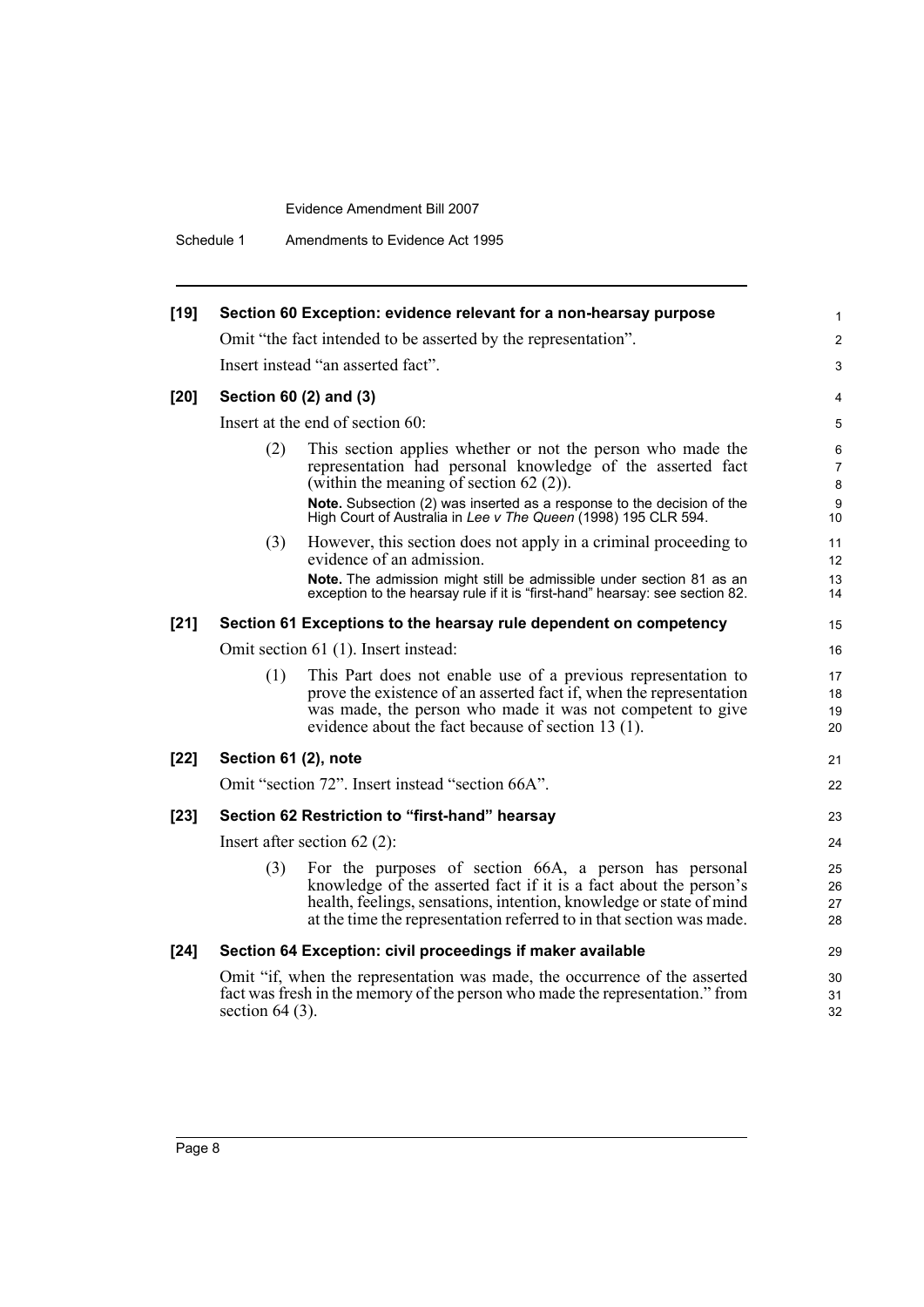Schedule 1 Amendments to Evidence Act 1995

|                                                                | Section 60 Exception: evidence relevant for a non-hearsay purpose                                                                                                                                                                                                          | 1                                                                                                                                                                                                                                                                                                                                                                                                                                                                                                                                                                                                                                                                                                     |  |  |  |  |
|----------------------------------------------------------------|----------------------------------------------------------------------------------------------------------------------------------------------------------------------------------------------------------------------------------------------------------------------------|-------------------------------------------------------------------------------------------------------------------------------------------------------------------------------------------------------------------------------------------------------------------------------------------------------------------------------------------------------------------------------------------------------------------------------------------------------------------------------------------------------------------------------------------------------------------------------------------------------------------------------------------------------------------------------------------------------|--|--|--|--|
|                                                                |                                                                                                                                                                                                                                                                            |                                                                                                                                                                                                                                                                                                                                                                                                                                                                                                                                                                                                                                                                                                       |  |  |  |  |
| Omit "the fact intended to be asserted by the representation". |                                                                                                                                                                                                                                                                            |                                                                                                                                                                                                                                                                                                                                                                                                                                                                                                                                                                                                                                                                                                       |  |  |  |  |
|                                                                |                                                                                                                                                                                                                                                                            | 3                                                                                                                                                                                                                                                                                                                                                                                                                                                                                                                                                                                                                                                                                                     |  |  |  |  |
|                                                                |                                                                                                                                                                                                                                                                            | 4                                                                                                                                                                                                                                                                                                                                                                                                                                                                                                                                                                                                                                                                                                     |  |  |  |  |
| Insert at the end of section 60:                               |                                                                                                                                                                                                                                                                            |                                                                                                                                                                                                                                                                                                                                                                                                                                                                                                                                                                                                                                                                                                       |  |  |  |  |
| (2)                                                            | This section applies whether or not the person who made the<br>representation had personal knowledge of the asserted fact<br>(within the meaning of section $62(2)$ ).                                                                                                     | 6<br>7<br>8<br>9                                                                                                                                                                                                                                                                                                                                                                                                                                                                                                                                                                                                                                                                                      |  |  |  |  |
|                                                                | High Court of Australia in Lee v The Queen (1998) 195 CLR 594.                                                                                                                                                                                                             | 10                                                                                                                                                                                                                                                                                                                                                                                                                                                                                                                                                                                                                                                                                                    |  |  |  |  |
| (3)                                                            | However, this section does not apply in a criminal proceeding to<br>evidence of an admission.                                                                                                                                                                              | 11<br>12                                                                                                                                                                                                                                                                                                                                                                                                                                                                                                                                                                                                                                                                                              |  |  |  |  |
|                                                                | exception to the hearsay rule if it is "first-hand" hearsay: see section 82.                                                                                                                                                                                               | 13<br>14                                                                                                                                                                                                                                                                                                                                                                                                                                                                                                                                                                                                                                                                                              |  |  |  |  |
|                                                                |                                                                                                                                                                                                                                                                            | 15                                                                                                                                                                                                                                                                                                                                                                                                                                                                                                                                                                                                                                                                                                    |  |  |  |  |
| Omit section 61 (1). Insert instead:                           |                                                                                                                                                                                                                                                                            |                                                                                                                                                                                                                                                                                                                                                                                                                                                                                                                                                                                                                                                                                                       |  |  |  |  |
| (1)                                                            | This Part does not enable use of a previous representation to<br>prove the existence of an asserted fact if, when the representation<br>was made, the person who made it was not competent to give<br>evidence about the fact because of section 13 (1).                   | 17<br>18<br>19<br>20                                                                                                                                                                                                                                                                                                                                                                                                                                                                                                                                                                                                                                                                                  |  |  |  |  |
|                                                                |                                                                                                                                                                                                                                                                            | 21                                                                                                                                                                                                                                                                                                                                                                                                                                                                                                                                                                                                                                                                                                    |  |  |  |  |
|                                                                |                                                                                                                                                                                                                                                                            | 22                                                                                                                                                                                                                                                                                                                                                                                                                                                                                                                                                                                                                                                                                                    |  |  |  |  |
|                                                                |                                                                                                                                                                                                                                                                            | 23                                                                                                                                                                                                                                                                                                                                                                                                                                                                                                                                                                                                                                                                                                    |  |  |  |  |
|                                                                |                                                                                                                                                                                                                                                                            |                                                                                                                                                                                                                                                                                                                                                                                                                                                                                                                                                                                                                                                                                                       |  |  |  |  |
| (3)                                                            | For the purposes of section 66A, a person has personal<br>knowledge of the asserted fact if it is a fact about the person's<br>health, feelings, sensations, intention, knowledge or state of mind<br>at the time the representation referred to in that section was made. | 25<br>26<br>27<br>28                                                                                                                                                                                                                                                                                                                                                                                                                                                                                                                                                                                                                                                                                  |  |  |  |  |
|                                                                |                                                                                                                                                                                                                                                                            | 29                                                                                                                                                                                                                                                                                                                                                                                                                                                                                                                                                                                                                                                                                                    |  |  |  |  |
|                                                                |                                                                                                                                                                                                                                                                            | 30<br>31<br>32                                                                                                                                                                                                                                                                                                                                                                                                                                                                                                                                                                                                                                                                                        |  |  |  |  |
|                                                                |                                                                                                                                                                                                                                                                            | Insert instead "an asserted fact".<br>Section 60 (2) and (3)<br>Note. Subsection (2) was inserted as a response to the decision of the<br>Note. The admission might still be admissible under section 81 as an<br>Section 61 Exceptions to the hearsay rule dependent on competency<br>Section 61 (2), note<br>Omit "section 72". Insert instead "section 66A".<br>Section 62 Restriction to "first-hand" hearsay<br>Insert after section $62(2)$ :<br>Section 64 Exception: civil proceedings if maker available<br>Omit "if, when the representation was made, the occurrence of the asserted<br>fact was fresh in the memory of the person who made the representation." from<br>section $64(3)$ . |  |  |  |  |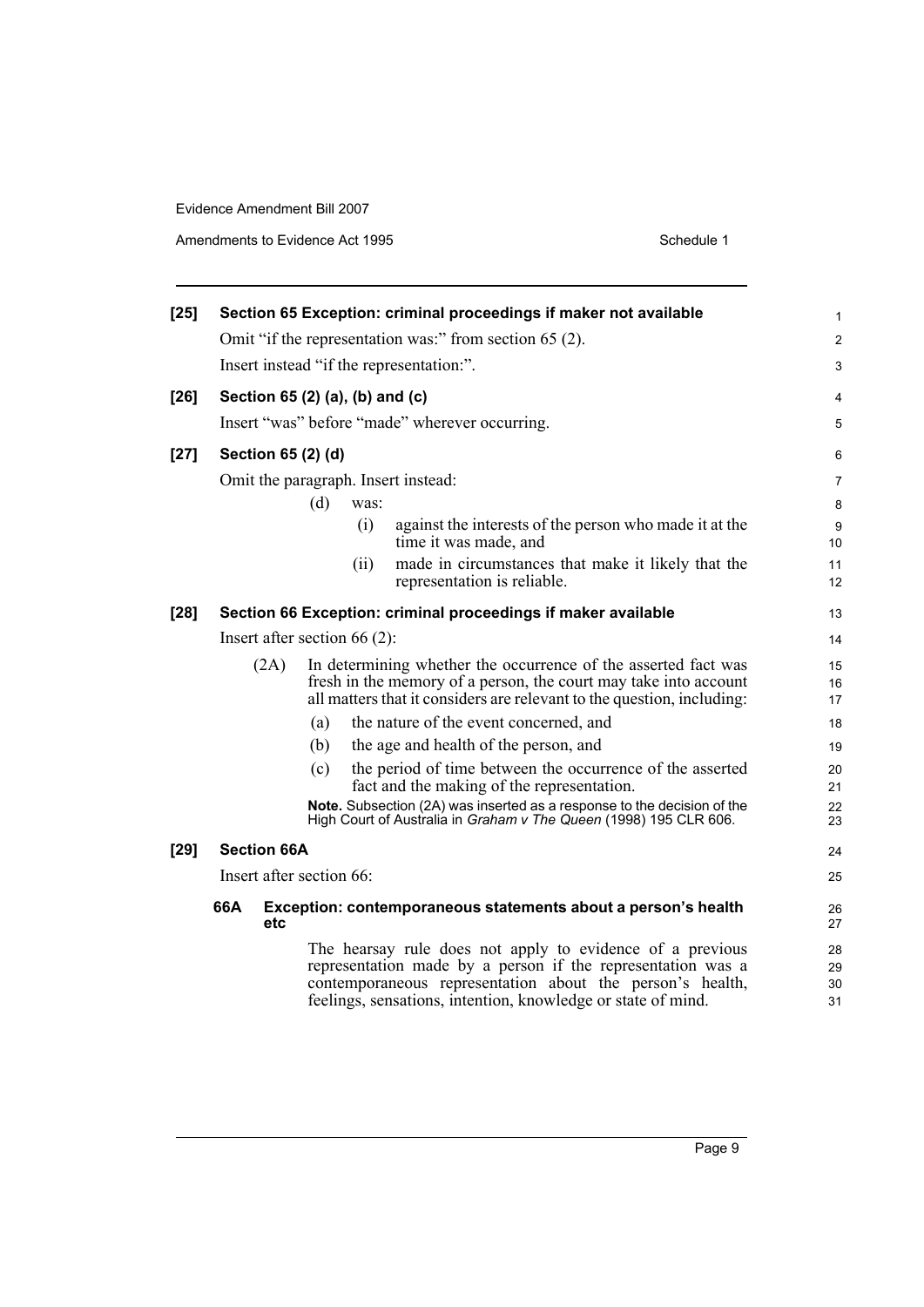Amendments to Evidence Act 1995 Schedule 1

| $[25]$ |                                                               |                    |                                 |                                                                                                                                                                                                              | Section 65 Exception: criminal proceedings if maker not available                                                                                                                                                                                     | 1                    |
|--------|---------------------------------------------------------------|--------------------|---------------------------------|--------------------------------------------------------------------------------------------------------------------------------------------------------------------------------------------------------------|-------------------------------------------------------------------------------------------------------------------------------------------------------------------------------------------------------------------------------------------------------|----------------------|
|        |                                                               |                    |                                 |                                                                                                                                                                                                              | Omit "if the representation was:" from section 65 (2).                                                                                                                                                                                                | $\overline{c}$       |
|        |                                                               |                    |                                 |                                                                                                                                                                                                              | Insert instead "if the representation:".                                                                                                                                                                                                              | 3                    |
| $[26]$ |                                                               |                    | Section 65 (2) (a), (b) and (c) |                                                                                                                                                                                                              |                                                                                                                                                                                                                                                       | 4                    |
|        |                                                               |                    |                                 |                                                                                                                                                                                                              | Insert "was" before "made" wherever occurring.                                                                                                                                                                                                        | 5                    |
| $[27]$ |                                                               |                    | Section 65 (2) (d)              |                                                                                                                                                                                                              |                                                                                                                                                                                                                                                       | 6                    |
|        |                                                               |                    |                                 |                                                                                                                                                                                                              | Omit the paragraph. Insert instead:                                                                                                                                                                                                                   | 7                    |
|        |                                                               |                    | (d)                             | was:                                                                                                                                                                                                         |                                                                                                                                                                                                                                                       | 8                    |
|        |                                                               |                    |                                 | (i)                                                                                                                                                                                                          | against the interests of the person who made it at the<br>time it was made, and                                                                                                                                                                       | 9<br>10              |
|        |                                                               |                    |                                 | (ii)                                                                                                                                                                                                         | made in circumstances that make it likely that the<br>representation is reliable.                                                                                                                                                                     | 11<br>12             |
| $[28]$ | Section 66 Exception: criminal proceedings if maker available |                    |                                 |                                                                                                                                                                                                              |                                                                                                                                                                                                                                                       | 13                   |
|        | Insert after section $66(2)$ :                                |                    |                                 |                                                                                                                                                                                                              |                                                                                                                                                                                                                                                       | 14                   |
|        | (2A)                                                          |                    |                                 | In determining whether the occurrence of the asserted fact was<br>fresh in the memory of a person, the court may take into account<br>all matters that it considers are relevant to the question, including: |                                                                                                                                                                                                                                                       |                      |
|        |                                                               |                    | (a)                             |                                                                                                                                                                                                              | the nature of the event concerned, and                                                                                                                                                                                                                | 18                   |
|        |                                                               |                    | (b)                             |                                                                                                                                                                                                              | the age and health of the person, and                                                                                                                                                                                                                 | 19                   |
|        |                                                               |                    | (c)                             |                                                                                                                                                                                                              | the period of time between the occurrence of the asserted<br>fact and the making of the representation.                                                                                                                                               | 20<br>21             |
|        |                                                               |                    |                                 |                                                                                                                                                                                                              | Note. Subsection (2A) was inserted as a response to the decision of the<br>High Court of Australia in Graham v The Queen (1998) 195 CLR 606.                                                                                                          |                      |
| $[29]$ |                                                               | <b>Section 66A</b> |                                 |                                                                                                                                                                                                              |                                                                                                                                                                                                                                                       | 24                   |
|        |                                                               |                    | Insert after section 66:        |                                                                                                                                                                                                              |                                                                                                                                                                                                                                                       | 25                   |
|        | 66A                                                           | etc                |                                 |                                                                                                                                                                                                              | Exception: contemporaneous statements about a person's health                                                                                                                                                                                         | 26<br>27             |
|        |                                                               |                    |                                 |                                                                                                                                                                                                              | The hearsay rule does not apply to evidence of a previous<br>representation made by a person if the representation was a<br>contemporaneous representation about the person's health,<br>feelings, sensations, intention, knowledge or state of mind. | 28<br>29<br>30<br>31 |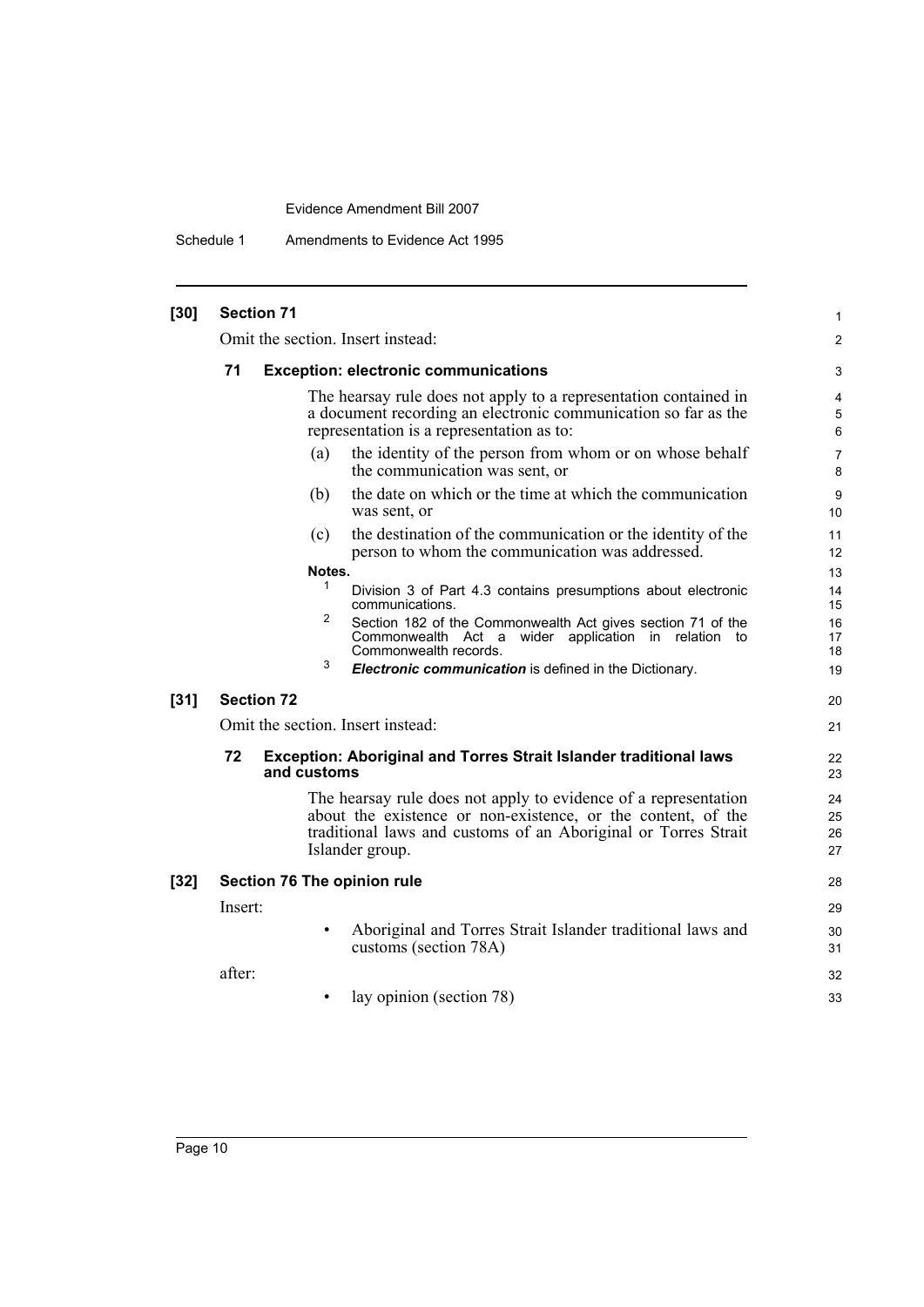Schedule 1 Amendments to Evidence Act 1995

| $[30]$ |         | <b>Section 71</b> |             |                                                                                                                                                                                                                      | 1                        |
|--------|---------|-------------------|-------------|----------------------------------------------------------------------------------------------------------------------------------------------------------------------------------------------------------------------|--------------------------|
|        |         |                   |             | Omit the section. Insert instead:                                                                                                                                                                                    | $\overline{2}$           |
|        | 71      |                   |             | <b>Exception: electronic communications</b>                                                                                                                                                                          | 3                        |
|        |         |                   |             | The hearsay rule does not apply to a representation contained in<br>a document recording an electronic communication so far as the<br>representation is a representation as to:                                      | $\overline{4}$<br>5<br>6 |
|        |         |                   | (a)         | the identity of the person from whom or on whose behalf<br>the communication was sent, or                                                                                                                            | 7<br>8                   |
|        |         |                   | (b)         | the date on which or the time at which the communication<br>was sent, or                                                                                                                                             | 9<br>10                  |
|        |         |                   | (c)         | the destination of the communication or the identity of the<br>person to whom the communication was addressed.                                                                                                       | 11<br>12                 |
|        |         |                   | Notes.      |                                                                                                                                                                                                                      | 13                       |
|        |         |                   | 1           | Division 3 of Part 4.3 contains presumptions about electronic<br>communications.                                                                                                                                     | 14<br>15                 |
|        |         |                   | 2           | Section 182 of the Commonwealth Act gives section 71 of the<br>Commonwealth Act a wider application in relation<br>to<br>Commonwealth records.                                                                       | 16<br>17<br>18           |
|        |         |                   | 3           | Electronic communication is defined in the Dictionary.                                                                                                                                                               | 19                       |
| $[31]$ |         | <b>Section 72</b> |             |                                                                                                                                                                                                                      | 20                       |
|        |         |                   |             | Omit the section. Insert instead:                                                                                                                                                                                    | 21                       |
|        | 72      |                   | and customs | <b>Exception: Aboriginal and Torres Strait Islander traditional laws</b>                                                                                                                                             | 22<br>23                 |
|        |         |                   |             | The hearsay rule does not apply to evidence of a representation<br>about the existence or non-existence, or the content, of the<br>traditional laws and customs of an Aboriginal or Torres Strait<br>Islander group. | 24<br>25<br>26<br>27     |
| $[32]$ |         |                   |             | Section 76 The opinion rule                                                                                                                                                                                          | 28                       |
|        | Insert: |                   |             |                                                                                                                                                                                                                      | 29                       |
|        |         |                   | $\bullet$   | Aboriginal and Torres Strait Islander traditional laws and<br>customs (section 78A)                                                                                                                                  | 30<br>31                 |
|        | after:  |                   |             |                                                                                                                                                                                                                      | 32                       |
|        |         |                   |             | lay opinion (section 78)                                                                                                                                                                                             | 33                       |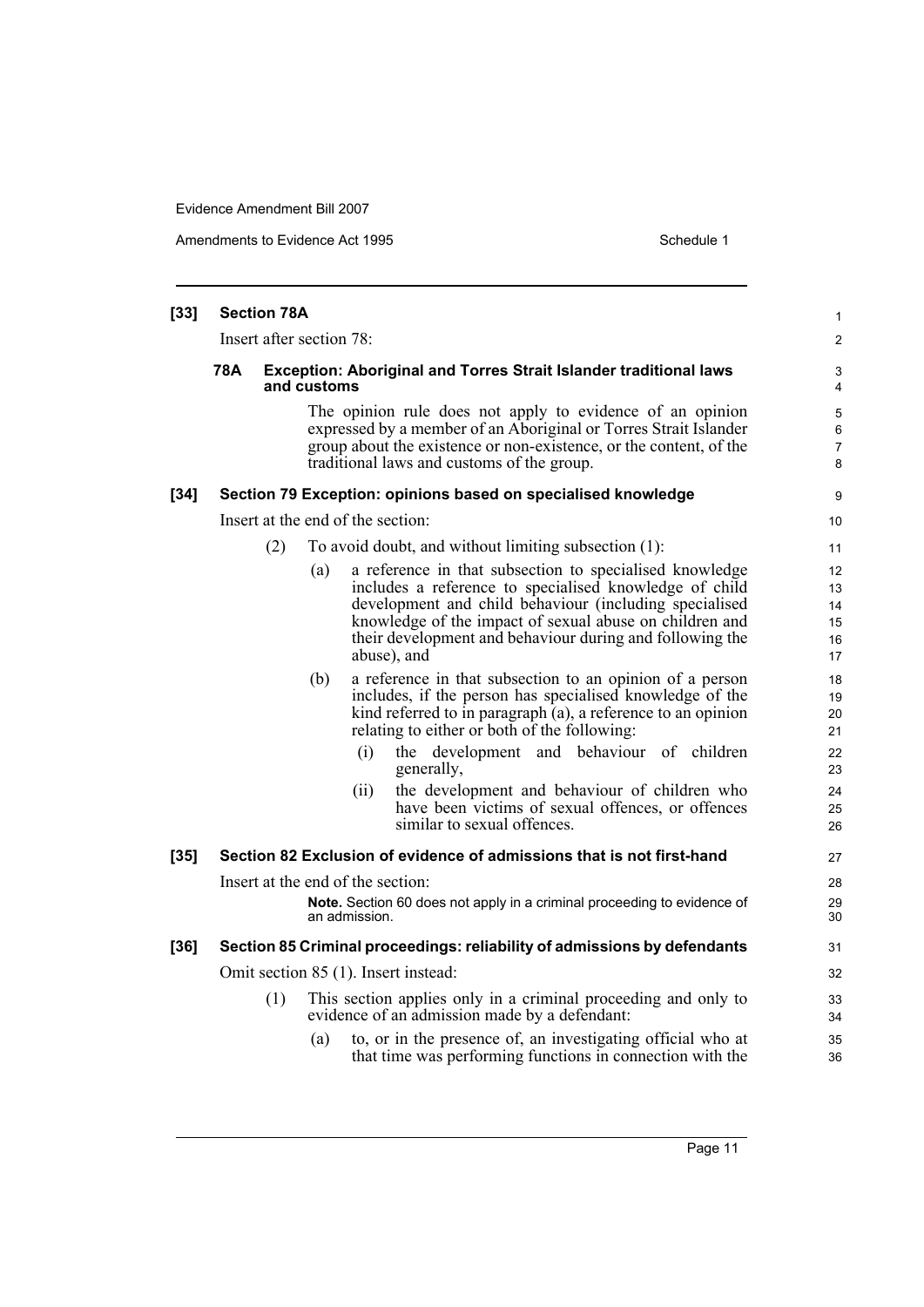Amendments to Evidence Act 1995 Schedule 1

| $[33]$ | <b>Section 78A</b>                                                                             |                          |     |                                                    |                                                                                                                                                                                                                                                                                                                   | $\mathbf{1}$                     |  |  |  |
|--------|------------------------------------------------------------------------------------------------|--------------------------|-----|----------------------------------------------------|-------------------------------------------------------------------------------------------------------------------------------------------------------------------------------------------------------------------------------------------------------------------------------------------------------------------|----------------------------------|--|--|--|
|        |                                                                                                | Insert after section 78: |     |                                                    |                                                                                                                                                                                                                                                                                                                   | $\overline{2}$                   |  |  |  |
|        | 78A<br><b>Exception: Aboriginal and Torres Strait Islander traditional laws</b><br>and customs |                          |     |                                                    |                                                                                                                                                                                                                                                                                                                   |                                  |  |  |  |
|        |                                                                                                |                          |     |                                                    | The opinion rule does not apply to evidence of an opinion<br>expressed by a member of an Aboriginal or Torres Strait Islander<br>group about the existence or non-existence, or the content, of the<br>traditional laws and customs of the group.                                                                 | 5<br>6<br>7<br>8                 |  |  |  |
| $[34]$ |                                                                                                |                          |     |                                                    | Section 79 Exception: opinions based on specialised knowledge                                                                                                                                                                                                                                                     | 9                                |  |  |  |
|        |                                                                                                |                          |     | Insert at the end of the section:                  |                                                                                                                                                                                                                                                                                                                   | 10 <sup>°</sup>                  |  |  |  |
|        |                                                                                                | (2)                      |     |                                                    | To avoid doubt, and without limiting subsection (1):                                                                                                                                                                                                                                                              | 11                               |  |  |  |
|        |                                                                                                |                          | (a) |                                                    | a reference in that subsection to specialised knowledge<br>includes a reference to specialised knowledge of child<br>development and child behaviour (including specialised<br>knowledge of the impact of sexual abuse on children and<br>their development and behaviour during and following the<br>abuse), and | 12<br>13<br>14<br>15<br>16<br>17 |  |  |  |
|        |                                                                                                |                          | (b) |                                                    | a reference in that subsection to an opinion of a person<br>includes, if the person has specialised knowledge of the<br>kind referred to in paragraph (a), a reference to an opinion<br>relating to either or both of the following:                                                                              | 18<br>19<br>20<br>21             |  |  |  |
|        |                                                                                                |                          |     | (i)                                                | the development and behaviour of children<br>generally,                                                                                                                                                                                                                                                           | 22<br>23                         |  |  |  |
|        |                                                                                                |                          |     | (ii)                                               | the development and behaviour of children who<br>have been victims of sexual offences, or offences<br>similar to sexual offences.                                                                                                                                                                                 | 24<br>25<br>26                   |  |  |  |
| $[35]$ |                                                                                                |                          |     |                                                    | Section 82 Exclusion of evidence of admissions that is not first-hand                                                                                                                                                                                                                                             | 27                               |  |  |  |
|        |                                                                                                |                          |     | Insert at the end of the section:<br>an admission. | Note. Section 60 does not apply in a criminal proceeding to evidence of                                                                                                                                                                                                                                           | 28<br>29<br>30                   |  |  |  |
| $[36]$ |                                                                                                |                          |     |                                                    | Section 85 Criminal proceedings: reliability of admissions by defendants                                                                                                                                                                                                                                          | 31                               |  |  |  |
|        |                                                                                                |                          |     |                                                    | Omit section 85 (1). Insert instead:                                                                                                                                                                                                                                                                              | 32                               |  |  |  |
|        |                                                                                                | (1)                      |     |                                                    | This section applies only in a criminal proceeding and only to<br>evidence of an admission made by a defendant:                                                                                                                                                                                                   | 33<br>34                         |  |  |  |
|        |                                                                                                |                          | (a) |                                                    | to, or in the presence of, an investigating official who at<br>that time was performing functions in connection with the                                                                                                                                                                                          | 35<br>36                         |  |  |  |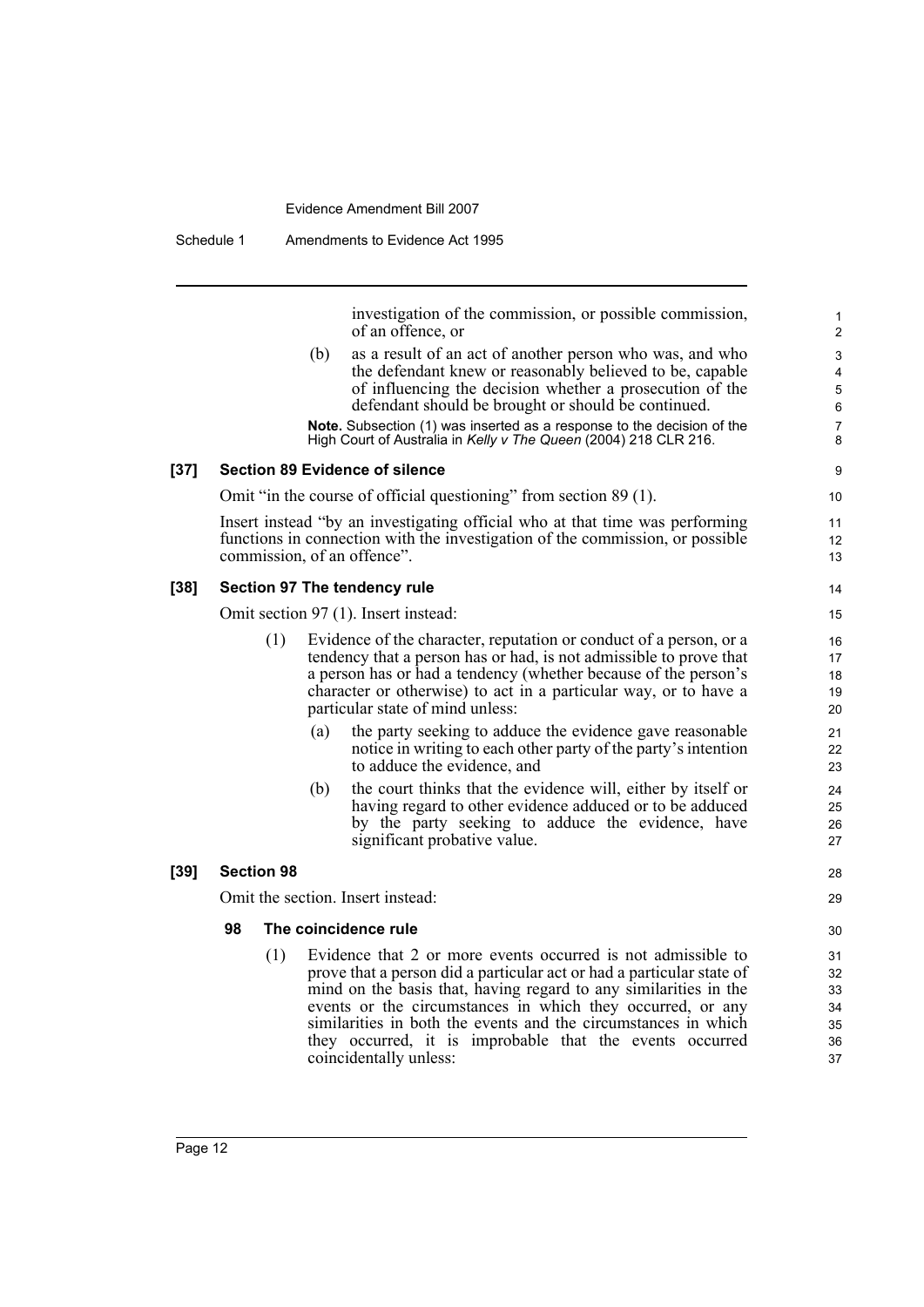Schedule 1 Amendments to Evidence Act 1995

investigation of the commission, or possible commission, of an offence, or

(b) as a result of an act of another person who was, and who the defendant knew or reasonably believed to be, capable of influencing the decision whether a prosecution of the defendant should be brought or should be continued.

**Note.** Subsection (1) was inserted as a response to the decision of the High Court of Australia in *Kelly v The Queen* (2004) 218 CLR 216.

#### **[37] Section 89 Evidence of silence**

Omit "in the course of official questioning" from section 89 (1).

Insert instead "by an investigating official who at that time was performing functions in connection with the investigation of the commission, or possible commission, of an offence".

#### **[38] Section 97 The tendency rule**

Omit section 97 (1). Insert instead:

- (1) Evidence of the character, reputation or conduct of a person, or a tendency that a person has or had, is not admissible to prove that a person has or had a tendency (whether because of the person's character or otherwise) to act in a particular way, or to have a particular state of mind unless:
	- (a) the party seeking to adduce the evidence gave reasonable notice in writing to each other party of the party's intention to adduce the evidence, and
	- (b) the court thinks that the evidence will, either by itself or having regard to other evidence adduced or to be adduced by the party seeking to adduce the evidence, have significant probative value.

#### **[39] Section 98**

Omit the section. Insert instead:

#### **98 The coincidence rule**

(1) Evidence that 2 or more events occurred is not admissible to prove that a person did a particular act or had a particular state of mind on the basis that, having regard to any similarities in the events or the circumstances in which they occurred, or any similarities in both the events and the circumstances in which they occurred, it is improbable that the events occurred coincidentally unless: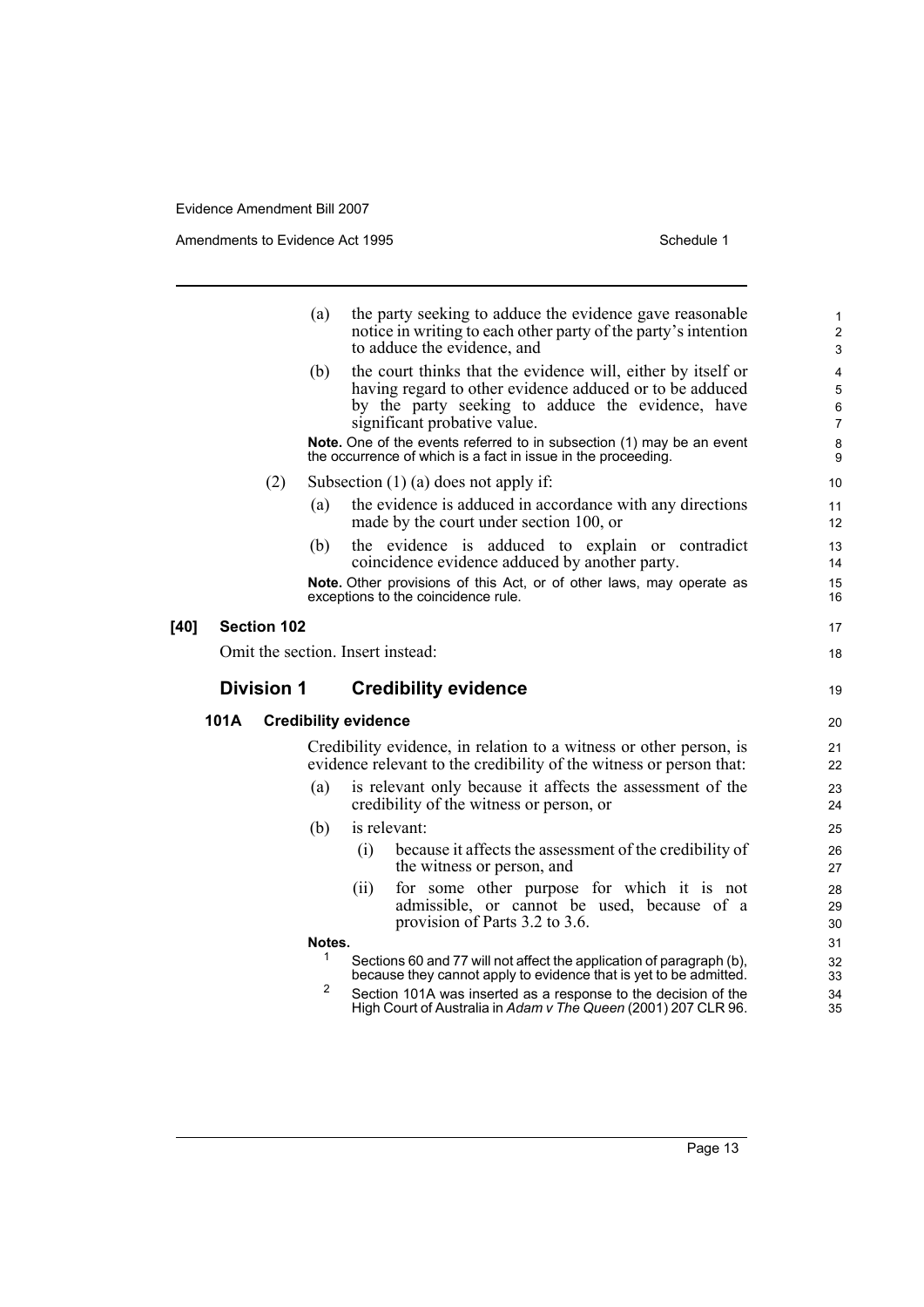Amendments to Evidence Act 1995 Schedule 1

|        |      |                    | (a)    | the party seeking to adduce the evidence gave reasonable<br>notice in writing to each other party of the party's intention<br>to adduce the evidence, and                                                     | 1<br>$\overline{2}$<br>3                      |
|--------|------|--------------------|--------|---------------------------------------------------------------------------------------------------------------------------------------------------------------------------------------------------------------|-----------------------------------------------|
|        |      |                    | (b)    | the court thinks that the evidence will, either by itself or<br>having regard to other evidence adduced or to be adduced<br>by the party seeking to adduce the evidence, have<br>significant probative value. | 4<br>$\mathbf 5$<br>$\,6\,$<br>$\overline{7}$ |
|        |      |                    |        | Note. One of the events referred to in subsection (1) may be an event<br>the occurrence of which is a fact in issue in the proceeding.                                                                        | 8<br>9                                        |
|        |      | (2)                |        | Subsection $(1)$ (a) does not apply if:                                                                                                                                                                       | 10                                            |
|        |      |                    | (a)    | the evidence is adduced in accordance with any directions<br>made by the court under section 100, or                                                                                                          | 11<br>$12 \overline{ }$                       |
|        |      |                    | (b)    | the evidence is adduced to explain or contradict<br>coincidence evidence adduced by another party.                                                                                                            | 13<br>14                                      |
|        |      |                    |        | Note. Other provisions of this Act, or of other laws, may operate as<br>exceptions to the coincidence rule.                                                                                                   | 15<br>16                                      |
| $[40]$ |      | <b>Section 102</b> |        |                                                                                                                                                                                                               | 17                                            |
|        |      |                    |        | Omit the section. Insert instead:                                                                                                                                                                             | 18                                            |
|        |      | <b>Division 1</b>  |        | <b>Credibility evidence</b>                                                                                                                                                                                   |                                               |
|        |      |                    |        |                                                                                                                                                                                                               | 19                                            |
|        | 101A |                    |        | <b>Credibility evidence</b>                                                                                                                                                                                   | 20                                            |
|        |      |                    |        | Credibility evidence, in relation to a witness or other person, is<br>evidence relevant to the credibility of the witness or person that:                                                                     | 21<br>22                                      |
|        |      |                    | (a)    | is relevant only because it affects the assessment of the<br>credibility of the witness or person, or                                                                                                         | 23<br>24                                      |
|        |      |                    | (b)    | is relevant:                                                                                                                                                                                                  | 25                                            |
|        |      |                    |        | because it affects the assessment of the credibility of<br>(i)<br>the witness or person, and                                                                                                                  | 26<br>27                                      |
|        |      |                    |        | for some other purpose for which it is not<br>(i)<br>admissible, or cannot be used, because of a<br>provision of Parts 3.2 to 3.6.                                                                            | 28<br>29<br>30                                |
|        |      |                    | Notes. |                                                                                                                                                                                                               | 31                                            |
|        |      |                    | 1      | Sections 60 and 77 will not affect the application of paragraph (b),<br>because they cannot apply to evidence that is yet to be admitted.                                                                     | 32<br>33                                      |
|        |      |                    | 2      | Section 101A was inserted as a response to the decision of the<br>High Court of Australia in Adam v The Queen (2001) 207 CLR 96.                                                                              | 34<br>35                                      |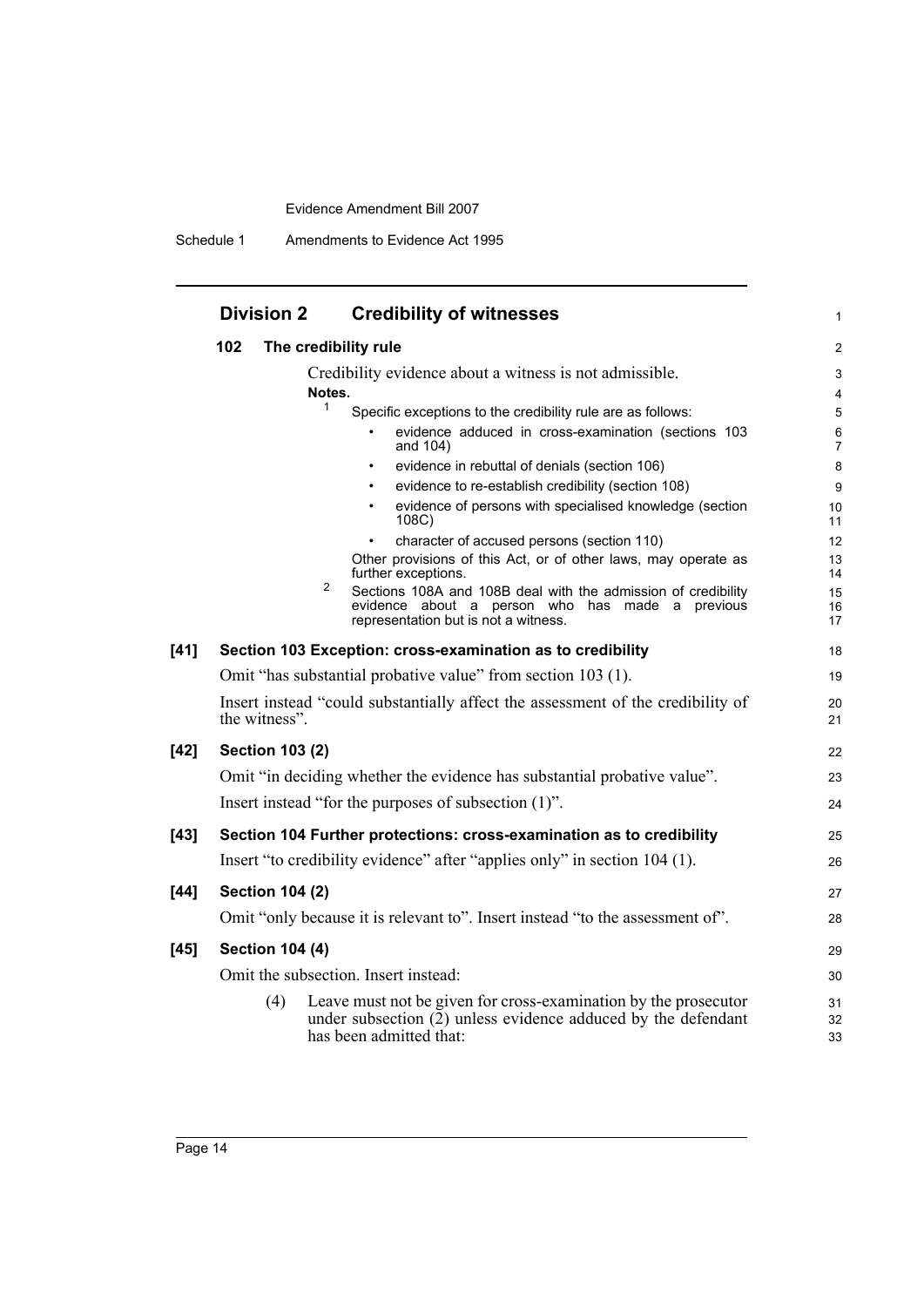Schedule 1 Amendments to Evidence Act 1995

|        | <b>Division 2</b>      | <b>Credibility of witnesses</b>                                                                                                                               | 1                   |
|--------|------------------------|---------------------------------------------------------------------------------------------------------------------------------------------------------------|---------------------|
|        | 102                    | The credibility rule                                                                                                                                          | $\overline{2}$      |
|        |                        | Credibility evidence about a witness is not admissible.<br>Notes.                                                                                             | 3<br>$\overline{4}$ |
|        |                        | 1<br>Specific exceptions to the credibility rule are as follows:                                                                                              | 5                   |
|        |                        | evidence adduced in cross-examination (sections 103<br>and 104)                                                                                               | 6<br>$\overline{7}$ |
|        |                        | evidence in rebuttal of denials (section 106)                                                                                                                 | 8                   |
|        |                        | evidence to re-establish credibility (section 108)                                                                                                            | 9                   |
|        |                        | evidence of persons with specialised knowledge (section<br>108C)                                                                                              | 10<br>11            |
|        |                        | character of accused persons (section 110)                                                                                                                    | 12                  |
|        |                        | Other provisions of this Act, or of other laws, may operate as<br>further exceptions.<br>2                                                                    | 13<br>14            |
|        |                        | Sections 108A and 108B deal with the admission of credibility<br>evidence about a person who has made a previous<br>representation but is not a witness.      | 15<br>16<br>17      |
| $[41]$ |                        | Section 103 Exception: cross-examination as to credibility                                                                                                    | 18                  |
|        |                        | Omit "has substantial probative value" from section 103 (1).                                                                                                  | 19                  |
|        | the witness".          | Insert instead "could substantially affect the assessment of the credibility of                                                                               | 20<br>21            |
| $[42]$ | <b>Section 103 (2)</b> |                                                                                                                                                               | 22                  |
|        |                        | Omit "in deciding whether the evidence has substantial probative value".                                                                                      | 23                  |
|        |                        | Insert instead "for the purposes of subsection (1)".                                                                                                          | 24                  |
| $[43]$ |                        | Section 104 Further protections: cross-examination as to credibility                                                                                          | 25                  |
|        |                        | Insert "to credibility evidence" after "applies only" in section 104 (1).                                                                                     | 26                  |
| $[44]$ | <b>Section 104 (2)</b> |                                                                                                                                                               | 27                  |
|        |                        | Omit "only because it is relevant to". Insert instead "to the assessment of".                                                                                 | 28                  |
| $[45]$ | <b>Section 104 (4)</b> |                                                                                                                                                               | 29                  |
|        |                        | Omit the subsection. Insert instead:                                                                                                                          | 30                  |
|        | (4)                    | Leave must not be given for cross-examination by the prosecutor<br>under subsection $(2)$ unless evidence adduced by the defendant<br>has been admitted that: | 31<br>32<br>33      |
|        |                        |                                                                                                                                                               |                     |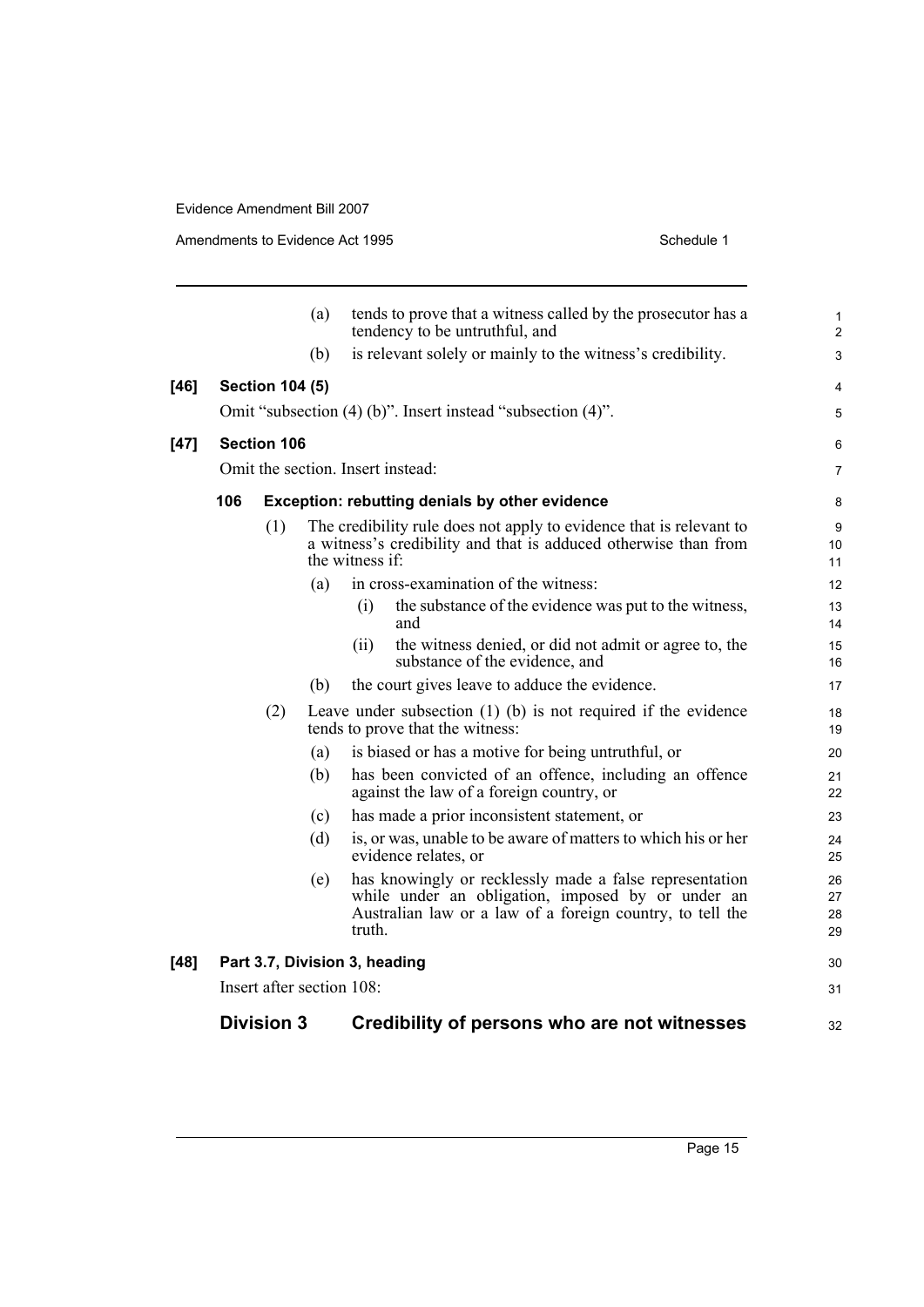**[46] Section 104 (5)**

**[47]** 

[48]

|                                                       | (a) | tends to prove that a witness called by the prosecutor has a                                                                                                                        | 1                    |  |  |
|-------------------------------------------------------|-----|-------------------------------------------------------------------------------------------------------------------------------------------------------------------------------------|----------------------|--|--|
|                                                       |     | tendency to be untruthful, and                                                                                                                                                      | $\overline{2}$       |  |  |
|                                                       | (b) | is relevant solely or mainly to the witness's credibility.                                                                                                                          | 3                    |  |  |
| <b>Section 104 (5)</b>                                |     |                                                                                                                                                                                     | 4                    |  |  |
|                                                       |     | Omit "subsection (4) (b)". Insert instead "subsection (4)".                                                                                                                         | 5                    |  |  |
| <b>Section 106</b>                                    |     |                                                                                                                                                                                     | 6                    |  |  |
|                                                       |     | Omit the section. Insert instead:                                                                                                                                                   | 7                    |  |  |
| Exception: rebutting denials by other evidence<br>106 |     |                                                                                                                                                                                     |                      |  |  |
|                                                       |     |                                                                                                                                                                                     | 8                    |  |  |
|                                                       | (1) | The credibility rule does not apply to evidence that is relevant to                                                                                                                 | 9                    |  |  |
|                                                       |     | a witness's credibility and that is adduced otherwise than from<br>the witness if:                                                                                                  | 10<br>11             |  |  |
|                                                       | (a) | in cross-examination of the witness:                                                                                                                                                | 12                   |  |  |
|                                                       |     | the substance of the evidence was put to the witness,<br>(i)                                                                                                                        | 13                   |  |  |
|                                                       |     | and                                                                                                                                                                                 | 14                   |  |  |
|                                                       |     | the witness denied, or did not admit or agree to, the<br>(ii)                                                                                                                       | 15                   |  |  |
|                                                       |     | substance of the evidence, and                                                                                                                                                      | 16                   |  |  |
|                                                       | (b) | the court gives leave to adduce the evidence.                                                                                                                                       | 17                   |  |  |
|                                                       | (2) | Leave under subsection $(1)$ $(b)$ is not required if the evidence<br>tends to prove that the witness:                                                                              | 18<br>19             |  |  |
|                                                       | (a) | is biased or has a motive for being untruthful, or                                                                                                                                  | 20                   |  |  |
|                                                       | (b) | has been convicted of an offence, including an offence<br>against the law of a foreign country, or                                                                                  | 21<br>22             |  |  |
|                                                       | (c) | has made a prior inconsistent statement, or                                                                                                                                         | 23                   |  |  |
|                                                       | (d) | is, or was, unable to be aware of matters to which his or her<br>evidence relates, or                                                                                               | 24<br>25             |  |  |
|                                                       | (e) | has knowingly or recklessly made a false representation<br>while under an obligation, imposed by or under an<br>Australian law or a law of a foreign country, to tell the<br>truth. | 26<br>27<br>28<br>29 |  |  |
|                                                       |     | Part 3.7, Division 3, heading                                                                                                                                                       | 30                   |  |  |
|                                                       |     | Insert after section 108:                                                                                                                                                           | 31                   |  |  |
| <b>Division 3</b>                                     |     |                                                                                                                                                                                     |                      |  |  |
|                                                       |     | Credibility of persons who are not witnesses                                                                                                                                        | 32                   |  |  |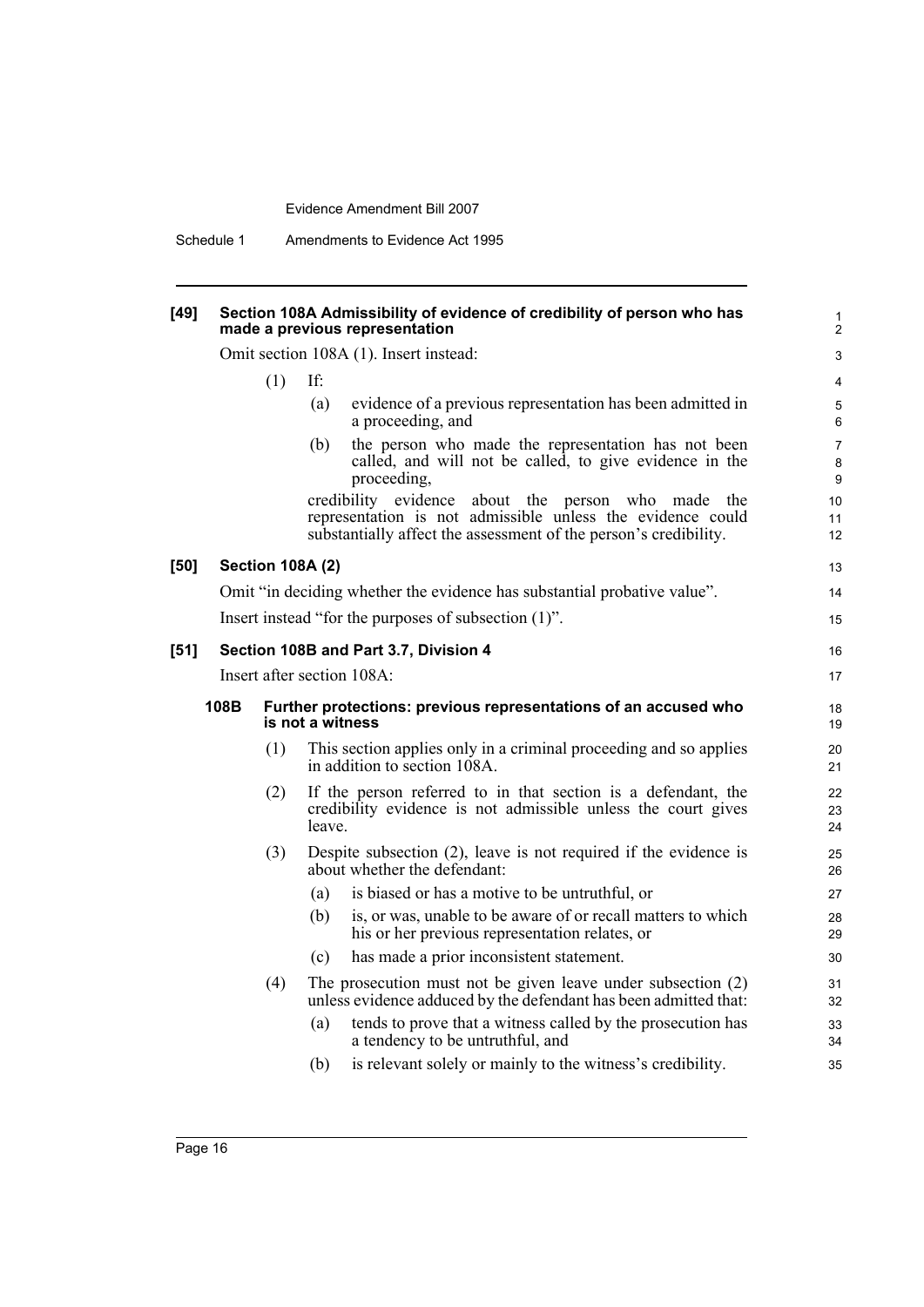# **[49] Section 108A Admissibility of evidence of credibility of person who has made a previous representation**

Omit section 108A (1). Insert instead:

|        |      | (1)                     | If:                        |                                                                                                                                                                                            | 4                        |
|--------|------|-------------------------|----------------------------|--------------------------------------------------------------------------------------------------------------------------------------------------------------------------------------------|--------------------------|
|        |      |                         | (a)                        | evidence of a previous representation has been admitted in<br>a proceeding, and                                                                                                            | $\mathbf 5$<br>6         |
|        |      |                         | (b)                        | the person who made the representation has not been<br>called, and will not be called, to give evidence in the<br>proceeding,                                                              | $\overline{7}$<br>8<br>9 |
|        |      |                         |                            | credibility evidence<br>about the person who made<br>the<br>representation is not admissible unless the evidence could<br>substantially affect the assessment of the person's credibility. | 10<br>11<br>12           |
| $[50]$ |      | <b>Section 108A (2)</b> |                            |                                                                                                                                                                                            | 13                       |
|        |      |                         |                            | Omit "in deciding whether the evidence has substantial probative value".                                                                                                                   | 14                       |
|        |      |                         |                            | Insert instead "for the purposes of subsection (1)".                                                                                                                                       | 15                       |
| $[51]$ |      |                         |                            | Section 108B and Part 3.7, Division 4                                                                                                                                                      | 16                       |
|        |      |                         | Insert after section 108A: | 17                                                                                                                                                                                         |                          |
|        | 108B |                         | is not a witness           | Further protections: previous representations of an accused who                                                                                                                            | 18<br>19                 |
|        |      | (1)                     |                            | This section applies only in a criminal proceeding and so applies<br>in addition to section 108A.                                                                                          | 20<br>21                 |
|        |      | (2)                     | leave.                     | If the person referred to in that section is a defendant, the<br>credibility evidence is not admissible unless the court gives                                                             | 22<br>23<br>24           |
|        |      | (3)                     |                            | Despite subsection $(2)$ , leave is not required if the evidence is<br>about whether the defendant:                                                                                        | 25<br>26                 |
|        |      |                         | (a)                        | is biased or has a motive to be untruthful, or                                                                                                                                             | 27                       |
|        |      |                         | (b)                        | is, or was, unable to be aware of or recall matters to which<br>his or her previous representation relates, or                                                                             | 28<br>29                 |
|        |      |                         | (c)                        | has made a prior inconsistent statement.                                                                                                                                                   | 30                       |
|        |      | (4)                     |                            | The prosecution must not be given leave under subsection (2)<br>unless evidence adduced by the defendant has been admitted that:                                                           | 31<br>32                 |
|        |      |                         | (a)                        | tends to prove that a witness called by the prosecution has<br>a tendency to be untruthful, and                                                                                            | 33<br>34                 |
|        |      |                         | (b)                        | is relevant solely or mainly to the witness's credibility.                                                                                                                                 | 35                       |
|        |      |                         |                            |                                                                                                                                                                                            |                          |

1 2 3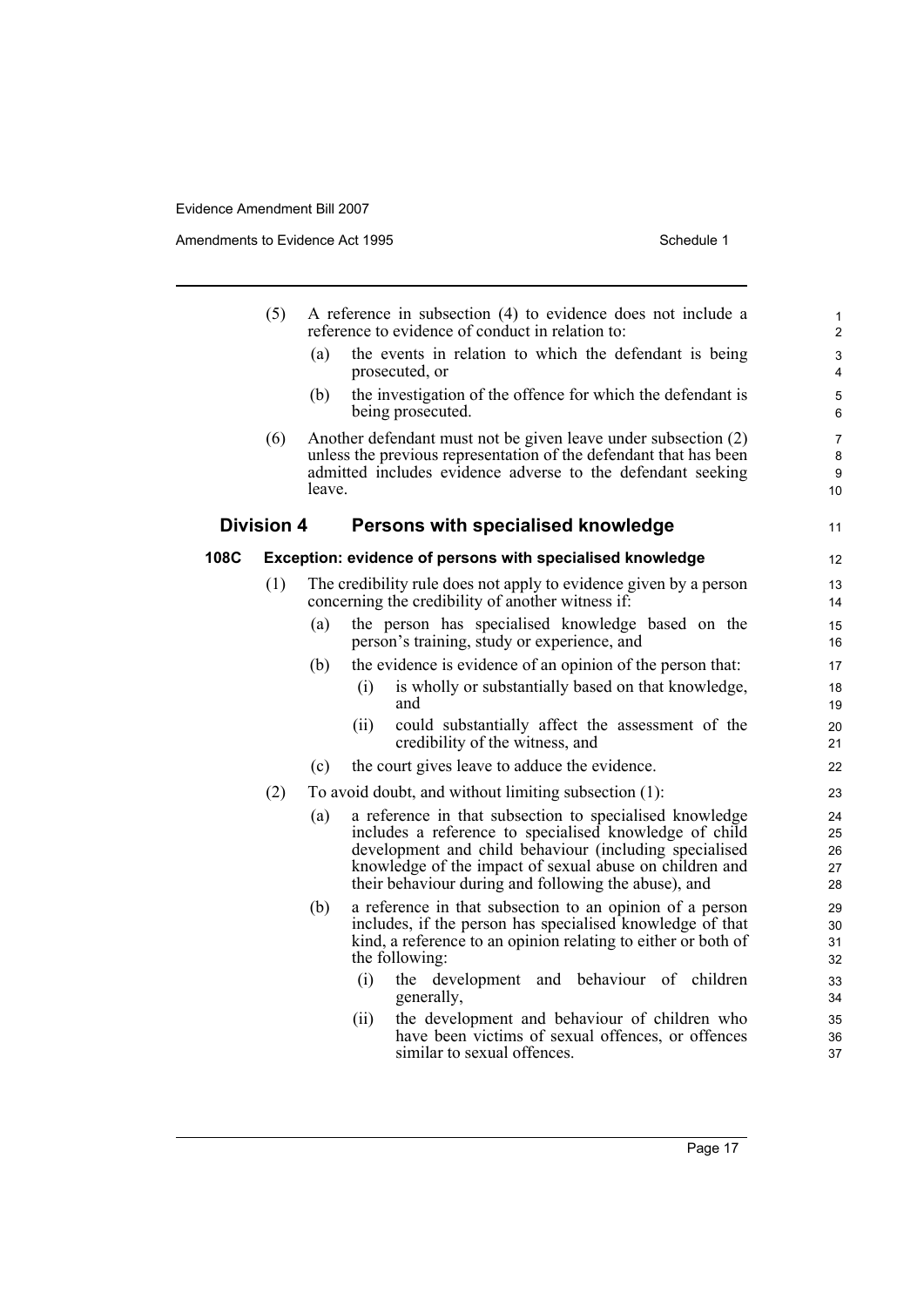Amendments to Evidence Act 1995 Schedule 1

|      | (5)               |        | A reference in subsection (4) to evidence does not include a<br>reference to evidence of conduct in relation to:                                                                                   | $\mathbf{1}$<br>$\overline{2}$ |
|------|-------------------|--------|----------------------------------------------------------------------------------------------------------------------------------------------------------------------------------------------------|--------------------------------|
|      |                   | (a)    | the events in relation to which the defendant is being<br>prosecuted, or                                                                                                                           | 3<br>4                         |
|      |                   | (b)    | the investigation of the offence for which the defendant is<br>being prosecuted.                                                                                                                   | 5<br>6                         |
|      | (6)               | leave. | Another defendant must not be given leave under subsection (2)<br>unless the previous representation of the defendant that has been<br>admitted includes evidence adverse to the defendant seeking | 7<br>8<br>9<br>10              |
|      | <b>Division 4</b> |        | Persons with specialised knowledge                                                                                                                                                                 | 11                             |
| 108C |                   |        | Exception: evidence of persons with specialised knowledge                                                                                                                                          | 12                             |
|      | (1)               |        | The credibility rule does not apply to evidence given by a person<br>concerning the credibility of another witness if:                                                                             | 13<br>14                       |
|      |                   | (a)    | the person has specialised knowledge based on the<br>person's training, study or experience, and                                                                                                   | 15<br>16                       |
|      |                   | (b)    | the evidence is evidence of an opinion of the person that:                                                                                                                                         | 17                             |
|      |                   |        | is wholly or substantially based on that knowledge,<br>(i)<br>and                                                                                                                                  | 18<br>19                       |
|      |                   |        | could substantially affect the assessment of the<br>(ii)<br>credibility of the witness, and                                                                                                        | 20<br>21                       |
|      |                   | (c)    | the court gives leave to adduce the evidence.                                                                                                                                                      | 22                             |
|      | (2)               |        | To avoid doubt, and without limiting subsection (1):                                                                                                                                               | 23                             |
|      |                   | (a)    | a reference in that subsection to specialised knowledge                                                                                                                                            | 24                             |
|      |                   |        | includes a reference to specialised knowledge of child<br>development and child behaviour (including specialised                                                                                   | 25<br>26                       |
|      |                   |        | knowledge of the impact of sexual abuse on children and                                                                                                                                            | 27                             |
|      |                   |        | their behaviour during and following the abuse), and                                                                                                                                               | 28                             |
|      |                   | (b)    | a reference in that subsection to an opinion of a person                                                                                                                                           | 29                             |
|      |                   |        | includes, if the person has specialised knowledge of that<br>kind, a reference to an opinion relating to either or both of                                                                         | 30<br>31                       |
|      |                   |        | the following:                                                                                                                                                                                     | 32                             |
|      |                   |        | (i)<br>the development<br>and behaviour of children<br>generally,                                                                                                                                  | 33<br>34                       |
|      |                   |        | the development and behaviour of children who<br>(i)                                                                                                                                               | 35                             |
|      |                   |        | have been victims of sexual offences, or offences<br>similar to sexual offences.                                                                                                                   | 36<br>37                       |
|      |                   |        |                                                                                                                                                                                                    |                                |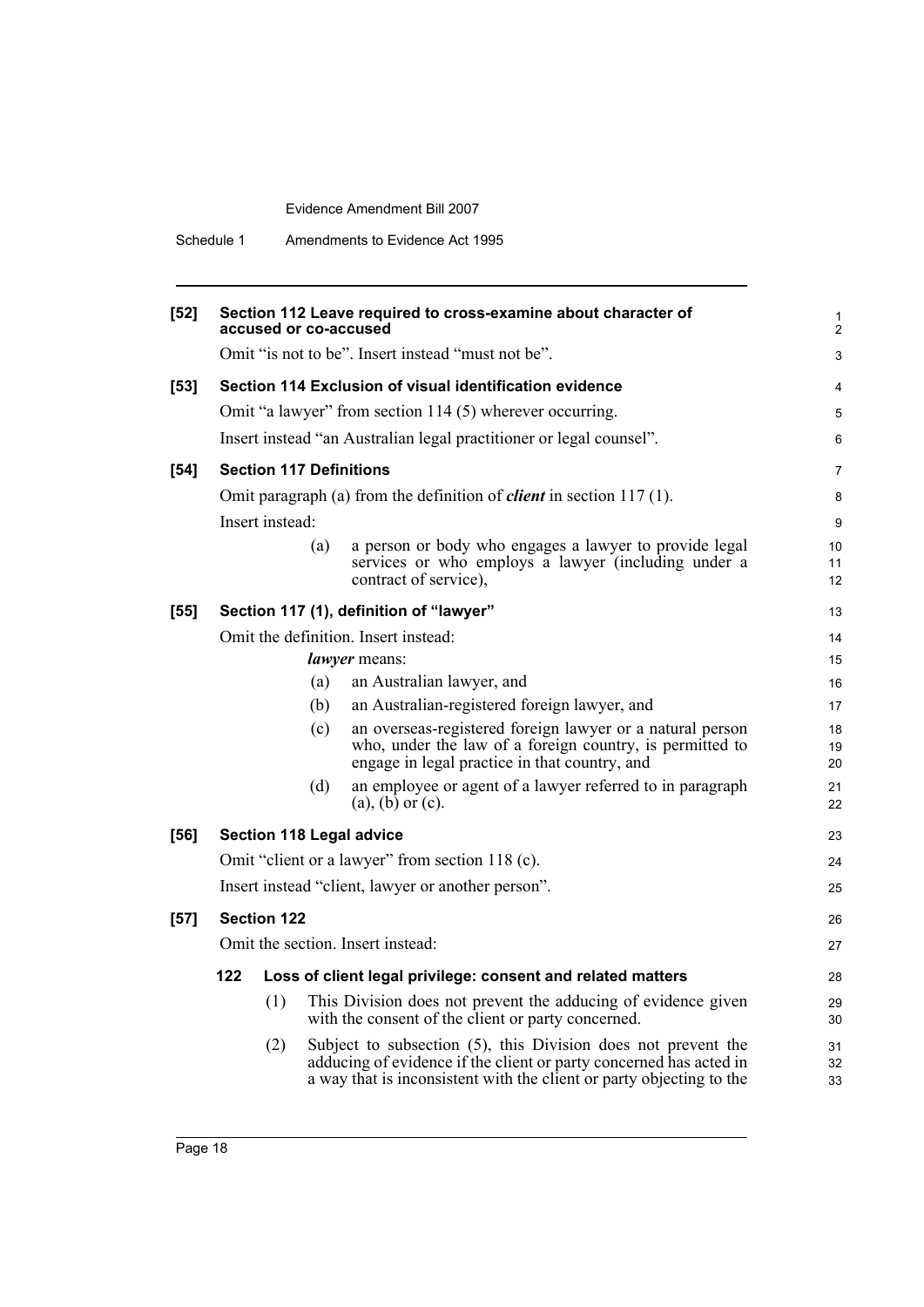| Schedule 1 | Amendments to Evidence Act 1995 |  |
|------------|---------------------------------|--|
|            |                                 |  |

| $[52]$ |                                                    |                    |     | Section 112 Leave required to cross-examine about character of<br>accused or co-accused                                                                                                                     | 1<br>$\overline{2}$ |  |
|--------|----------------------------------------------------|--------------------|-----|-------------------------------------------------------------------------------------------------------------------------------------------------------------------------------------------------------------|---------------------|--|
|        |                                                    |                    |     | Omit "is not to be". Insert instead "must not be".                                                                                                                                                          | 3                   |  |
| $[53]$ |                                                    |                    |     | Section 114 Exclusion of visual identification evidence                                                                                                                                                     | 4                   |  |
|        |                                                    |                    |     | Omit "a lawyer" from section 114 (5) wherever occurring.                                                                                                                                                    | 5                   |  |
|        |                                                    |                    |     | Insert instead "an Australian legal practitioner or legal counsel".                                                                                                                                         | 6                   |  |
| $[54]$ |                                                    |                    |     | <b>Section 117 Definitions</b>                                                                                                                                                                              | 7                   |  |
|        |                                                    |                    |     | Omit paragraph (a) from the definition of <i>client</i> in section $117(1)$ .                                                                                                                               | 8                   |  |
|        | Insert instead:                                    |                    |     |                                                                                                                                                                                                             |                     |  |
|        |                                                    |                    | (a) | a person or body who engages a lawyer to provide legal<br>services or who employs a lawyer (including under a<br>contract of service),                                                                      | 10<br>11<br>12      |  |
| $[55]$ |                                                    |                    |     | Section 117 (1), definition of "lawyer"                                                                                                                                                                     | 13                  |  |
|        | Omit the definition. Insert instead:               |                    |     |                                                                                                                                                                                                             |                     |  |
|        | lawyer means:                                      |                    |     |                                                                                                                                                                                                             |                     |  |
|        |                                                    |                    | (a) | an Australian lawyer, and                                                                                                                                                                                   | 16                  |  |
|        |                                                    |                    | (b) | an Australian-registered foreign lawyer, and                                                                                                                                                                | 17                  |  |
|        |                                                    |                    | (c) | an overseas-registered foreign lawyer or a natural person<br>who, under the law of a foreign country, is permitted to<br>engage in legal practice in that country, and                                      | 18<br>19<br>20      |  |
|        |                                                    |                    | (d) | an employee or agent of a lawyer referred to in paragraph<br>$(a)$ , $(b)$ or $(c)$ .                                                                                                                       | 21<br>22            |  |
| [56]   |                                                    |                    |     | <b>Section 118 Legal advice</b>                                                                                                                                                                             | 23                  |  |
|        |                                                    |                    |     | Omit "client or a lawyer" from section 118 (c).                                                                                                                                                             | 24                  |  |
|        | Insert instead "client, lawyer or another person". |                    |     |                                                                                                                                                                                                             |                     |  |
| $[57]$ |                                                    | <b>Section 122</b> |     |                                                                                                                                                                                                             | 26                  |  |
|        |                                                    |                    |     | Omit the section. Insert instead:                                                                                                                                                                           | 27                  |  |
|        | 122                                                |                    |     | Loss of client legal privilege: consent and related matters                                                                                                                                                 | 28                  |  |
|        |                                                    | (1)                |     | This Division does not prevent the adducing of evidence given<br>with the consent of the client or party concerned.                                                                                         | 29<br>30            |  |
|        |                                                    | (2)                |     | Subject to subsection (5), this Division does not prevent the<br>adducing of evidence if the client or party concerned has acted in<br>a way that is inconsistent with the client or party objecting to the | 31<br>32<br>33      |  |
|        |                                                    |                    |     |                                                                                                                                                                                                             |                     |  |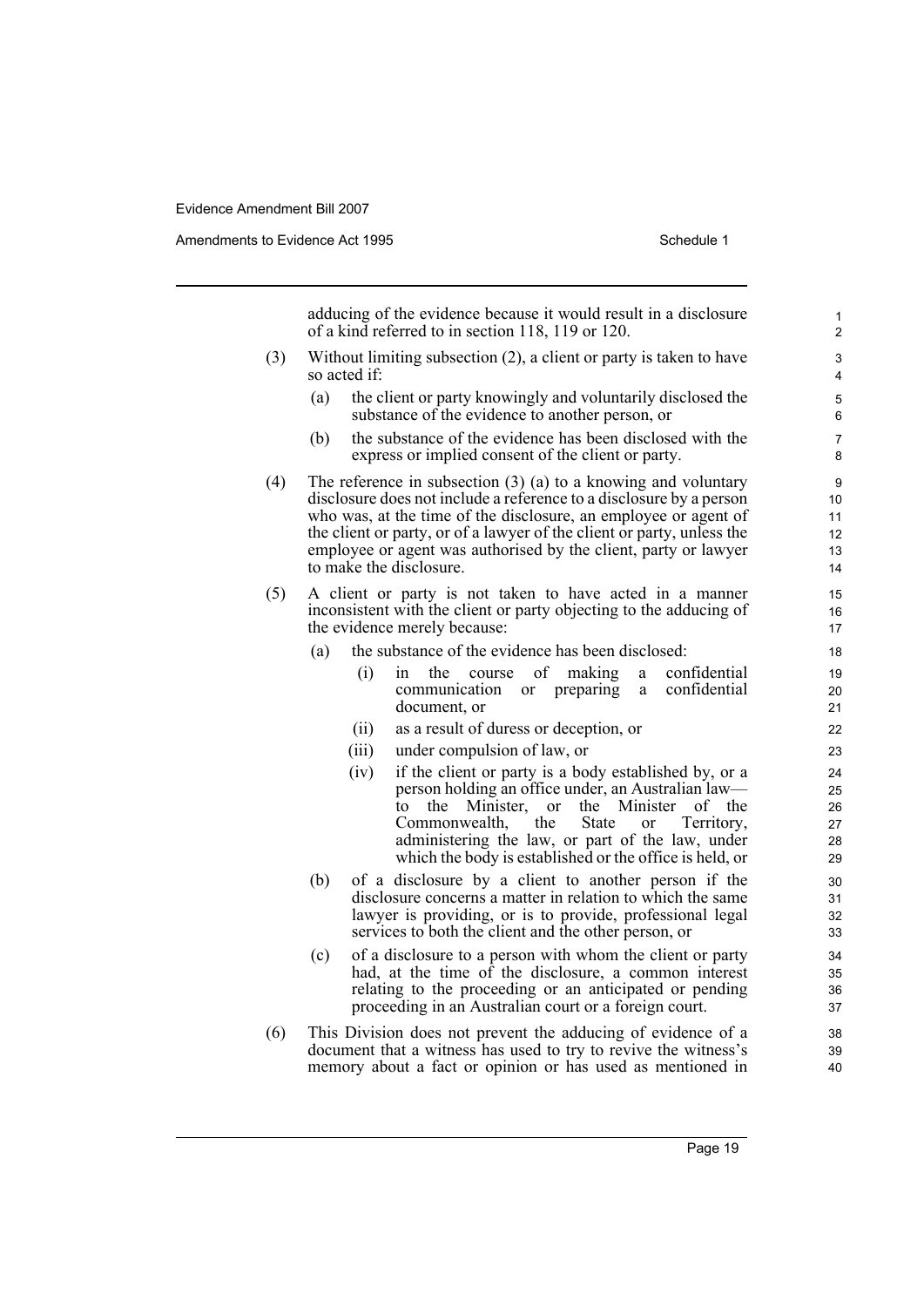Amendments to Evidence Act 1995 Schedule 1

adducing of the evidence because it would result in a disclosure of a kind referred to in section 118, 119 or 120.

- (3) Without limiting subsection (2), a client or party is taken to have so acted if:
	- (a) the client or party knowingly and voluntarily disclosed the substance of the evidence to another person, or
	- (b) the substance of the evidence has been disclosed with the express or implied consent of the client or party.
- (4) The reference in subsection (3) (a) to a knowing and voluntary disclosure does not include a reference to a disclosure by a person who was, at the time of the disclosure, an employee or agent of the client or party, or of a lawyer of the client or party, unless the employee or agent was authorised by the client, party or lawyer to make the disclosure.
- (5) A client or party is not taken to have acted in a manner inconsistent with the client or party objecting to the adducing of the evidence merely because:
	- (a) the substance of the evidence has been disclosed:
		- (i) in the course of making a confidential communication or preparing a document, or
		- (ii) as a result of duress or deception, or
		- (iii) under compulsion of law, or
		- (iv) if the client or party is a body established by, or a person holding an office under, an Australian law to the Minister, or the Minister of the Commonwealth, the State or Territory, Commonwealth, the State or Territory, administering the law, or part of the law, under which the body is established or the office is held, or
	- (b) of a disclosure by a client to another person if the disclosure concerns a matter in relation to which the same lawyer is providing, or is to provide, professional legal services to both the client and the other person, or
	- (c) of a disclosure to a person with whom the client or party had, at the time of the disclosure, a common interest relating to the proceeding or an anticipated or pending proceeding in an Australian court or a foreign court.
- (6) This Division does not prevent the adducing of evidence of a document that a witness has used to try to revive the witness's memory about a fact or opinion or has used as mentioned in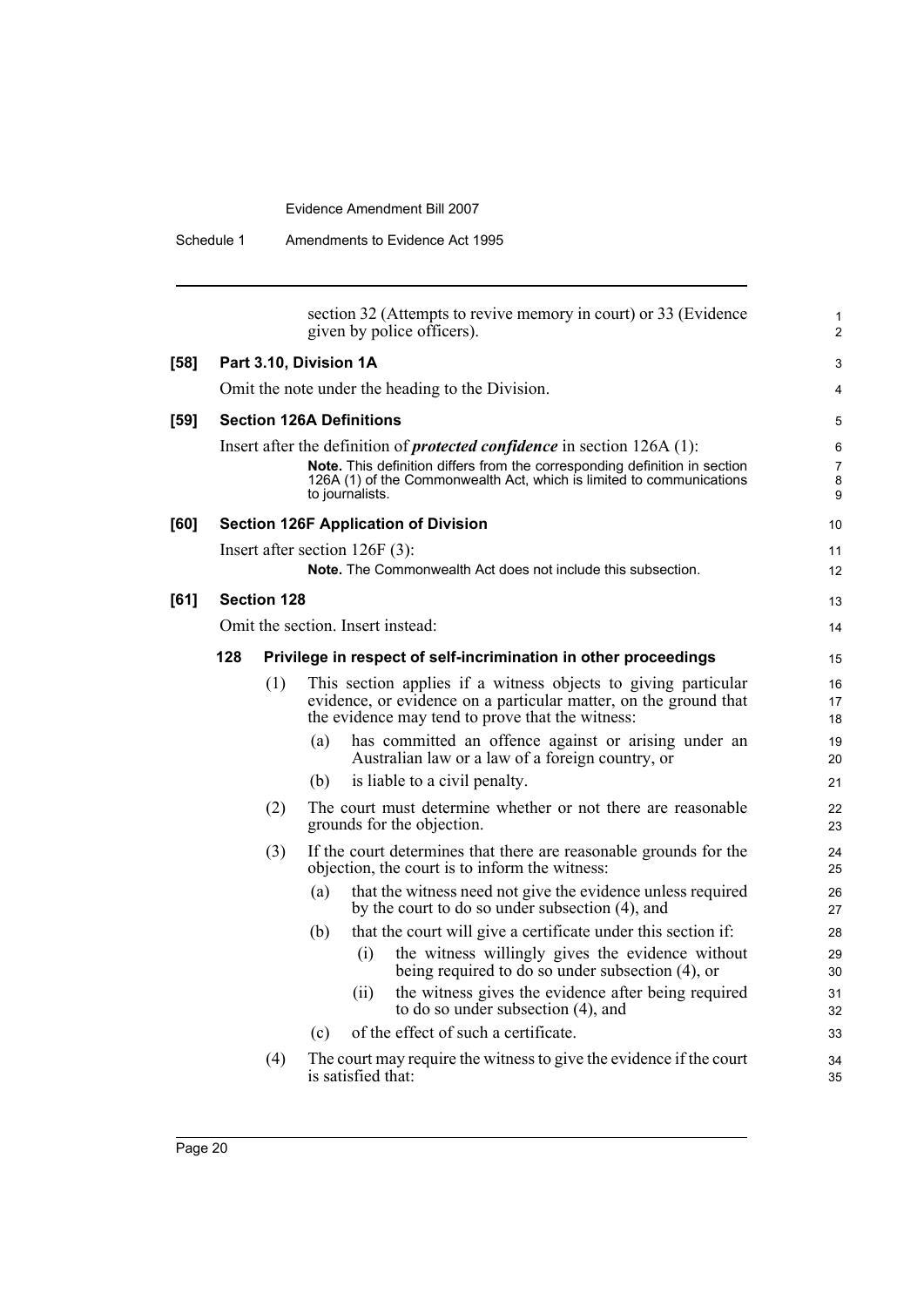|        |                    | section 32 (Attempts to revive memory in court) or 33 (Evidence<br>given by police officers).                                                                                                                                                              |
|--------|--------------------|------------------------------------------------------------------------------------------------------------------------------------------------------------------------------------------------------------------------------------------------------------|
| $[58]$ |                    | Part 3.10, Division 1A                                                                                                                                                                                                                                     |
|        |                    | Omit the note under the heading to the Division.                                                                                                                                                                                                           |
| $[59]$ |                    | <b>Section 126A Definitions</b>                                                                                                                                                                                                                            |
|        |                    | Insert after the definition of <i>protected confidence</i> in section $126A(1)$ :<br>Note. This definition differs from the corresponding definition in section<br>126A (1) of the Commonwealth Act, which is limited to communications<br>to journalists. |
| [60]   |                    | <b>Section 126F Application of Division</b>                                                                                                                                                                                                                |
|        |                    | Insert after section $126F(3)$ :<br>Note. The Commonwealth Act does not include this subsection.                                                                                                                                                           |
| [61]   | <b>Section 128</b> |                                                                                                                                                                                                                                                            |
|        |                    | Omit the section. Insert instead:                                                                                                                                                                                                                          |
|        | 128                | Privilege in respect of self-incrimination in other proceedings                                                                                                                                                                                            |
|        | (1)                | This section applies if a witness objects to giving particular<br>evidence, or evidence on a particular matter, on the ground that<br>the evidence may tend to prove that the witness:                                                                     |
|        |                    | has committed an offence against or arising under an<br>(a)<br>Australian law or a law of a foreign country, or                                                                                                                                            |
|        |                    | is liable to a civil penalty.<br>(b)                                                                                                                                                                                                                       |
|        | (2)                | The court must determine whether or not there are reasonable<br>grounds for the objection.                                                                                                                                                                 |
|        | (3)                | If the court determines that there are reasonable grounds for the<br>objection, the court is to inform the witness:                                                                                                                                        |
|        |                    | that the witness need not give the evidence unless required<br>(a)<br>by the court to do so under subsection (4), and                                                                                                                                      |
|        |                    | that the court will give a certificate under this section if:<br>(b)                                                                                                                                                                                       |
|        |                    | the witness willingly gives the evidence without<br>(i)<br>being required to do so under subsection (4), or                                                                                                                                                |
|        |                    | the witness gives the evidence after being required<br>(ii)<br>to do so under subsection $(4)$ , and                                                                                                                                                       |
|        |                    | of the effect of such a certificate.<br>(c)                                                                                                                                                                                                                |
|        | (4)                | The court may require the witness to give the evidence if the court<br>is satisfied that:                                                                                                                                                                  |

1 2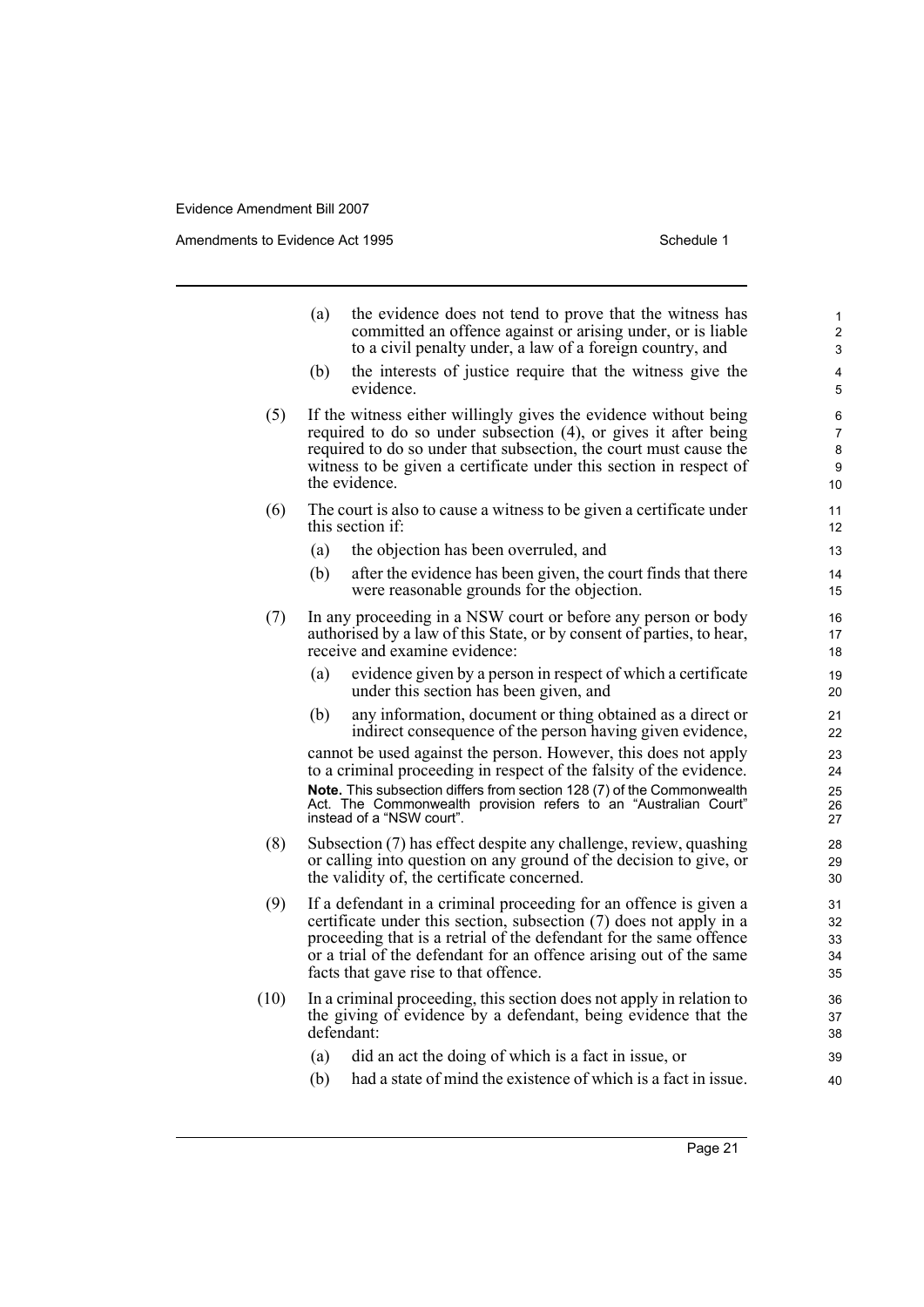Amendments to Evidence Act 1995 Schedule 1

|      | (a)                                                                                                                                                                    | the evidence does not tend to prove that the witness has<br>committed an offence against or arising under, or is liable<br>to a civil penalty under, a law of a foreign country, and                                                                                                            | 1<br>2<br>3                         |  |  |  |
|------|------------------------------------------------------------------------------------------------------------------------------------------------------------------------|-------------------------------------------------------------------------------------------------------------------------------------------------------------------------------------------------------------------------------------------------------------------------------------------------|-------------------------------------|--|--|--|
|      | (b)                                                                                                                                                                    | the interests of justice require that the witness give the<br>evidence.                                                                                                                                                                                                                         | 4<br>5                              |  |  |  |
| (5)  |                                                                                                                                                                        | If the witness either willingly gives the evidence without being<br>required to do so under subsection (4), or gives it after being<br>required to do so under that subsection, the court must cause the<br>witness to be given a certificate under this section in respect of<br>the evidence. | 6<br>$\overline{7}$<br>8<br>9<br>10 |  |  |  |
| (6)  |                                                                                                                                                                        | The court is also to cause a witness to be given a certificate under<br>this section if:                                                                                                                                                                                                        | 11<br>12                            |  |  |  |
|      | (a)                                                                                                                                                                    | the objection has been overruled, and                                                                                                                                                                                                                                                           | 13                                  |  |  |  |
|      | (b)                                                                                                                                                                    | after the evidence has been given, the court finds that there<br>were reasonable grounds for the objection.                                                                                                                                                                                     | 14<br>15                            |  |  |  |
| (7)  |                                                                                                                                                                        | In any proceeding in a NSW court or before any person or body<br>authorised by a law of this State, or by consent of parties, to hear,<br>receive and examine evidence:                                                                                                                         | 16<br>17<br>18                      |  |  |  |
|      | (a)                                                                                                                                                                    | evidence given by a person in respect of which a certificate<br>under this section has been given, and                                                                                                                                                                                          | 19<br>20                            |  |  |  |
|      | (b)                                                                                                                                                                    | any information, document or thing obtained as a direct or<br>indirect consequence of the person having given evidence,                                                                                                                                                                         | 21<br>22                            |  |  |  |
|      |                                                                                                                                                                        | cannot be used against the person. However, this does not apply                                                                                                                                                                                                                                 | 23                                  |  |  |  |
|      |                                                                                                                                                                        | to a criminal proceeding in respect of the falsity of the evidence.                                                                                                                                                                                                                             | 24<br>25                            |  |  |  |
|      | Note. This subsection differs from section 128 (7) of the Commonwealth<br>Act. The Commonwealth provision refers to an "Australian Court"<br>instead of a "NSW court". |                                                                                                                                                                                                                                                                                                 |                                     |  |  |  |
| (8)  |                                                                                                                                                                        | Subsection (7) has effect despite any challenge, review, quashing<br>or calling into question on any ground of the decision to give, or<br>the validity of, the certificate concerned.                                                                                                          | 28<br>29<br>30                      |  |  |  |
| (9)  |                                                                                                                                                                        | If a defendant in a criminal proceeding for an offence is given a                                                                                                                                                                                                                               | 31                                  |  |  |  |
|      |                                                                                                                                                                        | certificate under this section, subsection (7) does not apply in a                                                                                                                                                                                                                              | 32                                  |  |  |  |
|      |                                                                                                                                                                        | proceeding that is a retrial of the defendant for the same offence<br>or a trial of the defendant for an offence arising out of the same                                                                                                                                                        | 33<br>34                            |  |  |  |
|      |                                                                                                                                                                        | facts that gave rise to that offence.                                                                                                                                                                                                                                                           | 35                                  |  |  |  |
| (10) |                                                                                                                                                                        | In a criminal proceeding, this section does not apply in relation to<br>the giving of evidence by a defendant, being evidence that the<br>defendant:                                                                                                                                            | 36<br>37<br>38                      |  |  |  |
|      | (a)                                                                                                                                                                    | did an act the doing of which is a fact in issue, or                                                                                                                                                                                                                                            | 39                                  |  |  |  |
|      | (b)                                                                                                                                                                    | had a state of mind the existence of which is a fact in issue.                                                                                                                                                                                                                                  | 40                                  |  |  |  |
|      |                                                                                                                                                                        |                                                                                                                                                                                                                                                                                                 |                                     |  |  |  |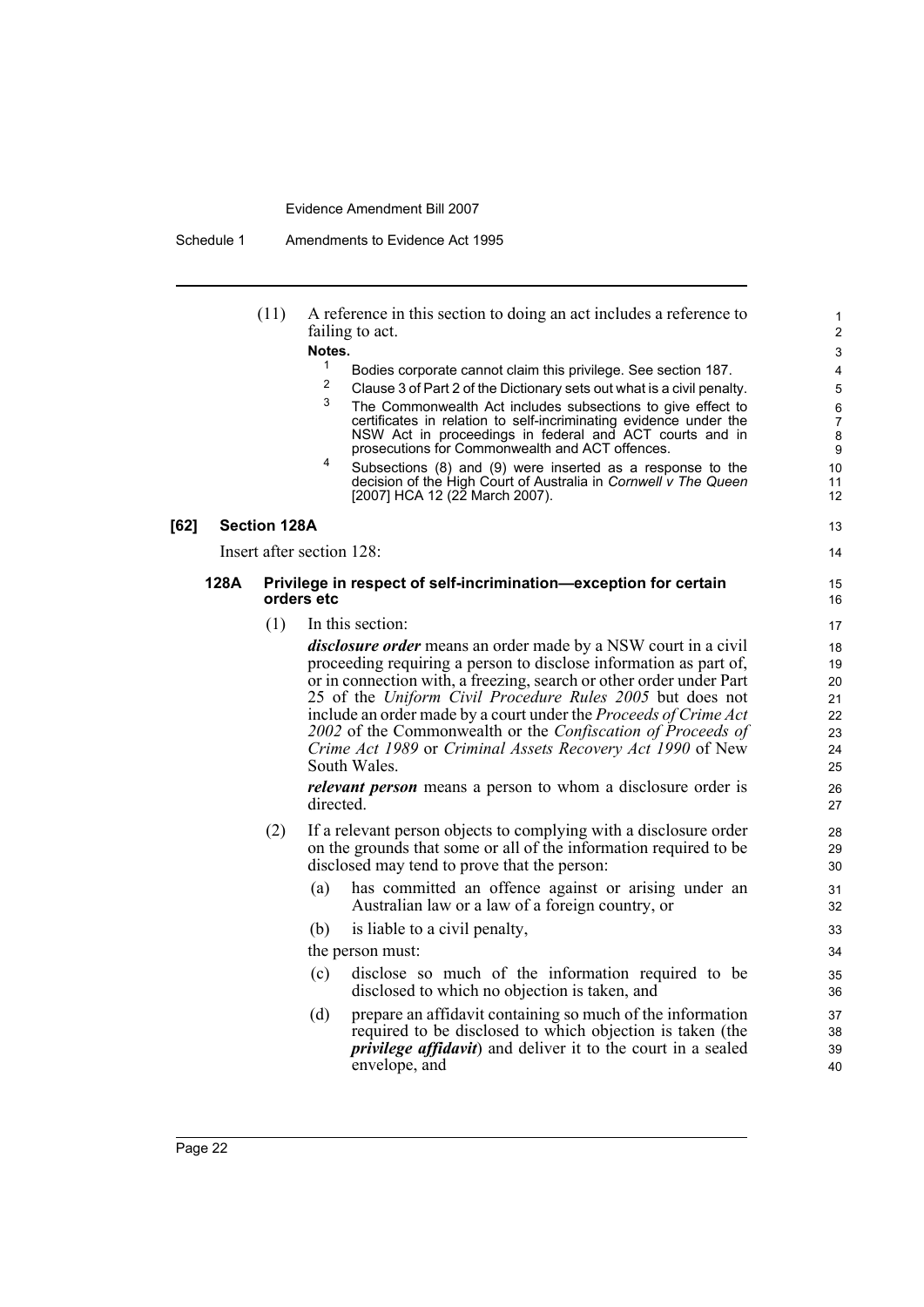Schedule 1 Amendments to Evidence Act 1995

| [62] |      | (11)<br><b>Section 128A</b> | A reference in this section to doing an act includes a reference to<br>failing to act.<br>Notes.<br>$\mathbf{1}$<br>Bodies corporate cannot claim this privilege. See section 187.<br>$\overline{c}$<br>Clause 3 of Part 2 of the Dictionary sets out what is a civil penalty.<br>3<br>The Commonwealth Act includes subsections to give effect to<br>certificates in relation to self-incriminating evidence under the<br>NSW Act in proceedings in federal and ACT courts and in<br>prosecutions for Commonwealth and ACT offences.<br>4<br>Subsections (8) and (9) were inserted as a response to the<br>decision of the High Court of Australia in Cornwell v The Queen<br>[2007] HCA 12 (22 March 2007). | $\mathbf{1}$<br>$\overline{2}$<br>3<br>4<br>5<br>6<br>$\overline{7}$<br>8<br>9<br>10<br>11<br>12<br>13 |
|------|------|-----------------------------|---------------------------------------------------------------------------------------------------------------------------------------------------------------------------------------------------------------------------------------------------------------------------------------------------------------------------------------------------------------------------------------------------------------------------------------------------------------------------------------------------------------------------------------------------------------------------------------------------------------------------------------------------------------------------------------------------------------|--------------------------------------------------------------------------------------------------------|
|      |      |                             | Insert after section 128:                                                                                                                                                                                                                                                                                                                                                                                                                                                                                                                                                                                                                                                                                     | 14                                                                                                     |
|      | 128A | orders etc                  | Privilege in respect of self-incrimination-exception for certain                                                                                                                                                                                                                                                                                                                                                                                                                                                                                                                                                                                                                                              | 15<br>16                                                                                               |
|      |      | (1)                         | In this section:                                                                                                                                                                                                                                                                                                                                                                                                                                                                                                                                                                                                                                                                                              | 17                                                                                                     |
|      |      |                             | <i>disclosure order</i> means an order made by a NSW court in a civil<br>proceeding requiring a person to disclose information as part of,<br>or in connection with, a freezing, search or other order under Part<br>25 of the Uniform Civil Procedure Rules 2005 but does not<br>include an order made by a court under the Proceeds of Crime Act<br>2002 of the Commonwealth or the Confiscation of Proceeds of<br>Crime Act 1989 or Criminal Assets Recovery Act 1990 of New<br>South Wales.                                                                                                                                                                                                               | 18<br>19<br>20<br>21<br>22<br>23<br>24<br>25                                                           |
|      |      |                             | <i>relevant person</i> means a person to whom a disclosure order is<br>directed.                                                                                                                                                                                                                                                                                                                                                                                                                                                                                                                                                                                                                              | 26<br>27                                                                                               |
|      |      | (2)                         | If a relevant person objects to complying with a disclosure order<br>on the grounds that some or all of the information required to be<br>disclosed may tend to prove that the person:                                                                                                                                                                                                                                                                                                                                                                                                                                                                                                                        | 28<br>29<br>30                                                                                         |
|      |      |                             | has committed an offence against or arising under an<br>(a)<br>Australian law or a law of a foreign country, or                                                                                                                                                                                                                                                                                                                                                                                                                                                                                                                                                                                               | 31<br>32                                                                                               |
|      |      |                             | (b)<br>is liable to a civil penalty,                                                                                                                                                                                                                                                                                                                                                                                                                                                                                                                                                                                                                                                                          | 33                                                                                                     |
|      |      |                             | the person must:                                                                                                                                                                                                                                                                                                                                                                                                                                                                                                                                                                                                                                                                                              | 34                                                                                                     |
|      |      |                             | disclose so much of the information required to be<br>(c)<br>disclosed to which no objection is taken, and                                                                                                                                                                                                                                                                                                                                                                                                                                                                                                                                                                                                    | 35<br>36                                                                                               |
|      |      |                             | prepare an affidavit containing so much of the information<br>(d)<br>required to be disclosed to which objection is taken (the<br><i>privilege affidavit</i> ) and deliver it to the court in a sealed<br>envelope, and                                                                                                                                                                                                                                                                                                                                                                                                                                                                                       | 37<br>38<br>39<br>40                                                                                   |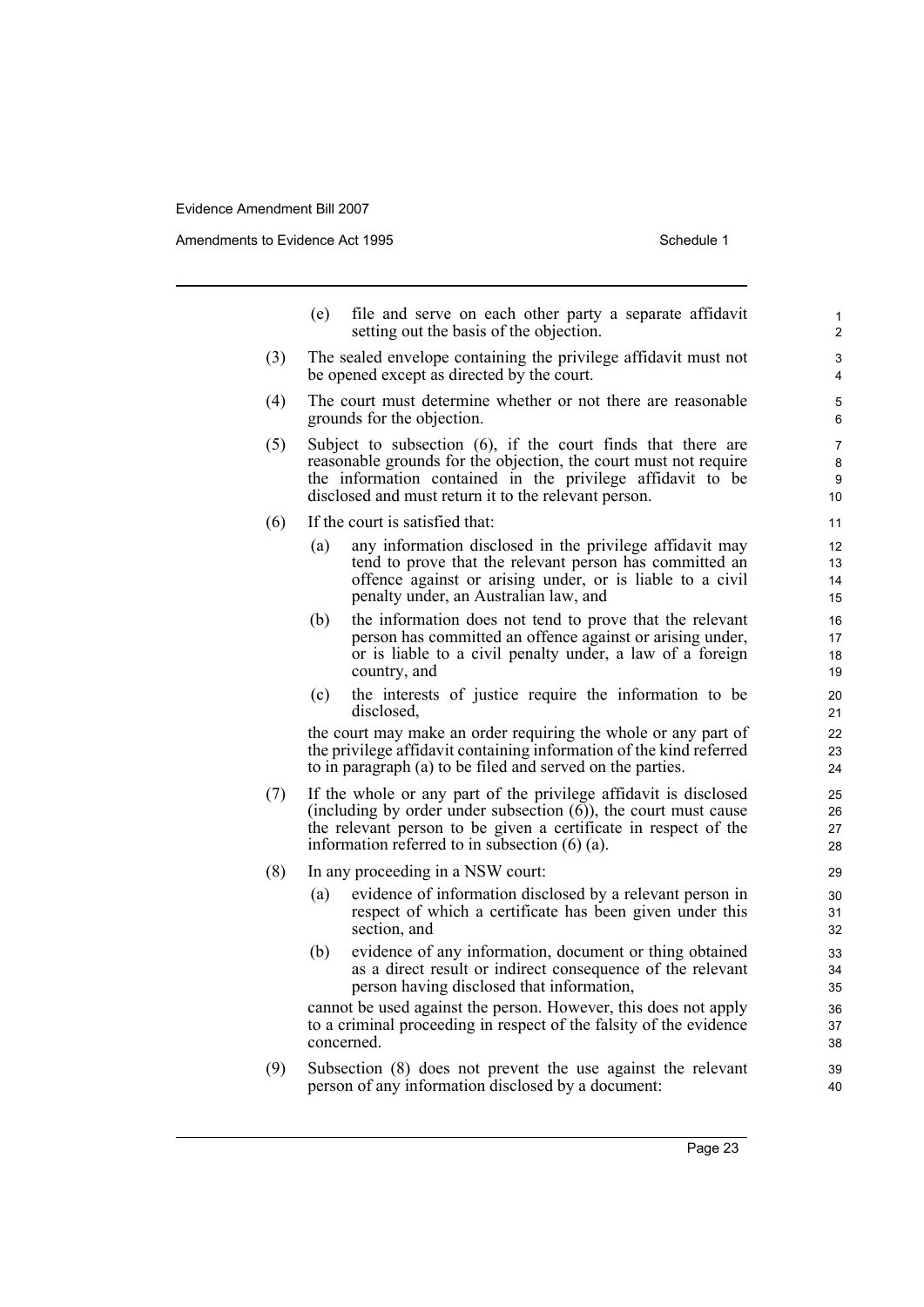Amendments to Evidence Act 1995 Schedule 1

(e) file and serve on each other party a separate affidavit setting out the basis of the objection. (3) The sealed envelope containing the privilege affidavit must not be opened except as directed by the court. (4) The court must determine whether or not there are reasonable grounds for the objection. (5) Subject to subsection (6), if the court finds that there are reasonable grounds for the objection, the court must not require the information contained in the privilege affidavit to be disclosed and must return it to the relevant person. (6) If the court is satisfied that: (a) any information disclosed in the privilege affidavit may tend to prove that the relevant person has committed an offence against or arising under, or is liable to a civil penalty under, an Australian law, and (b) the information does not tend to prove that the relevant person has committed an offence against or arising under, or is liable to a civil penalty under, a law of a foreign country, and (c) the interests of justice require the information to be disclosed, the court may make an order requiring the whole or any part of the privilege affidavit containing information of the kind referred to in paragraph (a) to be filed and served on the parties. (7) If the whole or any part of the privilege affidavit is disclosed (including by order under subsection  $(6)$ ), the court must cause the relevant person to be given a certificate in respect of the information referred to in subsection (6) (a). (8) In any proceeding in a NSW court: (a) evidence of information disclosed by a relevant person in respect of which a certificate has been given under this section, and (b) evidence of any information, document or thing obtained as a direct result or indirect consequence of the relevant person having disclosed that information, cannot be used against the person. However, this does not apply to a criminal proceeding in respect of the falsity of the evidence concerned. (9) Subsection (8) does not prevent the use against the relevant person of any information disclosed by a document: 1 2 3 4 5 6 7 8 9 10 11 12 13 14 15 16 17 18 19  $20$ 21  $22$ 23 24 25 26 27 28 29 30 31 32 33 34 35 36 37 38 39 40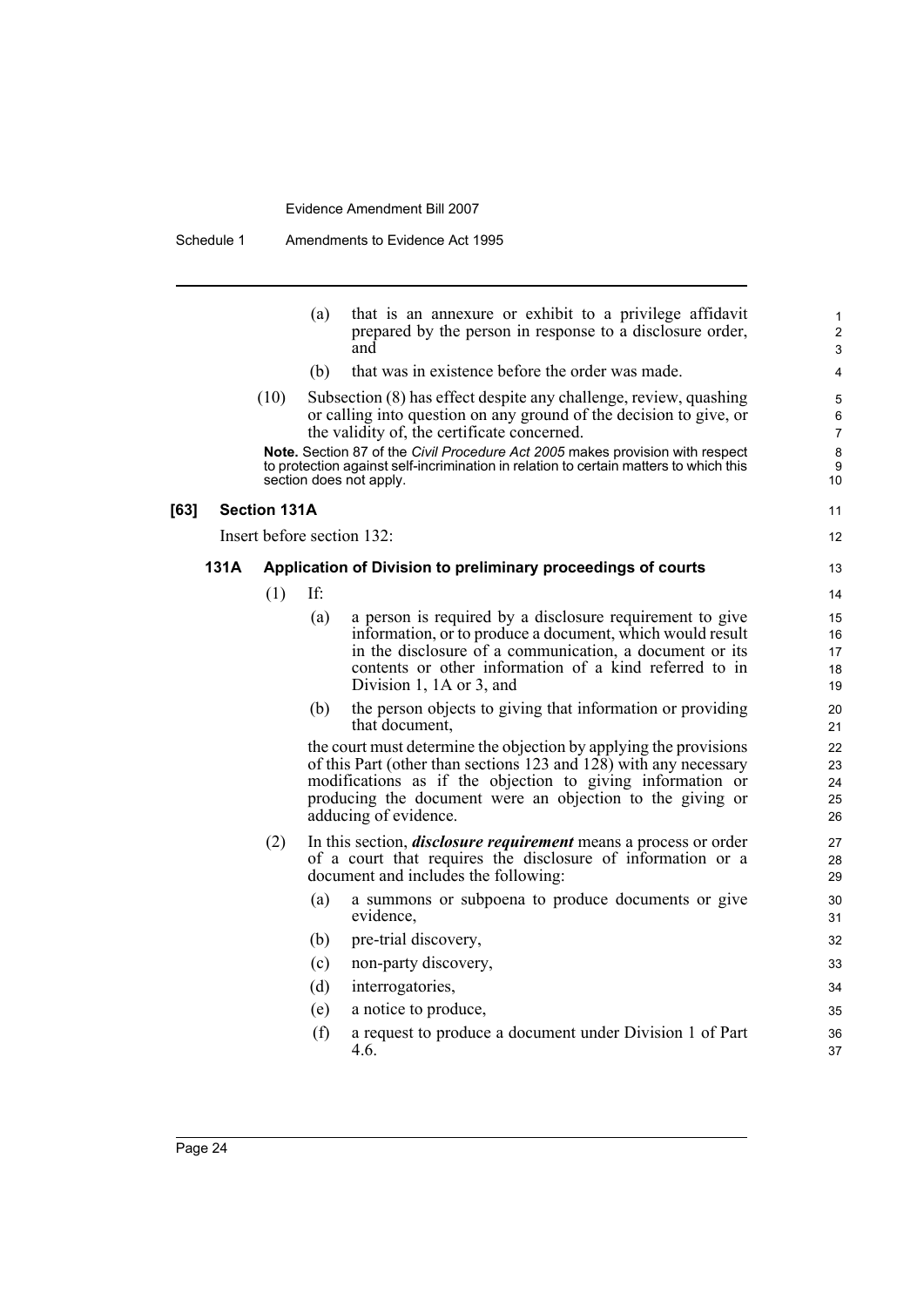|      |                     | (a) | that is an annexure or exhibit to a privilege affidavit<br>prepared by the person in response to a disclosure order,<br>and                                                                                                                                                                              | $\mathbf{1}$<br>$\overline{2}$<br>3 |
|------|---------------------|-----|----------------------------------------------------------------------------------------------------------------------------------------------------------------------------------------------------------------------------------------------------------------------------------------------------------|-------------------------------------|
|      |                     | (b) | that was in existence before the order was made.                                                                                                                                                                                                                                                         | 4                                   |
|      | (10)                |     | Subsection (8) has effect despite any challenge, review, quashing<br>or calling into question on any ground of the decision to give, or<br>the validity of, the certificate concerned.                                                                                                                   | 5<br>6<br>$\overline{7}$            |
|      |                     |     | Note. Section 87 of the Civil Procedure Act 2005 makes provision with respect<br>to protection against self-incrimination in relation to certain matters to which this<br>section does not apply.                                                                                                        | 8<br>9<br>10                        |
|      | <b>Section 131A</b> |     |                                                                                                                                                                                                                                                                                                          | 11                                  |
|      |                     |     | Insert before section 132:                                                                                                                                                                                                                                                                               | $12 \overline{ }$                   |
| 131A |                     |     | Application of Division to preliminary proceedings of courts                                                                                                                                                                                                                                             | 13                                  |
|      | (1)                 | If: |                                                                                                                                                                                                                                                                                                          | 14                                  |
|      |                     | (a) | a person is required by a disclosure requirement to give<br>information, or to produce a document, which would result<br>in the disclosure of a communication, a document or its<br>contents or other information of a kind referred to in<br>Division 1, 1A or 3, and                                   | 15<br>16<br>17<br>18<br>19          |
|      |                     | (b) | the person objects to giving that information or providing<br>that document,                                                                                                                                                                                                                             | 20<br>21                            |
|      |                     |     | the court must determine the objection by applying the provisions<br>of this Part (other than sections 123 and $12\overline{8}$ ) with any necessary<br>modifications as if the objection to giving information or<br>producing the document were an objection to the giving or<br>adducing of evidence. | 22<br>23<br>24<br>25<br>26          |
|      | (2)                 |     | In this section, <i>disclosure requirement</i> means a process or order<br>of a court that requires the disclosure of information or a<br>document and includes the following:                                                                                                                           | 27<br>28<br>29                      |
|      |                     | (a) | a summons or subpoena to produce documents or give<br>evidence,                                                                                                                                                                                                                                          | 30<br>31                            |
|      |                     | (b) | pre-trial discovery,                                                                                                                                                                                                                                                                                     | 32                                  |
|      |                     | (c) | non-party discovery,                                                                                                                                                                                                                                                                                     | 33                                  |
|      |                     | (d) | interrogatories,                                                                                                                                                                                                                                                                                         | 34                                  |
|      |                     | (e) | a notice to produce,                                                                                                                                                                                                                                                                                     | 35                                  |
|      |                     | (f) | a request to produce a document under Division 1 of Part<br>4.6.                                                                                                                                                                                                                                         | 36<br>37                            |
|      |                     |     |                                                                                                                                                                                                                                                                                                          |                                     |

**[63]**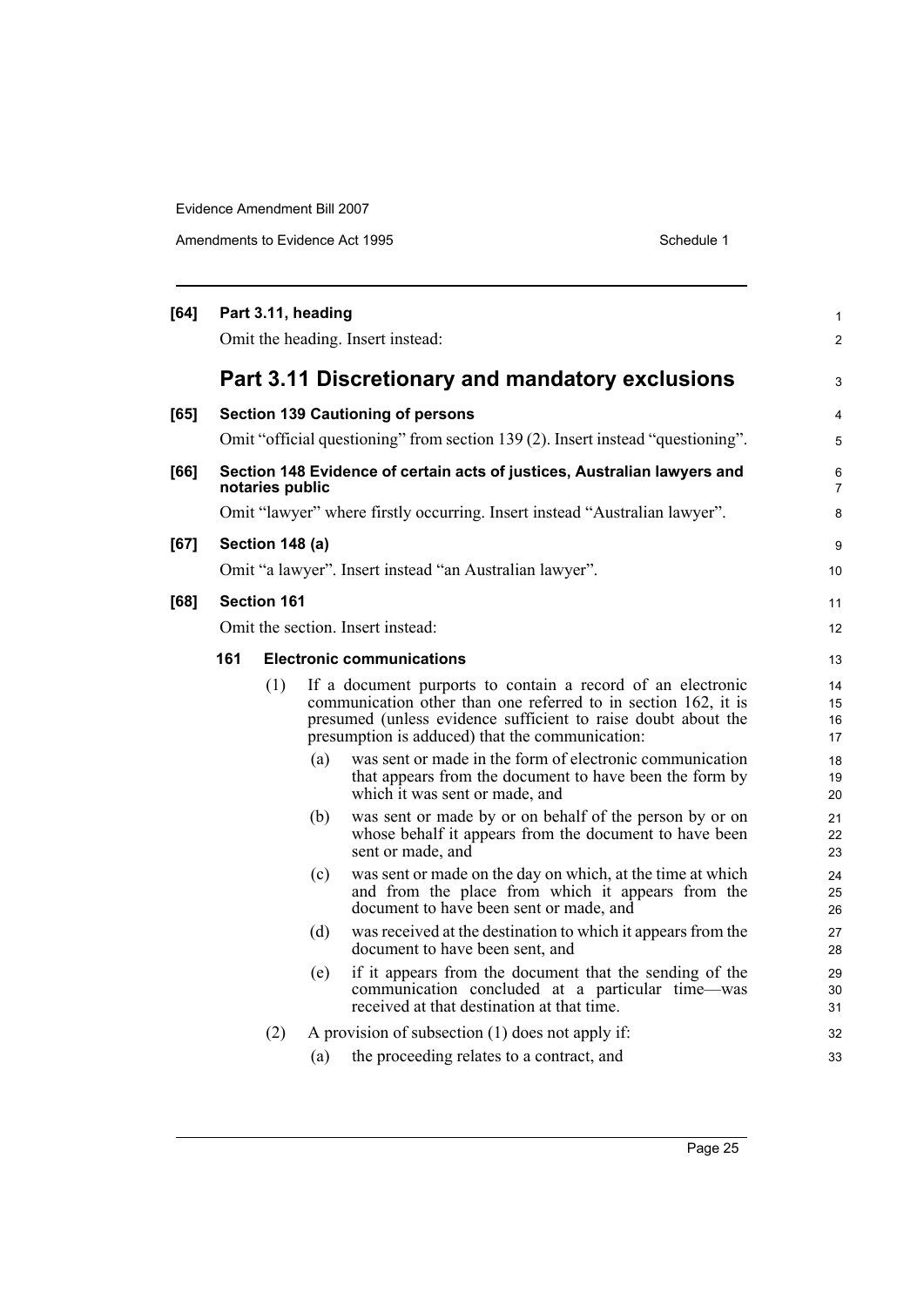| [64] |                                   | Part 3.11, heading |     |                                                                                                                                                                                                                                                   | 1                    |
|------|-----------------------------------|--------------------|-----|---------------------------------------------------------------------------------------------------------------------------------------------------------------------------------------------------------------------------------------------------|----------------------|
|      |                                   |                    |     | Omit the heading. Insert instead:                                                                                                                                                                                                                 | $\overline{c}$       |
|      |                                   |                    |     | Part 3.11 Discretionary and mandatory exclusions                                                                                                                                                                                                  | 3                    |
| [65] |                                   |                    |     | <b>Section 139 Cautioning of persons</b>                                                                                                                                                                                                          | 4                    |
|      |                                   |                    |     | Omit "official questioning" from section 139 (2). Insert instead "questioning".                                                                                                                                                                   | 5                    |
| [66] |                                   | notaries public    |     | Section 148 Evidence of certain acts of justices, Australian lawyers and                                                                                                                                                                          | 6<br>7               |
|      |                                   |                    |     | Omit "lawyer" where firstly occurring. Insert instead "Australian lawyer".                                                                                                                                                                        | 8                    |
| [67] |                                   | Section 148 (a)    |     |                                                                                                                                                                                                                                                   | 9                    |
|      |                                   |                    |     | Omit "a lawyer". Insert instead "an Australian lawyer".                                                                                                                                                                                           | 10                   |
| [68] |                                   | <b>Section 161</b> |     |                                                                                                                                                                                                                                                   | 11                   |
|      | Omit the section. Insert instead: |                    |     |                                                                                                                                                                                                                                                   | 12                   |
|      | 161                               |                    |     | <b>Electronic communications</b>                                                                                                                                                                                                                  | 13                   |
|      |                                   | (1)                |     | If a document purports to contain a record of an electronic<br>communication other than one referred to in section 162, it is<br>presumed (unless evidence sufficient to raise doubt about the<br>presumption is adduced) that the communication: | 14<br>15<br>16<br>17 |
|      |                                   |                    | (a) | was sent or made in the form of electronic communication<br>that appears from the document to have been the form by<br>which it was sent or made, and                                                                                             | 18<br>19<br>20       |
|      |                                   |                    | (b) | was sent or made by or on behalf of the person by or on<br>whose behalf it appears from the document to have been<br>sent or made, and                                                                                                            | 21<br>22<br>23       |
|      |                                   |                    | (c) | was sent or made on the day on which, at the time at which<br>and from the place from which it appears from the<br>document to have been sent or made, and                                                                                        | 24<br>25<br>26       |
|      |                                   |                    | (d) | was received at the destination to which it appears from the<br>document to have been sent, and                                                                                                                                                   | 27<br>28             |
|      |                                   |                    | (e) | if it appears from the document that the sending of the<br>communication concluded at a particular time—was<br>received at that destination at that time.                                                                                         | 29<br>30<br>31       |
|      |                                   | (2)                |     | A provision of subsection (1) does not apply if:                                                                                                                                                                                                  | 32                   |
|      |                                   |                    | (a) | the proceeding relates to a contract, and                                                                                                                                                                                                         | 33                   |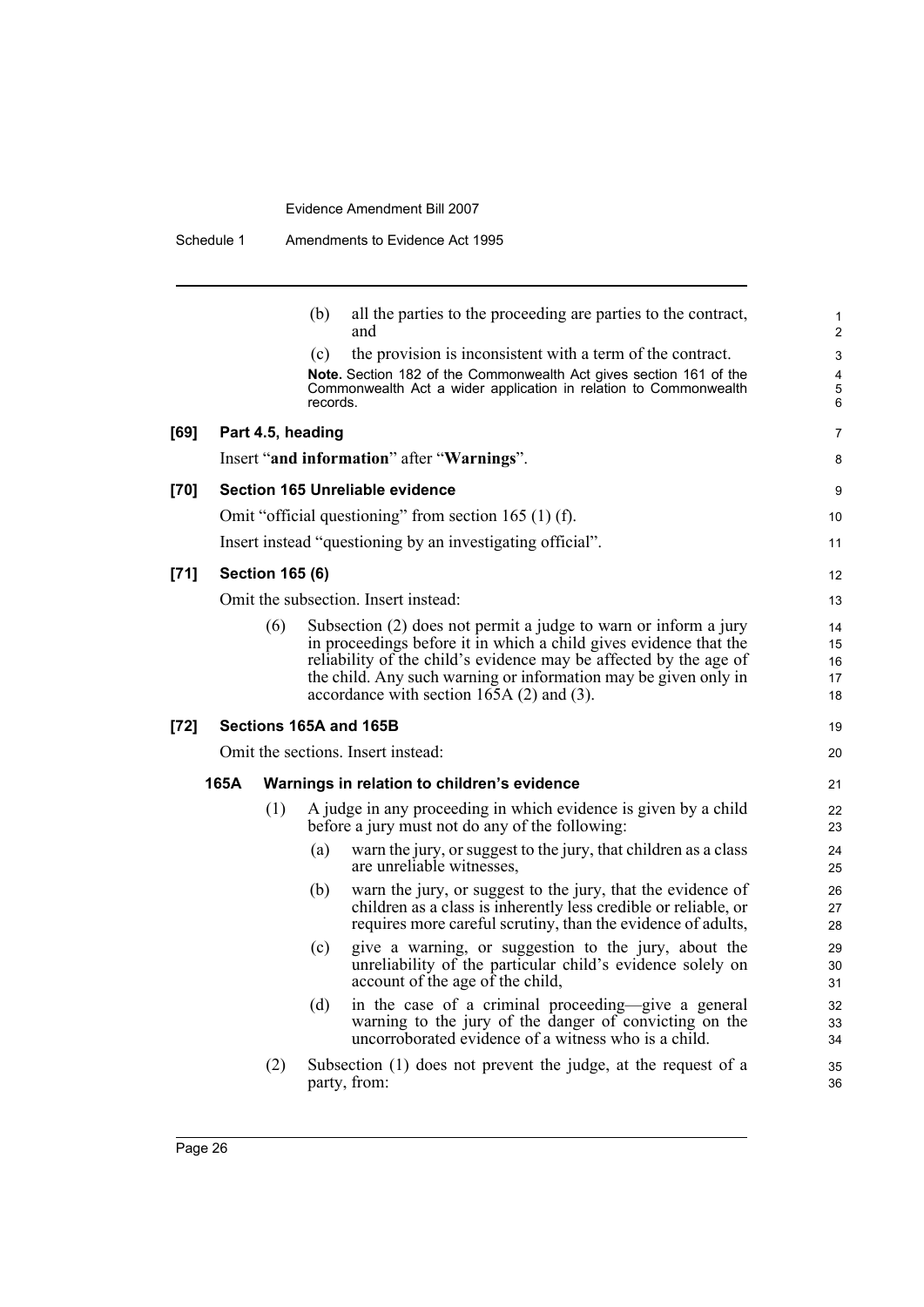|      |      |                        | (b)               | all the parties to the proceeding are parties to the contract,<br>and                                                                                                                                                                                                                                                         | 1<br>$\overline{2}$                               |
|------|------|------------------------|-------------------|-------------------------------------------------------------------------------------------------------------------------------------------------------------------------------------------------------------------------------------------------------------------------------------------------------------------------------|---------------------------------------------------|
|      |      |                        | (c)               | the provision is inconsistent with a term of the contract.                                                                                                                                                                                                                                                                    | 3                                                 |
|      |      |                        | records.          | Note. Section 182 of the Commonwealth Act gives section 161 of the<br>Commonwealth Act a wider application in relation to Commonwealth                                                                                                                                                                                        | $\overline{\mathbf{4}}$<br>$\mathbf 5$<br>$\,6\,$ |
| [69] |      |                        | Part 4.5, heading |                                                                                                                                                                                                                                                                                                                               | 7                                                 |
|      |      |                        |                   | Insert "and information" after "Warnings".                                                                                                                                                                                                                                                                                    | 8                                                 |
| [70] |      |                        |                   | <b>Section 165 Unreliable evidence</b>                                                                                                                                                                                                                                                                                        | 9                                                 |
|      |      |                        |                   | Omit "official questioning" from section 165 $(1)$ (f).                                                                                                                                                                                                                                                                       | 10                                                |
|      |      |                        |                   | Insert instead "questioning by an investigating official".                                                                                                                                                                                                                                                                    | 11                                                |
| [71] |      | <b>Section 165 (6)</b> |                   |                                                                                                                                                                                                                                                                                                                               | 12                                                |
|      |      |                        |                   | Omit the subsection. Insert instead:                                                                                                                                                                                                                                                                                          | 13                                                |
|      |      | (6)                    |                   | Subsection (2) does not permit a judge to warn or inform a jury<br>in proceedings before it in which a child gives evidence that the<br>reliability of the child's evidence may be affected by the age of<br>the child. Any such warning or information may be given only in<br>accordance with section $165A(2)$ and $(3)$ . | 14<br>15<br>16<br>17<br>18                        |
| [72] |      |                        |                   | Sections 165A and 165B                                                                                                                                                                                                                                                                                                        | 19                                                |
|      |      |                        |                   | Omit the sections. Insert instead:                                                                                                                                                                                                                                                                                            | 20                                                |
|      | 165A |                        |                   | Warnings in relation to children's evidence                                                                                                                                                                                                                                                                                   | 21                                                |
|      |      | (1)                    |                   | A judge in any proceeding in which evidence is given by a child<br>before a jury must not do any of the following:                                                                                                                                                                                                            | 22<br>23                                          |
|      |      |                        | (a)               | warn the jury, or suggest to the jury, that children as a class<br>are unreliable witnesses,                                                                                                                                                                                                                                  | 24<br>25                                          |
|      |      |                        | (b)               | warn the jury, or suggest to the jury, that the evidence of<br>children as a class is inherently less credible or reliable, or<br>requires more careful scrutiny, than the evidence of adults,                                                                                                                                | 26<br>27<br>28                                    |
|      |      |                        | (c)               | give a warning, or suggestion to the jury, about the<br>unreliability of the particular child's evidence solely on<br>account of the age of the child,                                                                                                                                                                        | 29<br>30<br>31                                    |
|      |      |                        | (d)               | in the case of a criminal proceeding-give a general<br>warning to the jury of the danger of convicting on the<br>uncorroborated evidence of a witness who is a child.                                                                                                                                                         | 32<br>33<br>34                                    |
|      |      | (2)                    |                   | Subsection (1) does not prevent the judge, at the request of a<br>party, from:                                                                                                                                                                                                                                                | 35<br>36                                          |
|      |      |                        |                   |                                                                                                                                                                                                                                                                                                                               |                                                   |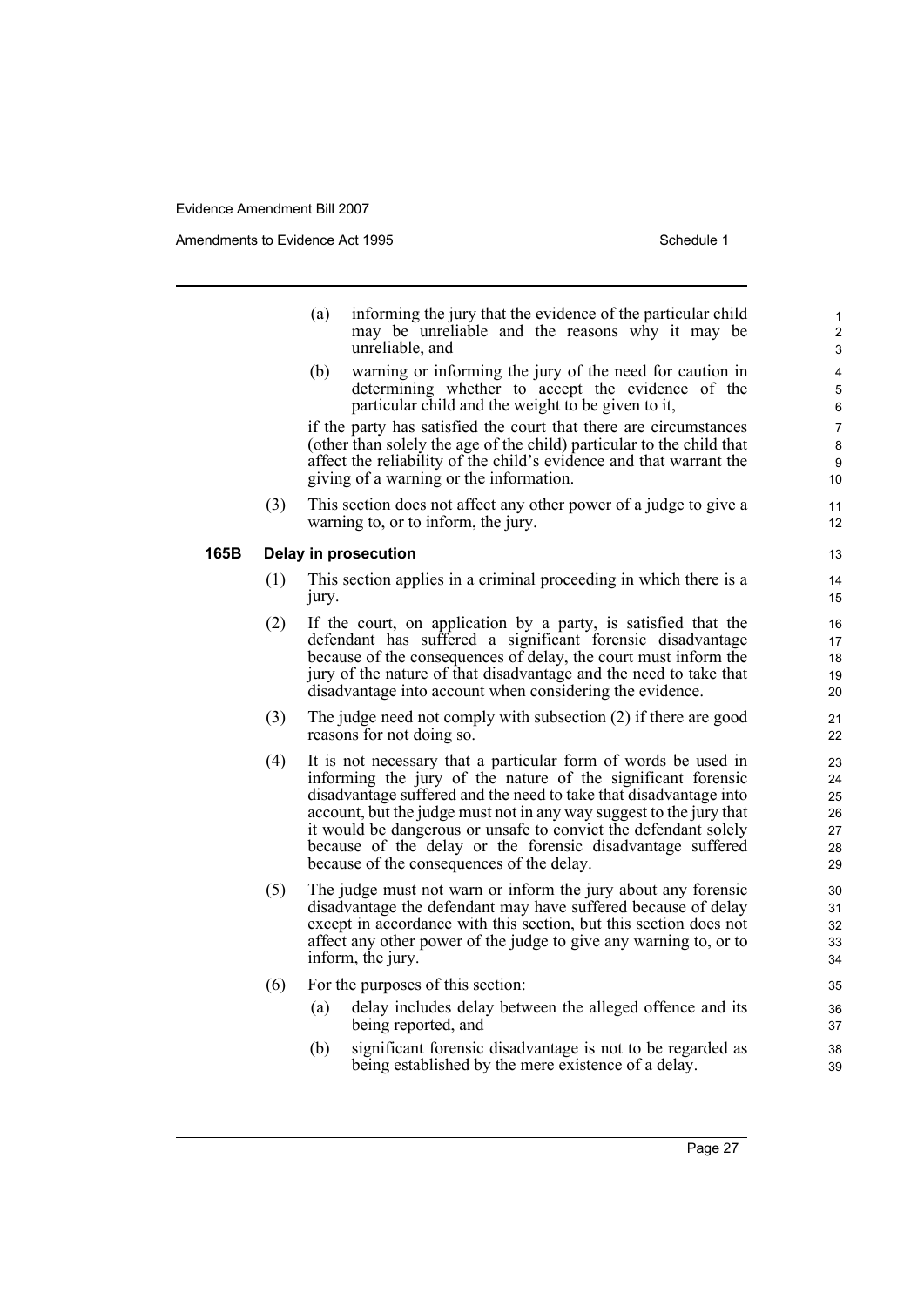Amendments to Evidence Act 1995 Schedule 1

|      |     | (a)   | informing the jury that the evidence of the particular child<br>may be unreliable and the reasons why it may be<br>unreliable, and                                                                                                                                                                                                                                                                                                                       | $\mathbf{1}$<br>$\mathbf{2}$<br>3      |
|------|-----|-------|----------------------------------------------------------------------------------------------------------------------------------------------------------------------------------------------------------------------------------------------------------------------------------------------------------------------------------------------------------------------------------------------------------------------------------------------------------|----------------------------------------|
|      |     | (b)   | warning or informing the jury of the need for caution in<br>determining whether to accept the evidence of the<br>particular child and the weight to be given to it,                                                                                                                                                                                                                                                                                      | 4<br>5<br>6                            |
|      |     |       | if the party has satisfied the court that there are circumstances<br>(other than solely the age of the child) particular to the child that<br>affect the reliability of the child's evidence and that warrant the<br>giving of a warning or the information.                                                                                                                                                                                             | 7<br>8<br>9<br>10                      |
|      | (3) |       | This section does not affect any other power of a judge to give a<br>warning to, or to inform, the jury.                                                                                                                                                                                                                                                                                                                                                 | 11<br>12                               |
| 165B |     |       | Delay in prosecution                                                                                                                                                                                                                                                                                                                                                                                                                                     | 13                                     |
|      | (1) | jury. | This section applies in a criminal proceeding in which there is a                                                                                                                                                                                                                                                                                                                                                                                        | 14<br>15                               |
|      | (2) |       | If the court, on application by a party, is satisfied that the<br>defendant has suffered a significant forensic disadvantage<br>because of the consequences of delay, the court must inform the<br>jury of the nature of that disadvantage and the need to take that<br>disadvantage into account when considering the evidence.                                                                                                                         | 16<br>17<br>18<br>19<br>20             |
|      | (3) |       | The judge need not comply with subsection $(2)$ if there are good<br>reasons for not doing so.                                                                                                                                                                                                                                                                                                                                                           | 21<br>22                               |
|      | (4) |       | It is not necessary that a particular form of words be used in<br>informing the jury of the nature of the significant forensic<br>disadvantage suffered and the need to take that disadvantage into<br>account, but the judge must not in any way suggest to the jury that<br>it would be dangerous or unsafe to convict the defendant solely<br>because of the delay or the forensic disadvantage suffered<br>because of the consequences of the delay. | 23<br>24<br>25<br>26<br>27<br>28<br>29 |
|      | (5) |       | The judge must not warn or inform the jury about any forensic<br>disadvantage the defendant may have suffered because of delay<br>except in accordance with this section, but this section does not<br>affect any other power of the judge to give any warning to, or to<br>inform, the jury.                                                                                                                                                            | 30<br>31<br>32<br>33<br>34             |
|      | (6) |       | For the purposes of this section:                                                                                                                                                                                                                                                                                                                                                                                                                        | 35                                     |
|      |     | (a)   | delay includes delay between the alleged offence and its<br>being reported, and                                                                                                                                                                                                                                                                                                                                                                          | 36<br>37                               |
|      |     | (b)   | significant forensic disadvantage is not to be regarded as<br>being established by the mere existence of a delay.                                                                                                                                                                                                                                                                                                                                        | 38<br>39                               |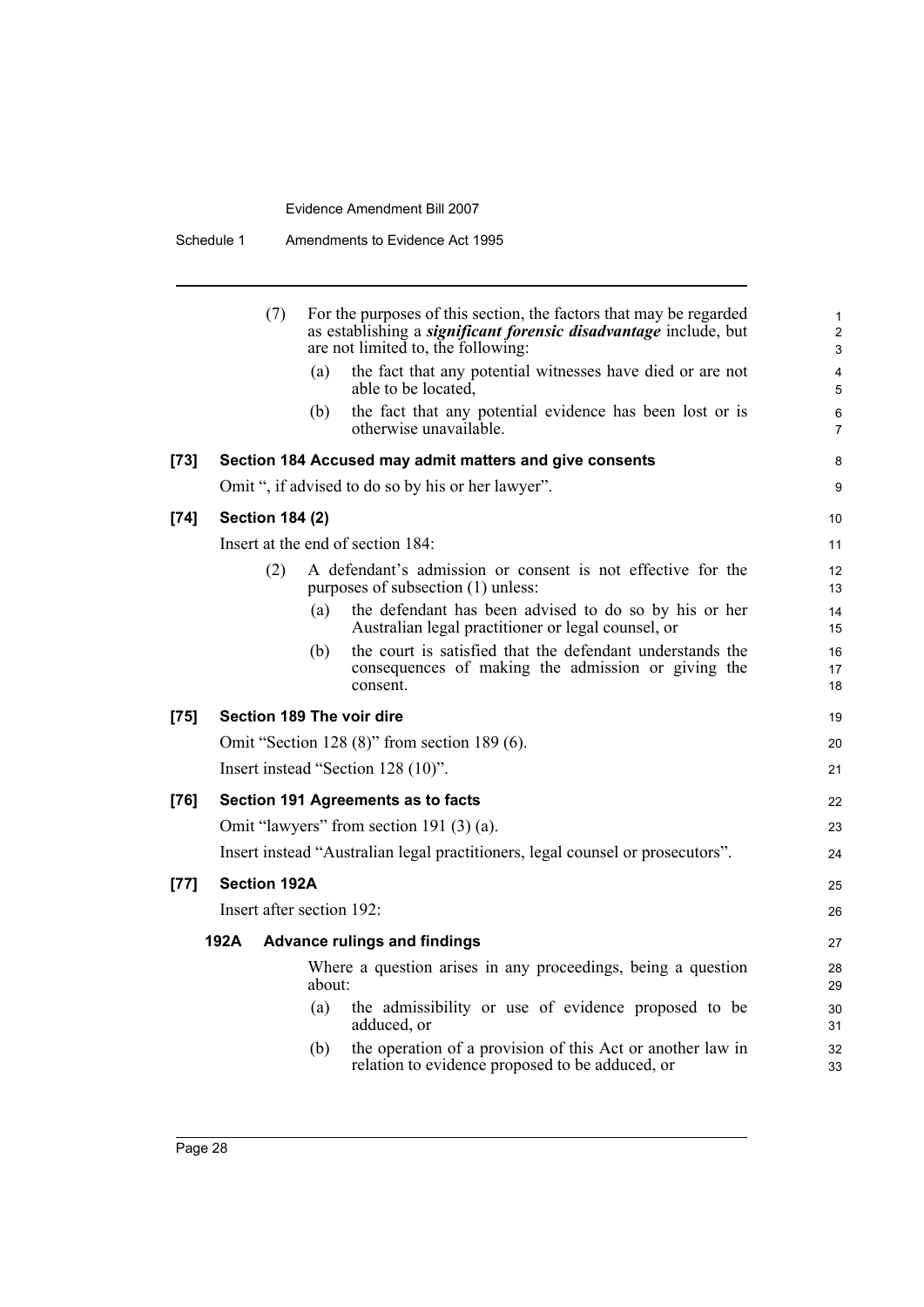|        | (7)                       |        | For the purposes of this section, the factors that may be regarded<br>as establishing a <i>significant forensic disadvantage</i> include, but<br>are not limited to, the following: | $\mathbf{1}$<br>$\overline{\mathbf{c}}$<br>3 |
|--------|---------------------------|--------|-------------------------------------------------------------------------------------------------------------------------------------------------------------------------------------|----------------------------------------------|
|        |                           | (a)    | the fact that any potential witnesses have died or are not<br>able to be located,                                                                                                   | $\overline{4}$<br>5                          |
|        |                           | (b)    | the fact that any potential evidence has been lost or is<br>otherwise unavailable.                                                                                                  | 6<br>$\overline{7}$                          |
| [73]   |                           |        | Section 184 Accused may admit matters and give consents                                                                                                                             | 8                                            |
|        |                           |        | Omit ", if advised to do so by his or her lawyer".                                                                                                                                  | 9                                            |
| $[74]$ | <b>Section 184 (2)</b>    |        |                                                                                                                                                                                     | 10                                           |
|        |                           |        | Insert at the end of section 184:                                                                                                                                                   | 11                                           |
|        | (2)                       |        | A defendant's admission or consent is not effective for the<br>purposes of subsection (1) unless:                                                                                   | 12<br>13                                     |
|        |                           | (a)    | the defendant has been advised to do so by his or her<br>Australian legal practitioner or legal counsel, or                                                                         | 14<br>15                                     |
|        |                           | (b)    | the court is satisfied that the defendant understands the<br>consequences of making the admission or giving the<br>consent.                                                         | 16<br>17<br>18                               |
| $[75]$ | Section 189 The voir dire |        |                                                                                                                                                                                     | 19                                           |
|        |                           |        | Omit "Section 128 $(8)$ " from section 189 $(6)$ .                                                                                                                                  | 20                                           |
|        |                           |        | Insert instead "Section 128 (10)".                                                                                                                                                  | 21                                           |
| [76]   |                           |        | Section 191 Agreements as to facts                                                                                                                                                  | 22                                           |
|        |                           |        | Omit "lawyers" from section 191 (3) (a).                                                                                                                                            | 23                                           |
|        |                           |        | Insert instead "Australian legal practitioners, legal counsel or prosecutors".                                                                                                      | 24                                           |
| [77]   | <b>Section 192A</b>       |        |                                                                                                                                                                                     | 25                                           |
|        | Insert after section 192: |        |                                                                                                                                                                                     | 26                                           |
|        | 192A                      |        | <b>Advance rulings and findings</b>                                                                                                                                                 | 27                                           |
|        |                           | about: | Where a question arises in any proceedings, being a question                                                                                                                        | 28<br>29                                     |
|        |                           | (a)    | the admissibility or use of evidence proposed to be<br>adduced, or                                                                                                                  | 30<br>31                                     |
|        |                           | (b)    | the operation of a provision of this Act or another law in<br>relation to evidence proposed to be adduced, or                                                                       | 32<br>33                                     |
|        |                           |        |                                                                                                                                                                                     |                                              |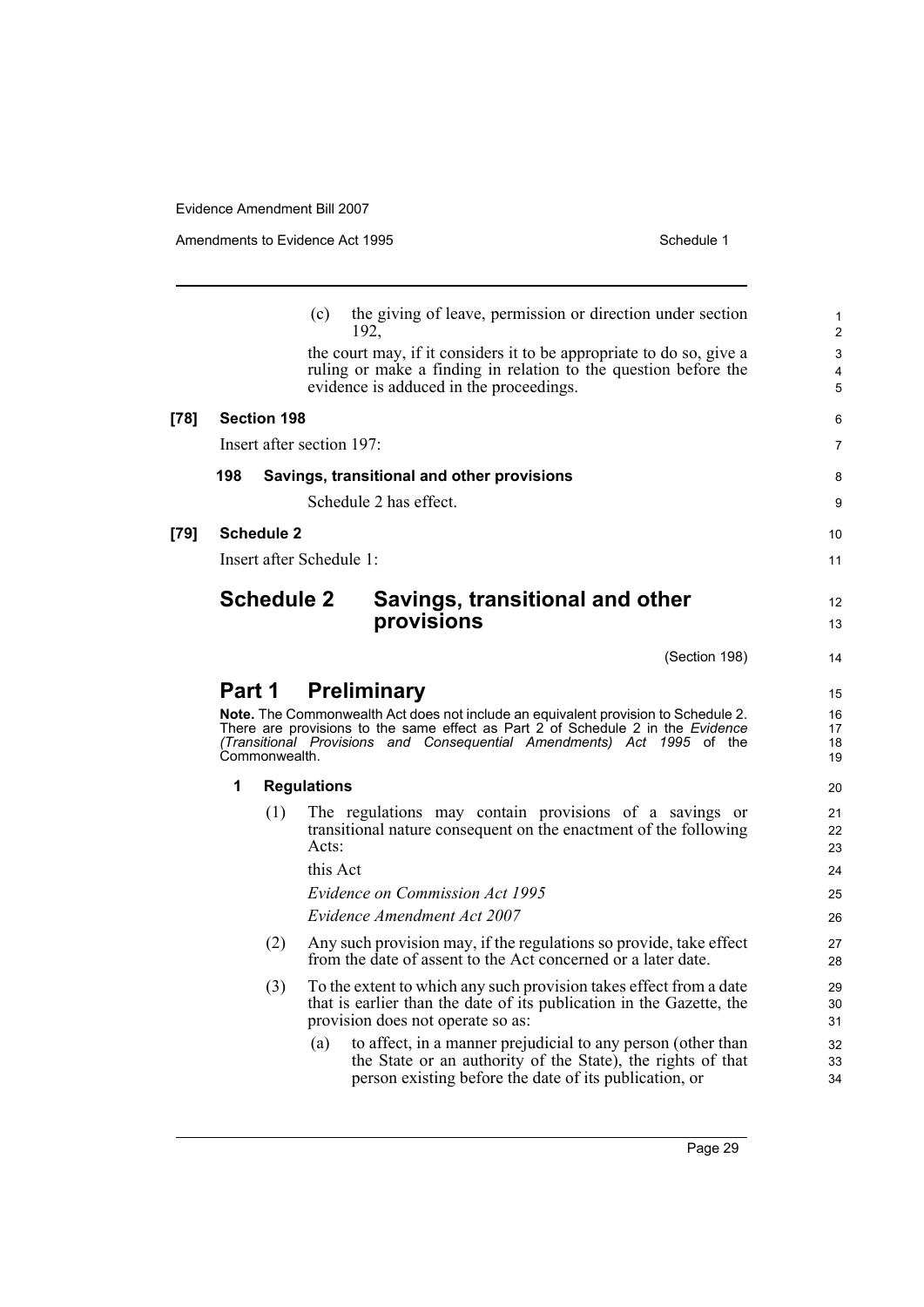(c) the giving of leave, permission or direction under section 192, the court may, if it considers it to be appropriate to do so, give a ruling or make a finding in relation to the question before the evidence is adduced in the proceedings. **[78] Section 198** Insert after section 197: **198 Savings, transitional and other provisions** Schedule 2 has effect. **[79] Schedule 2** Insert after Schedule 1: **Schedule 2 Savings, transitional and other provisions**  (Section 198) **Part 1 Preliminary Note.** The Commonwealth Act does not include an equivalent provision to Schedule 2. There are provisions to the same effect as Part 2 of Schedule 2 in the *Evidence (Transitional Provisions and Consequential Amendments) Act 1995* of the Commonwealth. **1 Regulations** (1) The regulations may contain provisions of a savings or transitional nature consequent on the enactment of the following Acts: this Act *Evidence on Commission Act 1995 Evidence Amendment Act 2007* (2) Any such provision may, if the regulations so provide, take effect from the date of assent to the Act concerned or a later date. (3) To the extent to which any such provision takes effect from a date that is earlier than the date of its publication in the Gazette, the provision does not operate so as: (a) to affect, in a manner prejudicial to any person (other than the State or an authority of the State), the rights of that person existing before the date of its publication, or 10 11 12 13 14 15 16 17 18 19 20 21  $22$ 23 24 25 26 27 28  $20$ 30 31 32 33 34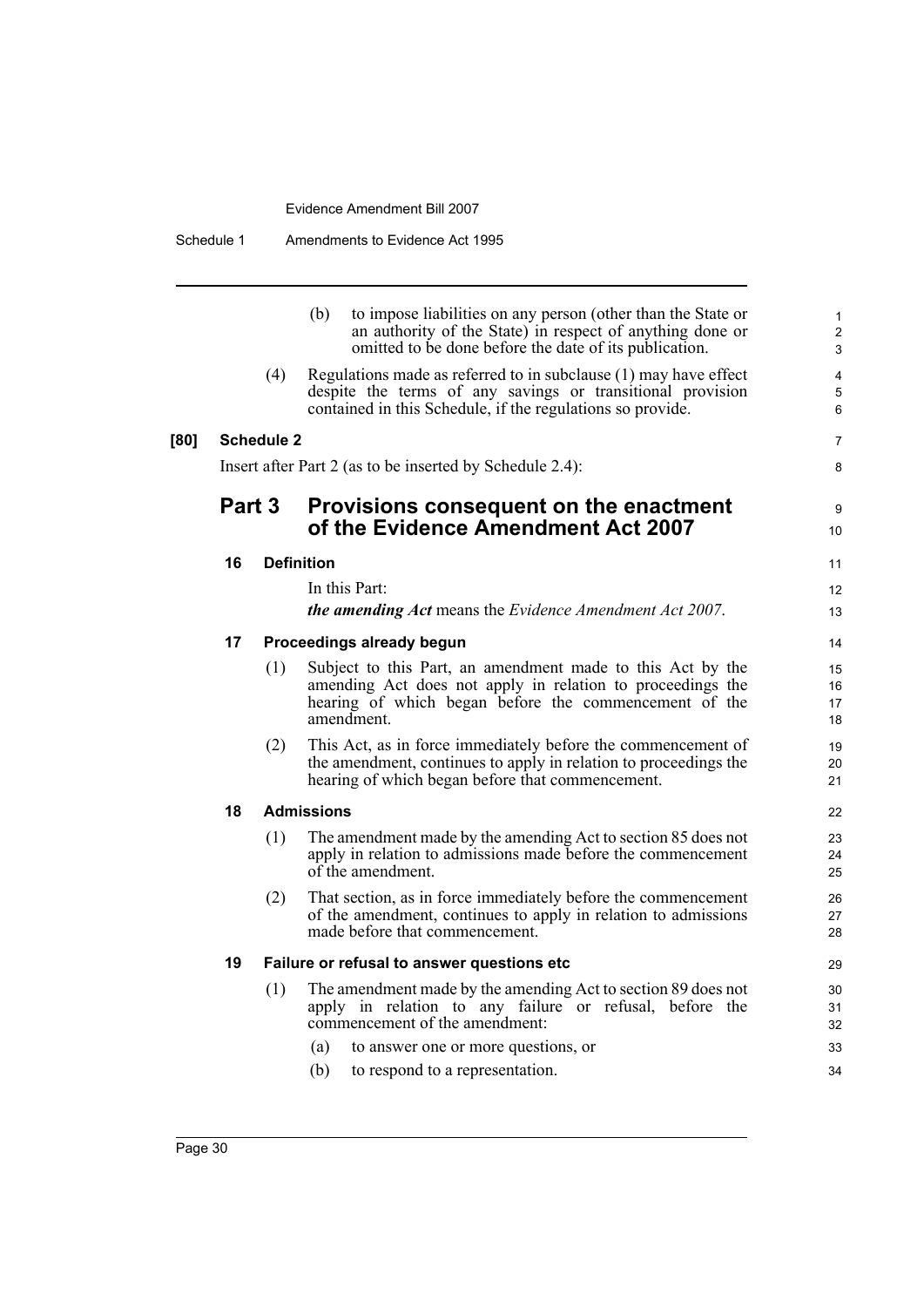|      |        |                   | to impose liabilities on any person (other than the State or<br>(b)<br>an authority of the State) in respect of anything done or<br>omitted to be done before the date of its publication.      | $\mathbf{1}$<br>2<br>3   |
|------|--------|-------------------|-------------------------------------------------------------------------------------------------------------------------------------------------------------------------------------------------|--------------------------|
|      |        | (4)               | Regulations made as referred to in subclause (1) may have effect<br>despite the terms of any savings or transitional provision<br>contained in this Schedule, if the regulations so provide.    | $\overline{4}$<br>5<br>6 |
| [80] |        | <b>Schedule 2</b> |                                                                                                                                                                                                 | $\overline{7}$           |
|      |        |                   | Insert after Part 2 (as to be inserted by Schedule 2.4):                                                                                                                                        | 8                        |
|      | Part 3 |                   | Provisions consequent on the enactment<br>of the Evidence Amendment Act 2007                                                                                                                    | 9<br>10                  |
|      | 16     |                   | <b>Definition</b>                                                                                                                                                                               | 11                       |
|      |        |                   | In this Part:                                                                                                                                                                                   | 12                       |
|      |        |                   | the amending Act means the Evidence Amendment Act 2007.                                                                                                                                         | 13                       |
|      | 17     |                   | Proceedings already begun                                                                                                                                                                       | 14                       |
|      |        | (1)               | Subject to this Part, an amendment made to this Act by the<br>amending Act does not apply in relation to proceedings the<br>hearing of which began before the commencement of the<br>amendment. | 15<br>16<br>17<br>18     |
|      |        | (2)               | This Act, as in force immediately before the commencement of<br>the amendment, continues to apply in relation to proceedings the<br>hearing of which began before that commencement.            | 19<br>20<br>21           |
|      | 18     |                   | <b>Admissions</b>                                                                                                                                                                               | 22                       |
|      |        | (1)               | The amendment made by the amending Act to section 85 does not<br>apply in relation to admissions made before the commencement<br>of the amendment.                                              | 23<br>24<br>25           |
|      |        | (2)               | That section, as in force immediately before the commencement<br>of the amendment, continues to apply in relation to admissions<br>made before that commencement.                               | 26<br>27<br>28           |
|      | 19     |                   | Failure or refusal to answer questions etc                                                                                                                                                      | 29                       |
|      |        | (1)               | The amendment made by the amending Act to section 89 does not<br>apply in relation to any failure or refusal, before the<br>commencement of the amendment:                                      | 30<br>31<br>32           |
|      |        |                   | (a)<br>to answer one or more questions, or                                                                                                                                                      | 33                       |
|      |        |                   | (b)<br>to respond to a representation.                                                                                                                                                          | 34                       |
|      |        |                   |                                                                                                                                                                                                 |                          |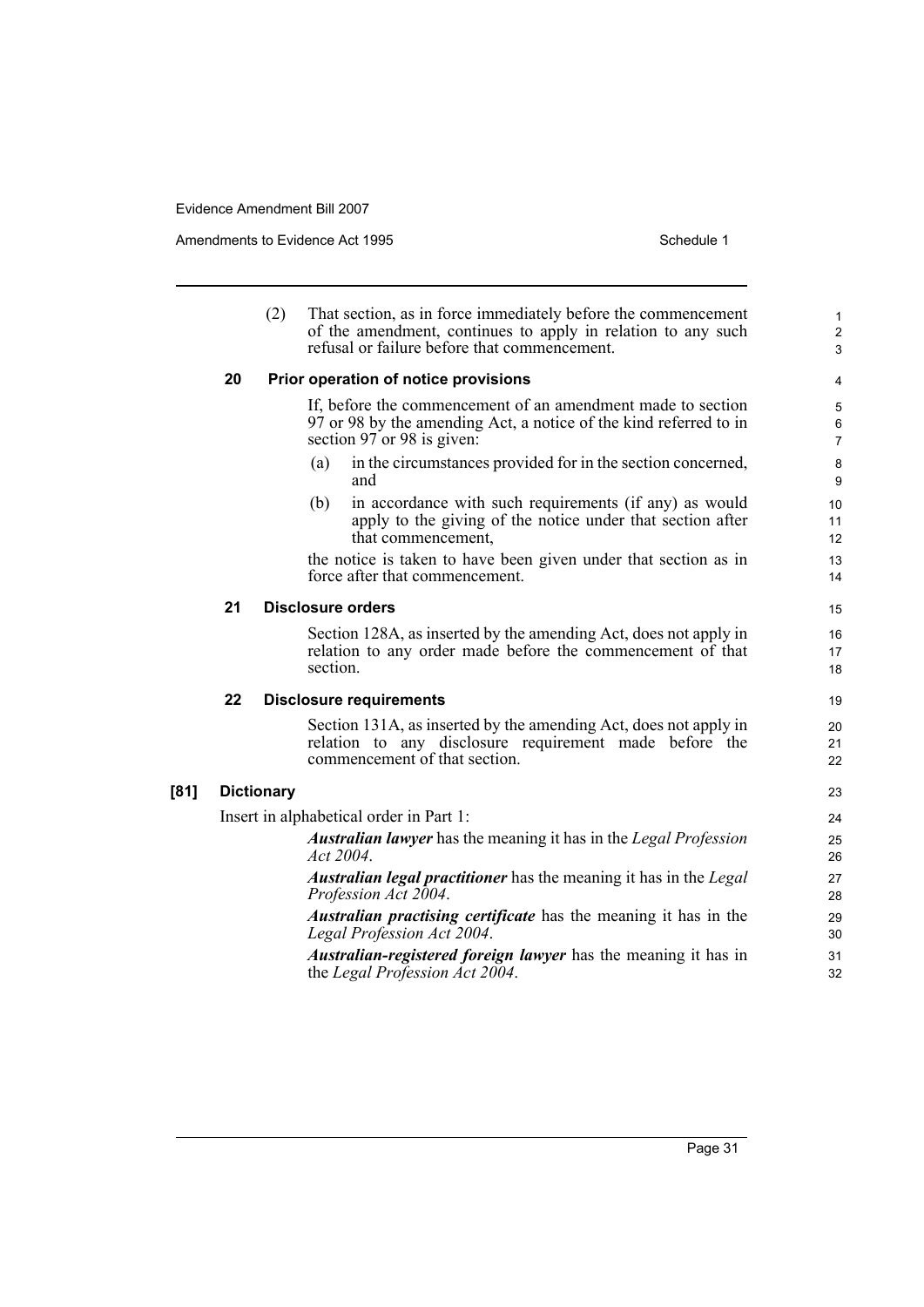Amendments to Evidence Act 1995 Schedule 1

|      |    | (2)               | That section, as in force immediately before the commencement<br>of the amendment, continues to apply in relation to any such<br>refusal or failure before that commencement. | $\mathbf{1}$<br>$\overline{2}$<br>3 |
|------|----|-------------------|-------------------------------------------------------------------------------------------------------------------------------------------------------------------------------|-------------------------------------|
|      | 20 |                   | Prior operation of notice provisions                                                                                                                                          | 4                                   |
|      |    |                   | If, before the commencement of an amendment made to section<br>97 or 98 by the amending Act, a notice of the kind referred to in<br>section 97 or 98 is given:                | 5<br>6<br>$\overline{7}$            |
|      |    |                   | in the circumstances provided for in the section concerned,<br>(a)<br>and                                                                                                     | 8<br>9                              |
|      |    |                   | in accordance with such requirements (if any) as would<br>(b)<br>apply to the giving of the notice under that section after<br>that commencement,                             | 10 <sup>°</sup><br>11<br>12         |
|      |    |                   | the notice is taken to have been given under that section as in<br>force after that commencement.                                                                             | 13<br>14                            |
|      | 21 |                   | <b>Disclosure orders</b>                                                                                                                                                      | 15                                  |
|      |    |                   | Section 128A, as inserted by the amending Act, does not apply in<br>relation to any order made before the commencement of that<br>section.                                    | 16<br>17<br>18                      |
|      | 22 |                   | <b>Disclosure requirements</b>                                                                                                                                                | 19                                  |
|      |    |                   | Section 131A, as inserted by the amending Act, does not apply in<br>relation to any disclosure requirement made before the<br>commencement of that section.                   | 20<br>21<br>22                      |
| [81] |    | <b>Dictionary</b> |                                                                                                                                                                               | 23                                  |
|      |    |                   | Insert in alphabetical order in Part 1:                                                                                                                                       | 24                                  |
|      |    |                   | <b>Australian lawyer</b> has the meaning it has in the Legal Profession<br>Act 2004.                                                                                          | 25<br>26                            |
|      |    |                   | <b>Australian legal practitioner</b> has the meaning it has in the Legal<br>Profession Act 2004.                                                                              | 27<br>28                            |
|      |    |                   | <i>Australian practising certificate</i> has the meaning it has in the<br>Legal Profession Act 2004.                                                                          | 29<br>30                            |
|      |    |                   | <i>Australian-registered foreign lawyer</i> has the meaning it has in<br>the Legal Profession Act 2004.                                                                       | 31<br>32                            |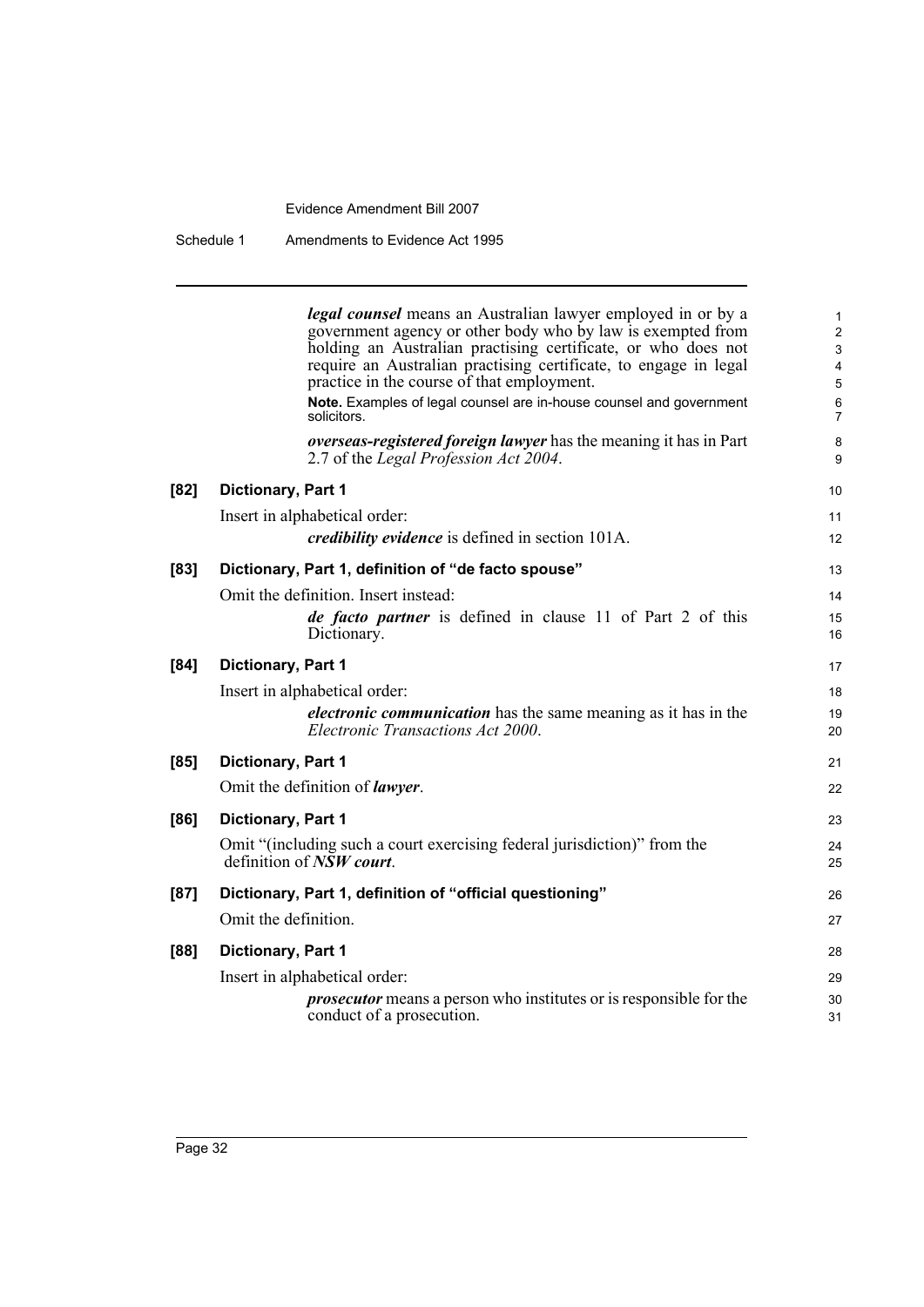Schedule 1 Amendments to Evidence Act 1995

|        | <b>legal counsel</b> means an Australian lawyer employed in or by a<br>government agency or other body who by law is exempted from | $\mathbf{1}$<br>$\mathbf{2}$ |
|--------|------------------------------------------------------------------------------------------------------------------------------------|------------------------------|
|        | holding an Australian practising certificate, or who does not                                                                      | $\mathbf{3}$                 |
|        | require an Australian practising certificate, to engage in legal                                                                   | $\overline{\mathbf{4}}$      |
|        | practice in the course of that employment.                                                                                         | $\sqrt{5}$                   |
|        | Note. Examples of legal counsel are in-house counsel and government<br>solicitors.                                                 | $\,6\,$<br>$\overline{7}$    |
|        | overseas-registered foreign lawyer has the meaning it has in Part<br>2.7 of the Legal Profession Act 2004.                         | 8<br>9                       |
| [82]   | Dictionary, Part 1                                                                                                                 | 10                           |
|        | Insert in alphabetical order:                                                                                                      | 11                           |
|        | <i>credibility evidence</i> is defined in section 101A.                                                                            | 12                           |
| [83]   | Dictionary, Part 1, definition of "de facto spouse"                                                                                | 13                           |
|        | Omit the definition. Insert instead:                                                                                               | 14                           |
|        | <i>de facto partner</i> is defined in clause 11 of Part 2 of this                                                                  | 15                           |
|        | Dictionary.                                                                                                                        | 16                           |
| $[84]$ | Dictionary, Part 1                                                                                                                 | 17                           |
|        | Insert in alphabetical order:                                                                                                      | 18                           |
|        | <i>electronic communication</i> has the same meaning as it has in the<br>Electronic Transactions Act 2000.                         | 19<br>20                     |
| $[85]$ | Dictionary, Part 1                                                                                                                 | 21                           |
|        | Omit the definition of <i>lawyer</i> .                                                                                             | 22                           |
| [86]   | Dictionary, Part 1                                                                                                                 | 23                           |
|        | Omit "(including such a court exercising federal jurisdiction)" from the                                                           | 24                           |
|        | definition of $\overline{NSW}$ court.                                                                                              | 25                           |
| [87]   | Dictionary, Part 1, definition of "official questioning"                                                                           | 26                           |
|        | Omit the definition.                                                                                                               | 27                           |
| [88]   | Dictionary, Part 1                                                                                                                 | 28                           |
|        | Insert in alphabetical order:                                                                                                      | 29                           |
|        | <i>prosecutor</i> means a person who institutes or is responsible for the<br>conduct of a prosecution.                             | 30<br>31                     |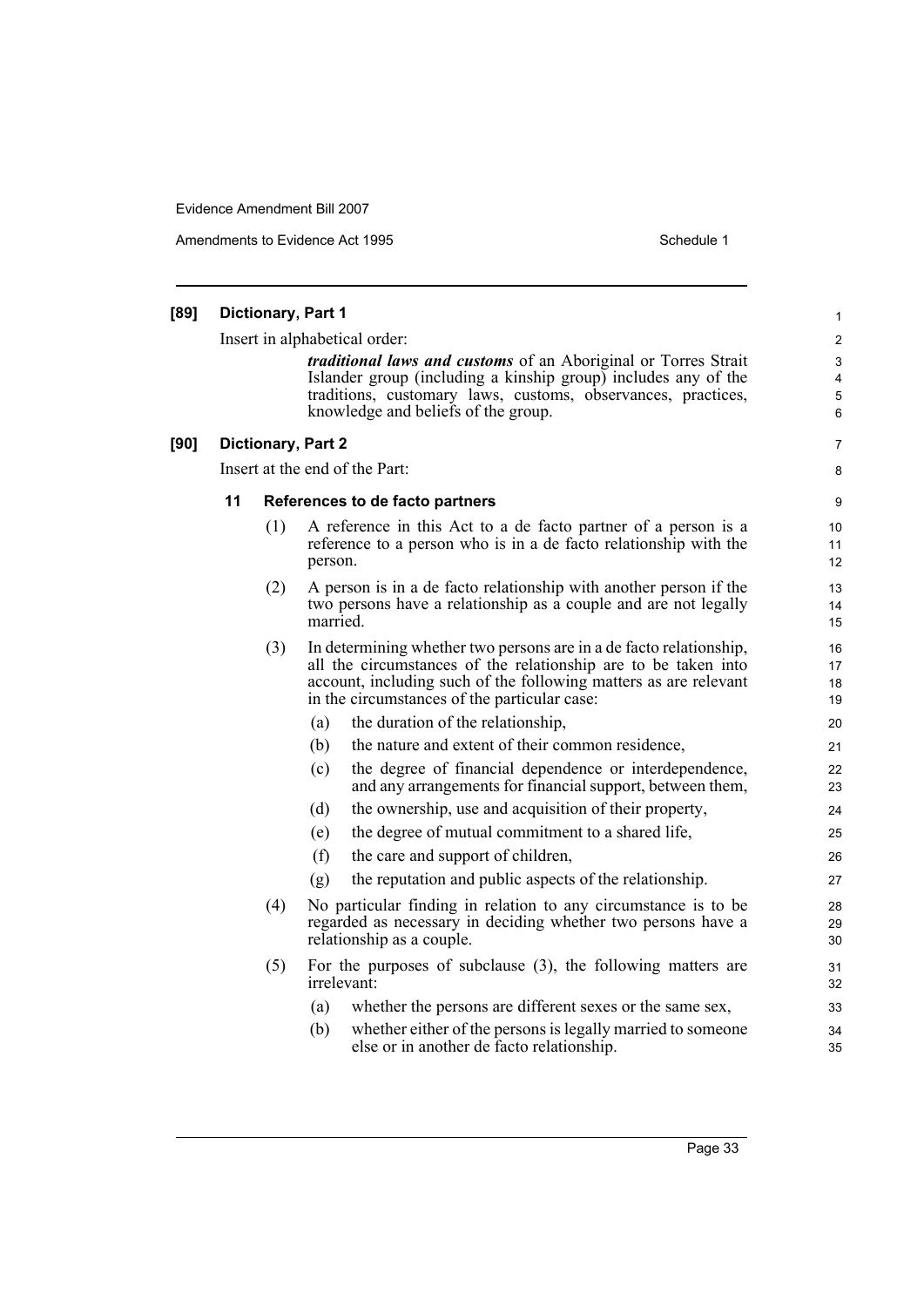Amendments to Evidence Act 1995 Schedule 1

#### **[89] Dictionary, Part 1** Insert in alphabetical order: *traditional laws and customs* of an Aboriginal or Torres Strait Islander group (including a kinship group) includes any of the traditions, customary laws, customs, observances, practices, knowledge and beliefs of the group. **[90] Dictionary, Part 2** Insert at the end of the Part: **11 References to de facto partners** (1) A reference in this Act to a de facto partner of a person is a reference to a person who is in a de facto relationship with the person. (2) A person is in a de facto relationship with another person if the two persons have a relationship as a couple and are not legally married. (3) In determining whether two persons are in a de facto relationship, all the circumstances of the relationship are to be taken into account, including such of the following matters as are relevant in the circumstances of the particular case: (a) the duration of the relationship, (b) the nature and extent of their common residence, (c) the degree of financial dependence or interdependence, and any arrangements for financial support, between them, (d) the ownership, use and acquisition of their property, (e) the degree of mutual commitment to a shared life, (f) the care and support of children, (g) the reputation and public aspects of the relationship. (4) No particular finding in relation to any circumstance is to be regarded as necessary in deciding whether two persons have a relationship as a couple. (5) For the purposes of subclause (3), the following matters are irrelevant: (a) whether the persons are different sexes or the same sex, (b) whether either of the persons is legally married to someone else or in another de facto relationship. 1 2 3 4 5 6 7 8 9 10 11 12 13 14 15 16 17 18 19 20 21  $22$ 23 24 25 26 27 28 29 30 31 32 33 34 35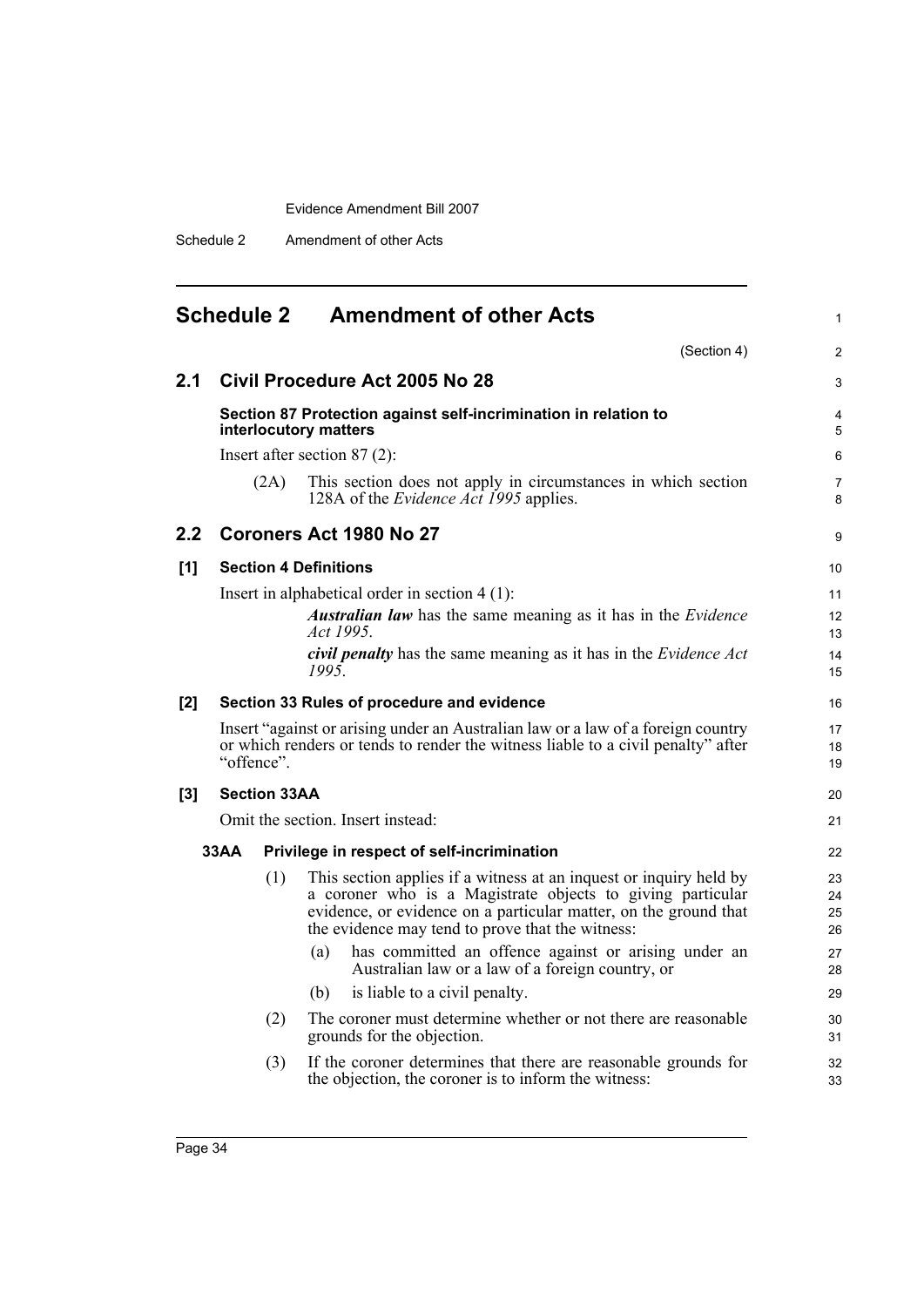Schedule 2 Amendment of other Acts

<span id="page-53-0"></span>

|       | <b>Schedule 2</b> |                     | <b>Amendment of other Acts</b>                                                                                                                                                                                                                           | 1                    |
|-------|-------------------|---------------------|----------------------------------------------------------------------------------------------------------------------------------------------------------------------------------------------------------------------------------------------------------|----------------------|
|       |                   |                     | (Section 4)                                                                                                                                                                                                                                              | $\overline{c}$       |
| 2.1   |                   |                     | Civil Procedure Act 2005 No 28                                                                                                                                                                                                                           | 3                    |
|       |                   |                     | Section 87 Protection against self-incrimination in relation to<br>interlocutory matters                                                                                                                                                                 | 4<br>5               |
|       |                   |                     | Insert after section $87(2)$ :                                                                                                                                                                                                                           | 6                    |
|       |                   | (2A)                | This section does not apply in circumstances in which section<br>128A of the <i>Evidence Act 1995</i> applies.                                                                                                                                           | 7<br>8               |
| 2.2   |                   |                     | <b>Coroners Act 1980 No 27</b>                                                                                                                                                                                                                           | 9                    |
| [1]   |                   |                     | <b>Section 4 Definitions</b>                                                                                                                                                                                                                             | 10                   |
|       |                   |                     | Insert in alphabetical order in section $4(1)$ :                                                                                                                                                                                                         | 11                   |
|       |                   |                     | <b>Australian law</b> has the same meaning as it has in the <i>Evidence</i><br>Act 1995.                                                                                                                                                                 | 12<br>13             |
|       |                   |                     | civil penalty has the same meaning as it has in the Evidence Act<br>1995                                                                                                                                                                                 | 14<br>15             |
| [2]   |                   |                     | Section 33 Rules of procedure and evidence                                                                                                                                                                                                               | 16                   |
|       | "offence".        |                     | Insert "against or arising under an Australian law or a law of a foreign country<br>or which renders or tends to render the witness liable to a civil penalty" after                                                                                     | 17<br>18<br>19       |
| $[3]$ |                   | <b>Section 33AA</b> |                                                                                                                                                                                                                                                          | 20                   |
|       |                   |                     | Omit the section. Insert instead:                                                                                                                                                                                                                        | 21                   |
|       | 33AA              |                     | Privilege in respect of self-incrimination                                                                                                                                                                                                               | 22                   |
|       |                   | (1)                 | This section applies if a witness at an inquest or inquiry held by<br>a coroner who is a Magistrate objects to giving particular<br>evidence, or evidence on a particular matter, on the ground that<br>the evidence may tend to prove that the witness: | 23<br>24<br>25<br>26 |
|       |                   |                     | has committed an offence against or arising under an<br>(a)<br>Australian law or a law of a foreign country, or                                                                                                                                          | 27<br>28             |
|       |                   |                     | is liable to a civil penalty.<br>(b)                                                                                                                                                                                                                     | 29                   |
|       |                   | (2)                 | The coroner must determine whether or not there are reasonable<br>grounds for the objection.                                                                                                                                                             | 30<br>31             |
|       |                   | (3)                 | If the coroner determines that there are reasonable grounds for<br>the objection, the coroner is to inform the witness:                                                                                                                                  | 32<br>33             |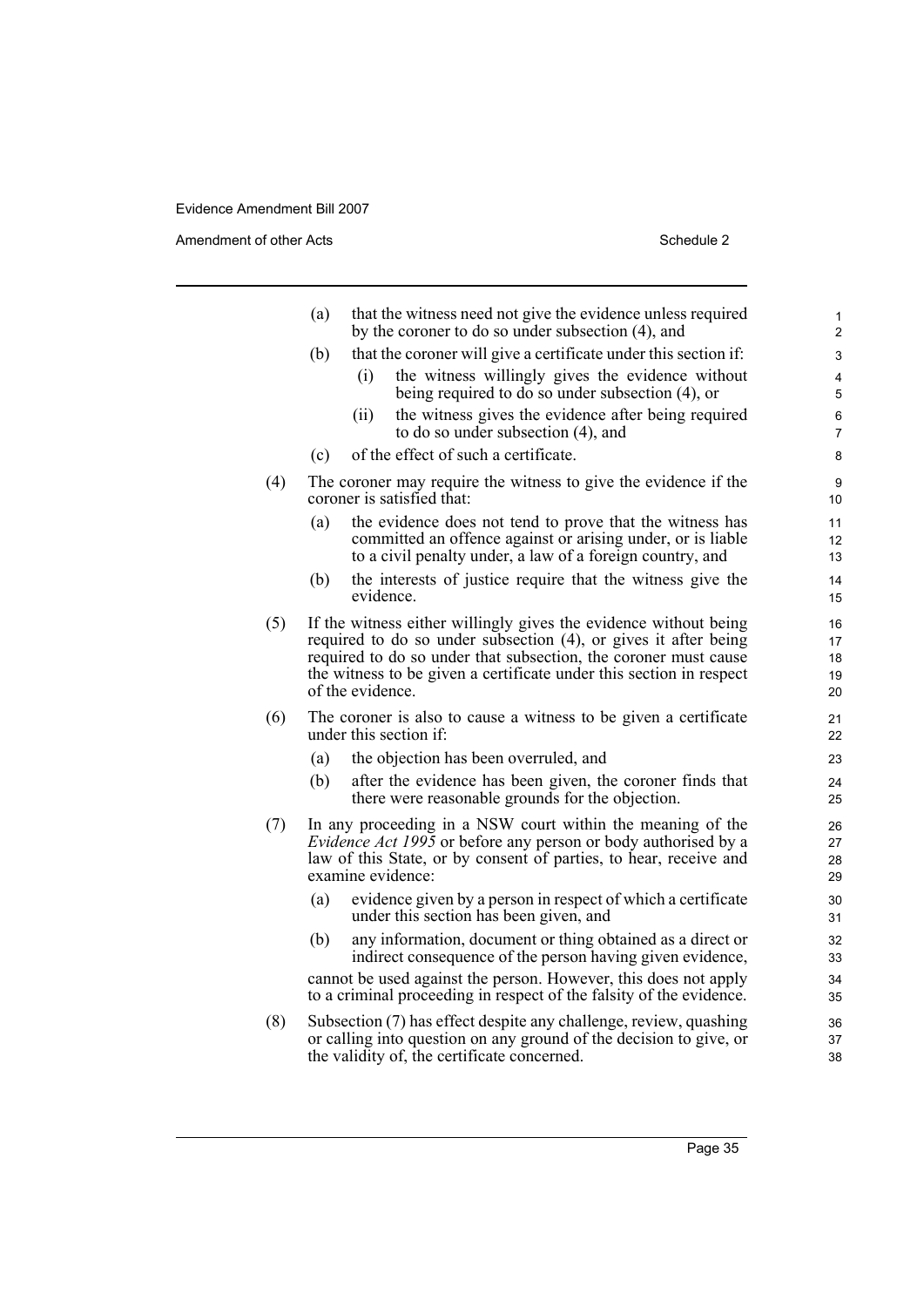Amendment of other Acts Schedule 2

|     | (a) | that the witness need not give the evidence unless required<br>by the coroner to do so under subsection (4), and                                                                                                                                                                                  | 1<br>$\overline{2}$        |
|-----|-----|---------------------------------------------------------------------------------------------------------------------------------------------------------------------------------------------------------------------------------------------------------------------------------------------------|----------------------------|
|     | (b) | that the coroner will give a certificate under this section if:                                                                                                                                                                                                                                   | 3                          |
|     |     | the witness willingly gives the evidence without<br>(i)<br>being required to do so under subsection (4), or                                                                                                                                                                                       | 4<br>5                     |
|     |     | the witness gives the evidence after being required<br>(ii)<br>to do so under subsection (4), and                                                                                                                                                                                                 | 6<br>7                     |
|     | (c) | of the effect of such a certificate.                                                                                                                                                                                                                                                              | 8                          |
| (4) |     | The coroner may require the witness to give the evidence if the<br>coroner is satisfied that:                                                                                                                                                                                                     | 9<br>10                    |
|     | (a) | the evidence does not tend to prove that the witness has<br>committed an offence against or arising under, or is liable<br>to a civil penalty under, a law of a foreign country, and                                                                                                              | 11<br>12<br>13             |
|     | (b) | the interests of justice require that the witness give the<br>evidence.                                                                                                                                                                                                                           | 14<br>15                   |
| (5) |     | If the witness either willingly gives the evidence without being<br>required to do so under subsection (4), or gives it after being<br>required to do so under that subsection, the coroner must cause<br>the witness to be given a certificate under this section in respect<br>of the evidence. | 16<br>17<br>18<br>19<br>20 |
| (6) |     | The coroner is also to cause a witness to be given a certificate<br>under this section if:                                                                                                                                                                                                        | 21<br>22                   |
|     | (a) | the objection has been overruled, and                                                                                                                                                                                                                                                             | 23                         |
|     | (b) | after the evidence has been given, the coroner finds that<br>there were reasonable grounds for the objection.                                                                                                                                                                                     | 24<br>25                   |
| (7) |     | In any proceeding in a NSW court within the meaning of the<br>Evidence Act 1995 or before any person or body authorised by a<br>law of this State, or by consent of parties, to hear, receive and<br>examine evidence:                                                                            | 26<br>27<br>28<br>29       |
|     | (a) | evidence given by a person in respect of which a certificate<br>under this section has been given, and                                                                                                                                                                                            | 30<br>31                   |
|     | (b) | any information, document or thing obtained as a direct or<br>indirect consequence of the person having given evidence,                                                                                                                                                                           | 32<br>33                   |
|     |     | cannot be used against the person. However, this does not apply<br>to a criminal proceeding in respect of the falsity of the evidence.                                                                                                                                                            | 34<br>35                   |
| (8) |     | Subsection (7) has effect despite any challenge, review, quashing<br>or calling into question on any ground of the decision to give, or<br>the validity of, the certificate concerned.                                                                                                            | 36<br>37<br>38             |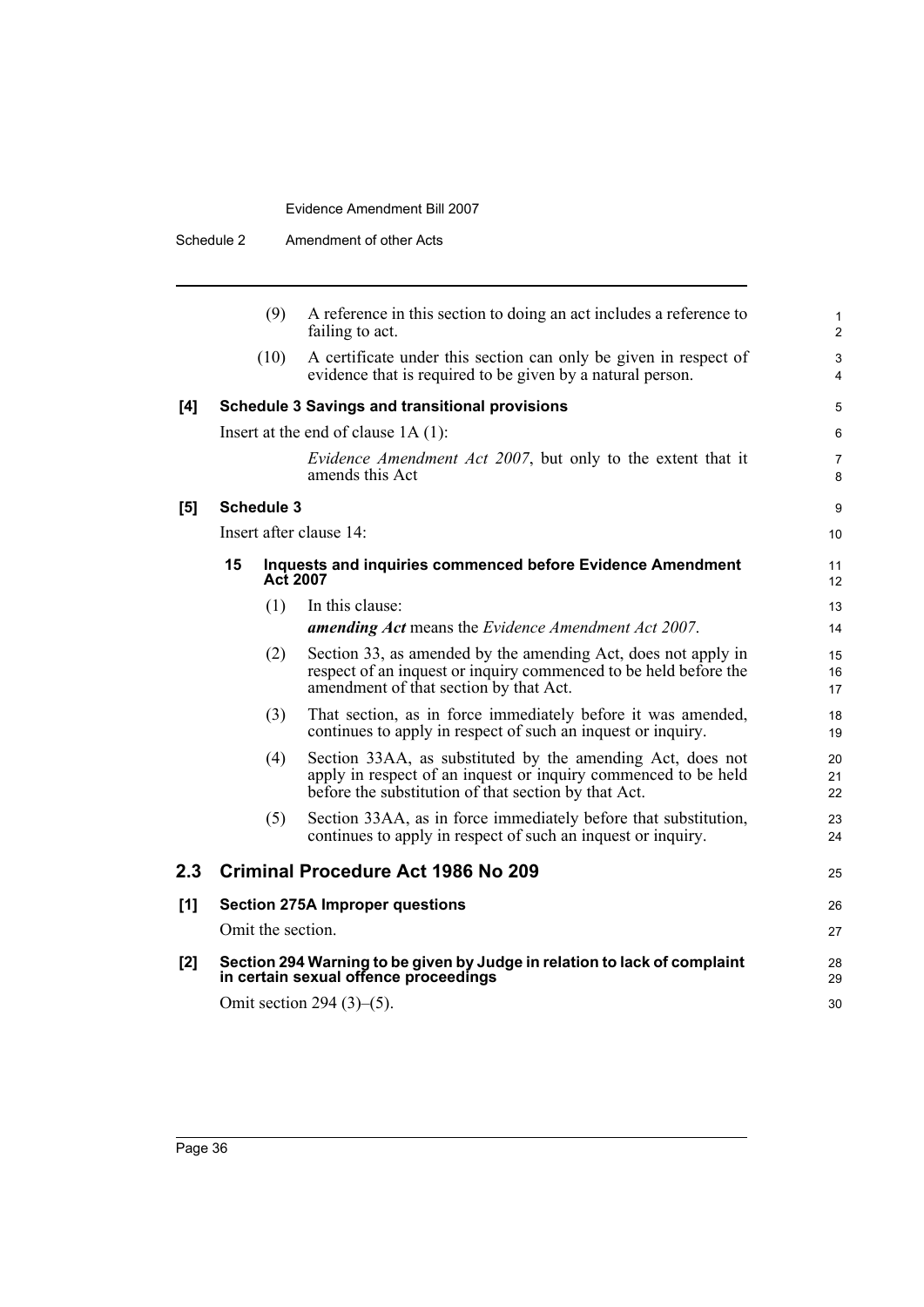| Schedule 2 |                   |                 | Amendment of other Acts                                                                                                                                                              |                |
|------------|-------------------|-----------------|--------------------------------------------------------------------------------------------------------------------------------------------------------------------------------------|----------------|
|            |                   | (9)             | A reference in this section to doing an act includes a reference to<br>failing to act.                                                                                               | 1<br>2         |
|            |                   | (10)            | A certificate under this section can only be given in respect of<br>evidence that is required to be given by a natural person.                                                       | 3<br>4         |
| [4]        |                   |                 | <b>Schedule 3 Savings and transitional provisions</b>                                                                                                                                | 5              |
|            |                   |                 | Insert at the end of clause $1A(1)$ :                                                                                                                                                | 6              |
|            |                   |                 | <i>Evidence Amendment Act 2007</i> , but only to the extent that it<br>amends this Act                                                                                               | 7<br>8         |
| [5]        | <b>Schedule 3</b> |                 |                                                                                                                                                                                      | 9              |
|            |                   |                 | Insert after clause 14:                                                                                                                                                              | 10             |
|            | 15                | <b>Act 2007</b> | Inquests and inquiries commenced before Evidence Amendment                                                                                                                           | 11<br>12       |
|            |                   | (1)             | In this clause:                                                                                                                                                                      | 13             |
|            |                   |                 | <b>amending Act</b> means the Evidence Amendment Act 2007.                                                                                                                           | 14             |
|            |                   | (2)             | Section 33, as amended by the amending Act, does not apply in<br>respect of an inquest or inquiry commenced to be held before the<br>amendment of that section by that Act.          | 15<br>16<br>17 |
|            |                   | (3)             | That section, as in force immediately before it was amended,<br>continues to apply in respect of such an inquest or inquiry.                                                         | 18<br>19       |
|            |                   | (4)             | Section 33AA, as substituted by the amending Act, does not<br>apply in respect of an inquest or inquiry commenced to be held<br>before the substitution of that section by that Act. | 20<br>21<br>22 |
|            |                   | (5)             | Section 33AA, as in force immediately before that substitution,<br>continues to apply in respect of such an inquest or inquiry.                                                      | 23<br>24       |
| 2.3        |                   |                 | <b>Criminal Procedure Act 1986 No 209</b>                                                                                                                                            | 25             |
| [1]        |                   |                 | <b>Section 275A Improper questions</b>                                                                                                                                               | 26             |
|            |                   |                 | Omit the section.                                                                                                                                                                    | 27             |
| [2]        |                   |                 | Section 294 Warning to be given by Judge in relation to lack of complaint<br>in certain sexual offence proceedings                                                                   | 28<br>29       |
|            |                   |                 | Omit section 294 $(3)$ – $(5)$ .                                                                                                                                                     | 30             |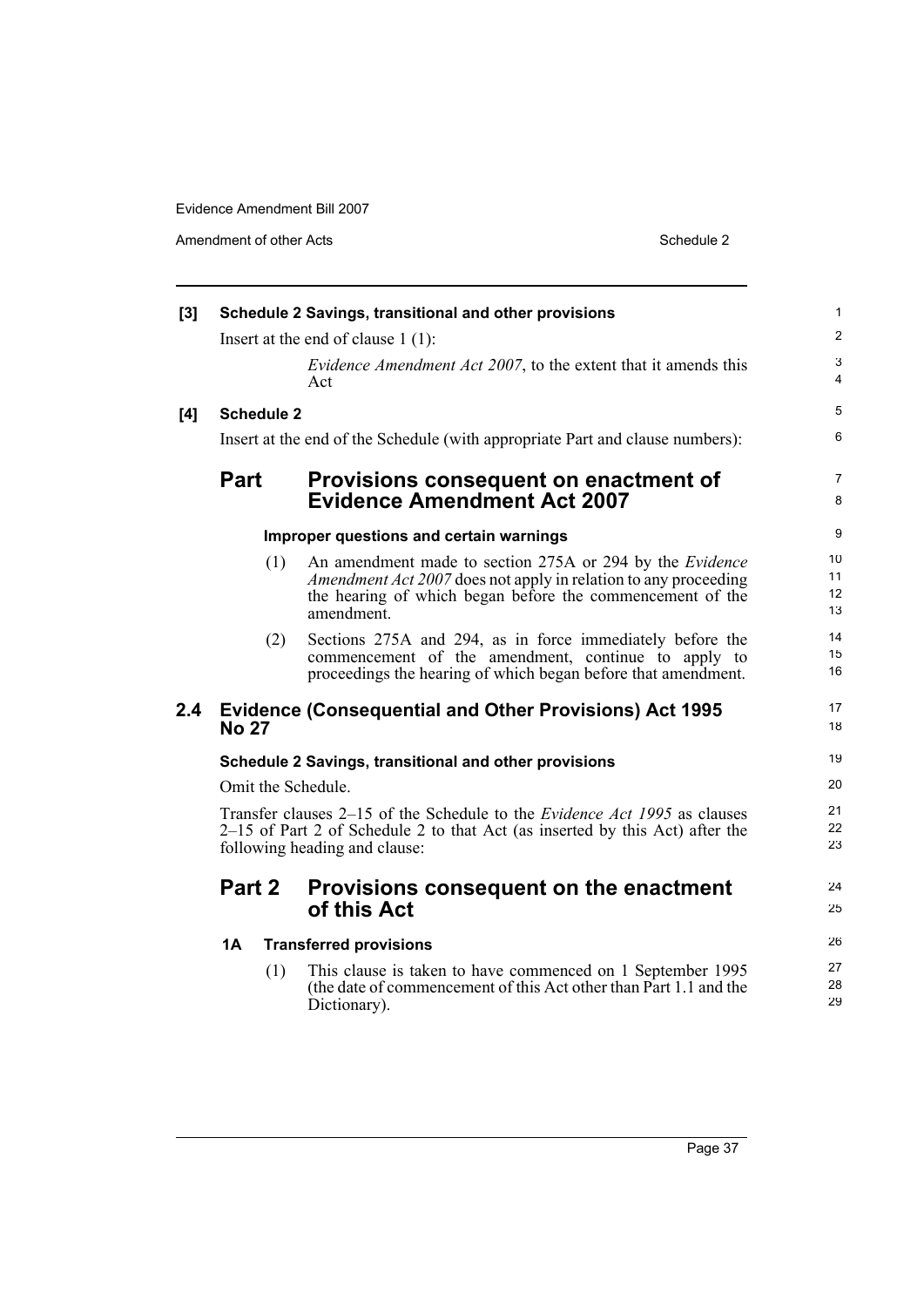Amendment of other Acts Schedule 2

| [3] |                    | Schedule 2 Savings, transitional and other provisions                                                                                                                                                  | $\mathbf{1}$                   |
|-----|--------------------|--------------------------------------------------------------------------------------------------------------------------------------------------------------------------------------------------------|--------------------------------|
|     |                    | Insert at the end of clause $1(1)$ :                                                                                                                                                                   | $\overline{2}$                 |
|     |                    | <i>Evidence Amendment Act 2007</i> , to the extent that it amends this<br>Act                                                                                                                          | $\ensuremath{\mathsf{3}}$<br>4 |
| [4] | <b>Schedule 2</b>  |                                                                                                                                                                                                        | 5                              |
|     |                    | Insert at the end of the Schedule (with appropriate Part and clause numbers):                                                                                                                          | 6                              |
|     | <b>Part</b>        | Provisions consequent on enactment of<br><b>Evidence Amendment Act 2007</b>                                                                                                                            | $\overline{7}$<br>8            |
|     |                    | Improper questions and certain warnings                                                                                                                                                                | 9                              |
|     | (1)                | An amendment made to section 275A or 294 by the Evidence<br>Amendment Act 2007 does not apply in relation to any proceeding<br>the hearing of which began before the commencement of the<br>amendment. | 10<br>11<br>12<br>13           |
|     | (2)                | Sections 275A and 294, as in force immediately before the<br>commencement of the amendment, continue to apply to<br>proceedings the hearing of which began before that amendment.                      | 14<br>15<br>16                 |
| 2.4 | <b>No 27</b>       | <b>Evidence (Consequential and Other Provisions) Act 1995</b>                                                                                                                                          | 17<br>18                       |
|     |                    | Schedule 2 Savings, transitional and other provisions                                                                                                                                                  | 19                             |
|     | Omit the Schedule. |                                                                                                                                                                                                        | 20                             |
|     |                    | Transfer clauses 2–15 of the Schedule to the <i>Evidence Act 1995</i> as clauses<br>2–15 of Part 2 of Schedule 2 to that Act (as inserted by this Act) after the<br>following heading and clause:      | 21<br>22<br>23                 |
|     | Part 2             | Provisions consequent on the enactment<br>of this Act                                                                                                                                                  | 24<br>25                       |
|     | 1A                 | <b>Transferred provisions</b>                                                                                                                                                                          | 26                             |
|     | (1)                | This clause is taken to have commenced on 1 September 1995<br>(the date of commencement of this Act other than Part 1.1 and the<br>Dictionary).                                                        | 27<br>28<br>29                 |